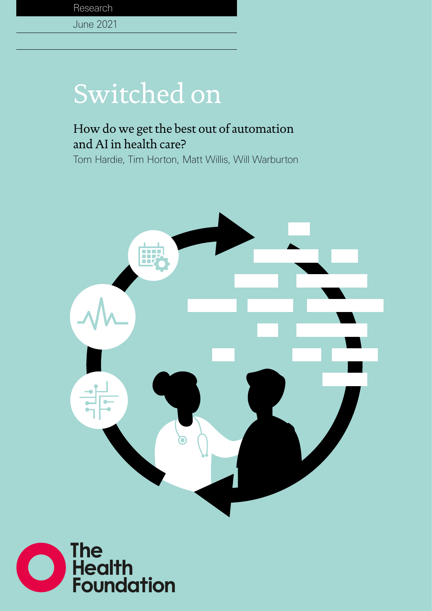

### June 2021

# Switched on

## How do we get the best out of automation and AI in health care?

Tom Hardie, Tim Horton, Matt Willis, Will Warburton



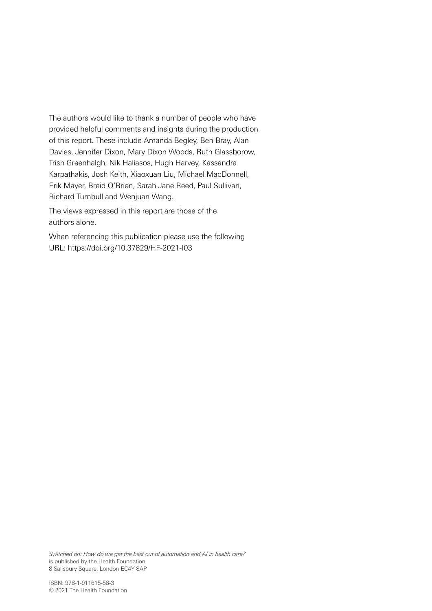The authors would like to thank a number of people who have provided helpful comments and insights during the production of this report. These include Amanda Begley, Ben Bray, Alan Davies, Jennifer Dixon, Mary Dixon Woods, Ruth Glassborow, Trish Greenhalgh, Nik Haliasos, Hugh Harvey, Kassandra Karpathakis, Josh Keith, Xiaoxuan Liu, Michael MacDonnell, Erik Mayer, Breid O'Brien, Sarah Jane Reed, Paul Sullivan, Richard Turnbull and Wenjuan Wang.

The views expressed in this report are those of the authors alone.

When referencing this publication please use the following URL: https://doi.org/10.37829/HF-2021-I03

*Switched on: How do we get the best out of automation and AI in health care?* is published by the Health Foundation, 8 Salisbury Square, London EC4Y 8AP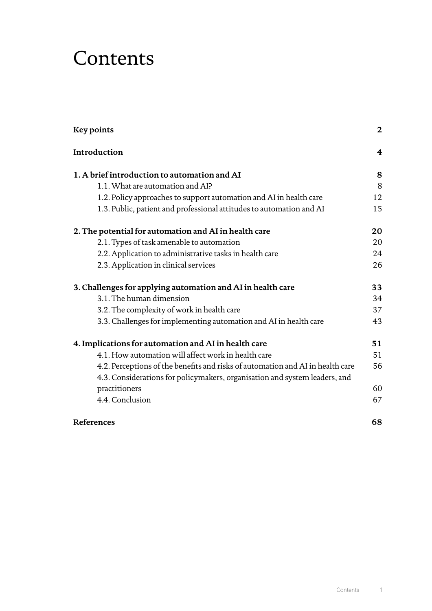## **Contents**

| Key points                                                                     | $\mathbf 2$             |
|--------------------------------------------------------------------------------|-------------------------|
| Introduction                                                                   | $\overline{\mathbf{4}}$ |
| 1. A brief introduction to automation and AI                                   | 8                       |
| 1.1. What are automation and AI?                                               | 8                       |
| 1.2. Policy approaches to support automation and AI in health care             | 12                      |
| 1.3. Public, patient and professional attitudes to automation and AI           | 15                      |
| 2. The potential for automation and AI in health care                          | 20                      |
| 2.1. Types of task amenable to automation                                      | 20                      |
| 2.2. Application to administrative tasks in health care                        | 24                      |
| 2.3. Application in clinical services                                          | 26                      |
| 3. Challenges for applying automation and AI in health care                    | 33                      |
| 3.1. The human dimension                                                       | 34                      |
| 3.2. The complexity of work in health care                                     | 37                      |
| 3.3. Challenges for implementing automation and AI in health care              | 43                      |
| 4. Implications for automation and AI in health care                           | 51                      |
| 4.1. How automation will affect work in health care                            | 51                      |
| 4.2. Perceptions of the benefits and risks of automation and AI in health care | 56                      |
| 4.3. Considerations for policymakers, organisation and system leaders, and     |                         |
| practitioners                                                                  | 60                      |
| 4.4. Conclusion                                                                | 67                      |
| References                                                                     | 68                      |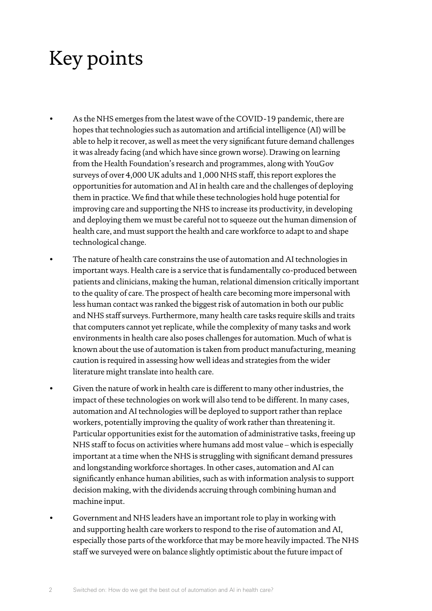## <span id="page-3-0"></span>Key points

- As the NHS emerges from the latest wave of the COVID-19 pandemic, there are hopes that technologies such as automation and artificial intelligence (AI) will be able to help it recover, as well as meet the very significant future demand challenges it was already facing (and which have since grown worse). Drawing on learning from the Health Foundation's research and programmes, along with YouGov surveys of over 4,000 UK adults and 1,000 NHS staff, this report explores the opportunities for automation and AI in health care and the challenges of deploying them in practice. We find that while these technologies hold huge potential for improving care and supporting the NHS to increase its productivity, in developing and deploying them we must be careful not to squeeze out the human dimension of health care, and must support the health and care workforce to adapt to and shape technological change.
- The nature of health care constrains the use of automation and AI technologies in important ways. Health care is a service that is fundamentally co-produced between patients and clinicians, making the human, relational dimension critically important to the quality of care. The prospect of health care becoming more impersonal with less human contact was ranked the biggest risk of automation in both our public and NHS staff surveys. Furthermore, many health care tasks require skills and traits that computers cannot yet replicate, while the complexity of many tasks and work environments in health care also poses challenges for automation. Much of what is known about the use of automation is taken from product manufacturing, meaning caution is required in assessing how well ideas and strategies from the wider literature might translate into health care.
- Given the nature of work in health care is different to many other industries, the impact of these technologies on work will also tend to be different. In many cases, automation and AI technologies will be deployed to support rather than replace workers, potentially improving the quality of work rather than threatening it. Particular opportunities exist for the automation of administrative tasks, freeing up NHS staff to focus on activities where humans add most value – which is especially important at a time when the NHS is struggling with significant demand pressures and longstanding workforce shortages. In other cases, automation and AI can significantly enhance human abilities, such as with information analysis to support decision making, with the dividends accruing through combining human and machine input.
- Government and NHS leaders have an important role to play in working with and supporting health care workers to respond to the rise of automation and AI, especially those parts of the workforce that may be more heavily impacted. The NHS staff we surveyed were on balance slightly optimistic about the future impact of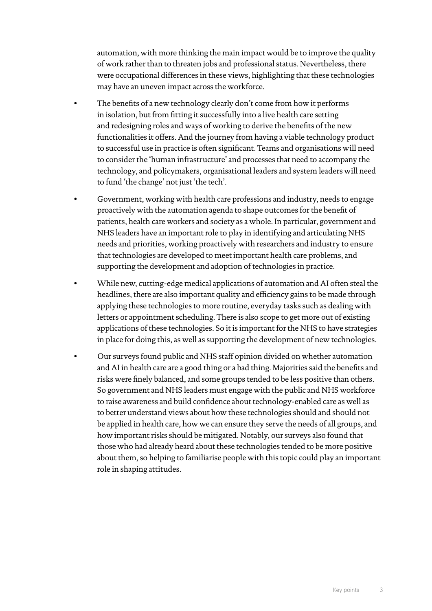automation, with more thinking the main impact would be to improve the quality of work rather than to threaten jobs and professional status. Nevertheless, there were occupational differences in these views, highlighting that these technologies may have an uneven impact across the workforce.

- The benefits of a new technology clearly don't come from how it performs in isolation, but from fitting it successfully into a live health care setting and redesigning roles and ways of working to derive the benefits of the new functionalities it offers. And the journey from having a viable technology product to successful use in practice is often significant. Teams and organisations will need to consider the 'human infrastructure' and processes that need to accompany the technology, and policymakers, organisational leaders and system leaders will need to fund 'the change' not just 'the tech'.
- Government, working with health care professions and industry, needs to engage proactively with the automation agenda to shape outcomes for the benefit of patients, health care workers and society as a whole. In particular, government and NHS leaders have an important role to play in identifying and articulating NHS needs and priorities, working proactively with researchers and industry to ensure that technologies are developed to meet important health care problems, and supporting the development and adoption of technologies in practice.
- While new, cutting-edge medical applications of automation and AI often steal the headlines, there are also important quality and efficiency gains to be made through applying these technologies to more routine, everyday tasks such as dealing with letters or appointment scheduling. There is also scope to get more out of existing applications of these technologies. So it is important for the NHS to have strategies in place for doing this, as well as supporting the development of new technologies.
- Our surveys found public and NHS staff opinion divided on whether automation and AI in health care are a good thing or a bad thing. Majorities said the benefits and risks were finely balanced, and some groups tended to be less positive than others. So government and NHS leaders must engage with the public and NHS workforce to raise awareness and build confidence about technology-enabled care as well as to better understand views about how these technologies should and should not be applied in health care, how we can ensure they serve the needs of all groups, and how important risks should be mitigated. Notably, our surveys also found that those who had already heard about these technologies tended to be more positive about them, so helping to familiarise people with this topic could play an important role in shaping attitudes.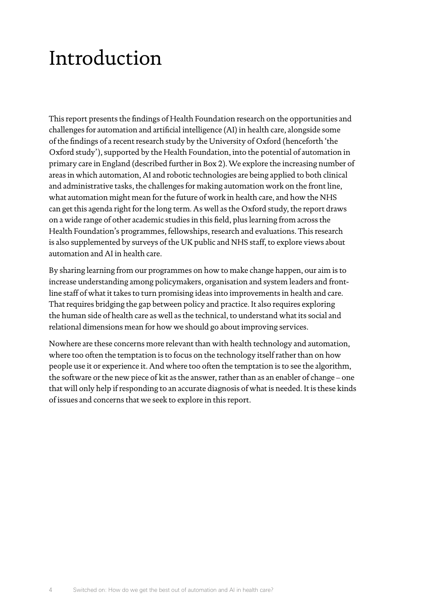## <span id="page-5-0"></span>Introduction

This report presents the findings of Health Foundation research on the opportunities and challenges for automation and artificial intelligence (AI) in health care, alongside some of the findings of a recent research study by the University of Oxford (henceforth 'the Oxford study'), supported by the Health Foundation, into the potential of automation in primary care in England (described further in Box 2). We explore the increasing number of areas in which automation, AI and robotic technologies are being applied to both clinical and administrative tasks, the challenges for making automation work on the front line, what automation might mean for the future of work in health care, and how the NHS can get this agenda right for the long term. As well as the Oxford study, the report draws on a wide range of other academic studies in this field, plus learning from across the Health Foundation's programmes, fellowships, research and evaluations. This research is also supplemented by surveys of the UK public and NHS staff, to explore views about automation and AI in health care.

By sharing learning from our programmes on how to make change happen, our aim is to increase understanding among policymakers, organisation and system leaders and frontline staff of what it takes to turn promising ideas into improvements in health and care. That requires bridging the gap between policy and practice. It also requires exploring the human side of health care as well as the technical, to understand what its social and relational dimensions mean for how we should go about improving services.

Nowhere are these concerns more relevant than with health technology and automation, where too often the temptation is to focus on the technology itself rather than on how people use it or experience it. And where too often the temptation is to see the algorithm, the software or the new piece of kit as the answer, rather than as an enabler of change – one that will only help if responding to an accurate diagnosis of what is needed. It is these kinds of issues and concerns that we seek to explore in this report.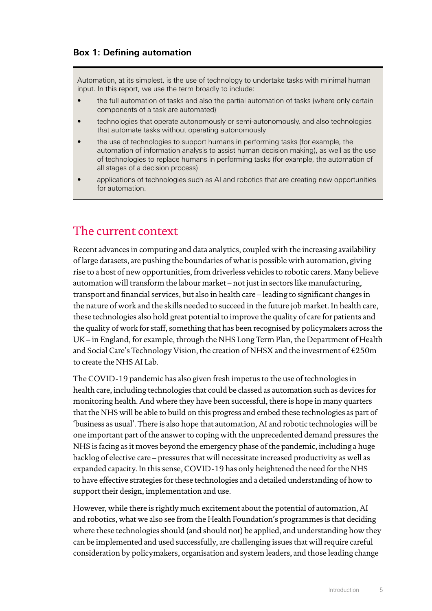Automation, at its simplest, is the use of technology to undertake tasks with minimal human input. In this report, we use the term broadly to include:

- the full automation of tasks and also the partial automation of tasks (where only certain components of a task are automated)
- technologies that operate autonomously or semi-autonomously, and also technologies that automate tasks without operating autonomously
- the use of technologies to support humans in performing tasks (for example, the automation of information analysis to assist human decision making), as well as the use of technologies to replace humans in performing tasks (for example, the automation of all stages of a decision process)
- applications of technologies such as AI and robotics that are creating new opportunities for automation.

### The current context

Recent advances in computing and data analytics, coupled with the increasing availability of large datasets, are pushing the boundaries of what is possible with automation, giving rise to a host of new opportunities, from driverless vehicles to robotic carers. Many believe automation will transform the labour market – not just in sectors like manufacturing, transport and financial services, but also in health care – leading to significant changes in the nature of work and the skills needed to succeed in the future job market. In health care, these technologies also hold great potential to improve the quality of care for patients and the quality of work for staff, something that has been recognised by policymakers across the UK – in England, for example, through the NHS Long Term Plan, the Department of Health and Social Care's Technology Vision, the creation of NHSX and the investment of £250m to create the NHS AI Lab.

The COVID-19 pandemic has also given fresh impetus to the use of technologies in health care, including technologies that could be classed as automation such as devices for monitoring health. And where they have been successful, there is hope in many quarters that the NHS will be able to build on this progress and embed these technologies as part of 'business as usual'. There is also hope that automation, AI and robotic technologies will be one important part of the answer to coping with the unprecedented demand pressures the NHS is facing as it moves beyond the emergency phase of the pandemic, including a huge backlog of elective care – pressures that will necessitate increased productivity as well as expanded capacity. In this sense, COVID-19 has only heightened the need for the NHS to have effective strategies for these technologies and a detailed understanding of how to support their design, implementation and use.

However, while there is rightly much excitement about the potential of automation, AI and robotics, what we also see from the Health Foundation's programmes is that deciding where these technologies should (and should not) be applied, and understanding how they can be implemented and used successfully, are challenging issues that will require careful consideration by policymakers, organisation and system leaders, and those leading change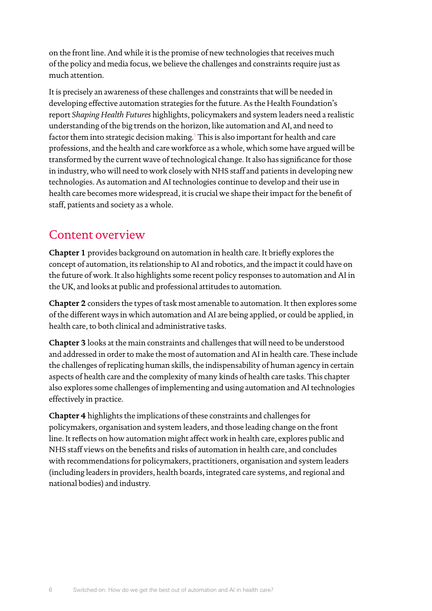on the front line. And while it is the promise of new technologies that receives much of the policy and media focus, we believe the challenges and constraints require just as much attention.

It is precisely an awareness of these challenges and constraints that will be needed in developing effective automation strategies for the future. As the Health Foundation's report *Shaping Health Futures* highlights, policymakers and system leaders need a realistic understanding of the big trends on the horizon, like automation and AI, and need to factor them into strategic decision making.<sup>[1](#page-69-1)</sup> This is also important for health and care professions, and the health and care workforce as a whole, which some have argued will be transformed by the current wave of technological change. It also has significance for those in industry, who will need to work closely with NHS staff and patients in developing new technologies. As automation and AI technologies continue to develop and their use in health care becomes more widespread, it is crucial we shape their impact for the benefit of staff, patients and society as a whole.

### Content overview

**Chapter 1** provides background on automation in health care. It briefly explores the concept of automation, its relationship to AI and robotics, and the impact it could have on the future of work. It also highlights some recent policy responses to automation and AI in the UK, and looks at public and professional attitudes to automation.

**Chapter 2** considers the types of task most amenable to automation. It then explores some of the different ways in which automation and AI are being applied, or could be applied, in health care, to both clinical and administrative tasks.

**Chapter 3** looks at the main constraints and challenges that will need to be understood and addressed in order to make the most of automation and AI in health care. These include the challenges of replicating human skills, the indispensability of human agency in certain aspects of health care and the complexity of many kinds of health care tasks. This chapter also explores some challenges of implementing and using automation and AI technologies effectively in practice.

**Chapter 4** highlights the implications of these constraints and challenges for policymakers, organisation and system leaders, and those leading change on the front line. It reflects on how automation might affect work in health care, explores public and NHS staff views on the benefits and risks of automation in health care, and concludes with recommendations for policymakers, practitioners, organisation and system leaders (including leaders in providers, health boards, integrated care systems, and regional and national bodies) and industry.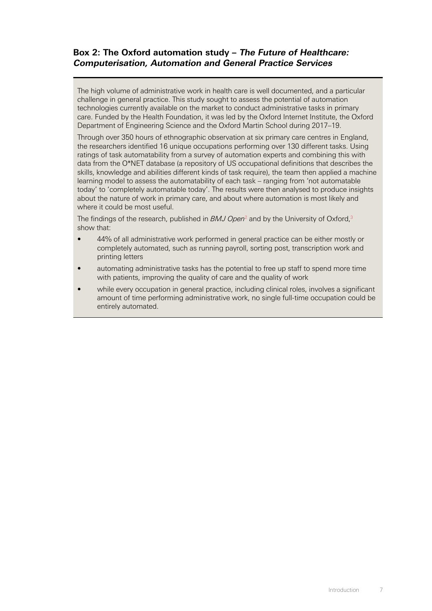#### **Box 2: The Oxford automation study – The Future of Healthcare: Computerisation, Automation and General Practice Services**

The high volume of administrative work in health care is well documented, and a particular challenge in general practice. This study sought to assess the potential of automation technologies currently available on the market to conduct administrative tasks in primary care. Funded by the Health Foundation, it was led by the Oxford Internet Institute, the Oxford Department of Engineering Science and the Oxford Martin School during 2017–19.

Through over 350 hours of ethnographic observation at six primary care centres in England, the researchers identified 16 unique occupations performing over 130 different tasks. Using ratings of task automatability from a survey of automation experts and combining this with data from the O\*NET database (a repository of US occupational definitions that describes the skills, knowledge and abilities different kinds of task require), the team then applied a machine learning model to assess the automatability of each task – ranging from 'not automatable today' to 'completely automatable today'. The results were then analysed to produce insights about the nature of work in primary care, and about where automation is most likely and where it could be most useful.

The findings of the research, published in *BMJ Open*<sup>[2](#page-69-2)</sup> and by the University of Oxford,<sup>3</sup> show that:

- 44% of all administrative work performed in general practice can be either mostly or completely automated, such as running payroll, sorting post, transcription work and printing letters
- automating administrative tasks has the potential to free up staff to spend more time with patients, improving the quality of care and the quality of work
- while every occupation in general practice, including clinical roles, involves a significant amount of time performing administrative work, no single full-time occupation could be entirely automated.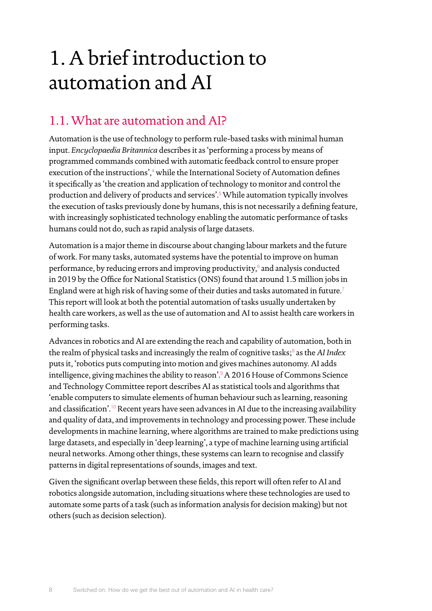## <span id="page-9-0"></span>1. A brief introduction to automation and AI

## 1.1. What are automation and AI?

Automation is the use of technology to perform rule-based tasks with minimal human input. *Encyclopaedia Britannica* describes it as 'performing a process by means of programmed commands combined with automatic feedback control to ensure proper execution of the instructions',<sup>[4](#page-69-4)</sup> while the International Society of Automation defines it specifically as 'the creation and application of technology to monitor and control the production and delivery of products and services'.[5](#page-69-5) While automation typically involves the execution of tasks previously done by humans, this is not necessarily a defining feature, with increasingly sophisticated technology enabling the automatic performance of tasks humans could not do, such as rapid analysis of large datasets.

Automation is a major theme in discourse about changing labour markets and the future of work. For many tasks, automated systems have the potential to improve on human performance, by reducing errors and improving productivity, $^6$  $^6$  and analysis conducted in 2019 by the Office for National Statistics (ONS) found that around 1.5 million jobs in England were at high risk of having some of their duties and tasks automated in future.[7](#page-69-7) This report will look at both the potential automation of tasks usually undertaken by health care workers, as well as the use of automation and AI to assist health care workers in performing tasks.

Advances in robotics and AI are extending the reach and capability of automation, both in the realm of physical tasks and increasingly the realm of cognitive tasks;<sup>[8](#page-69-8)</sup> as the AI Index puts it, 'robotics puts computing into motion and gives machines autonomy. AI adds intelligence, giving machines the ability to reason'.<sup>[9](#page-69-9)</sup> A 2016 House of Commons Science and Technology Committee report describes AI as statistical tools and algorithms that 'enable computers to simulate elements of human behaviour such as learning, reasoning and classification'.<sup>[10](#page-69-10)</sup> Recent years have seen advances in AI due to the increasing availability and quality of data, and improvements in technology and processing power. These include developments in machine learning, where algorithms are trained to make predictions using large datasets, and especially in 'deep learning', a type of machine learning using artificial neural networks. Among other things, these systems can learn to recognise and classify patterns in digital representations of sounds, images and text.

Given the significant overlap between these fields, this report will often refer to AI and robotics alongside automation, including situations where these technologies are used to automate some parts of a task (such as information analysis for decision making) but not others (such as decision selection).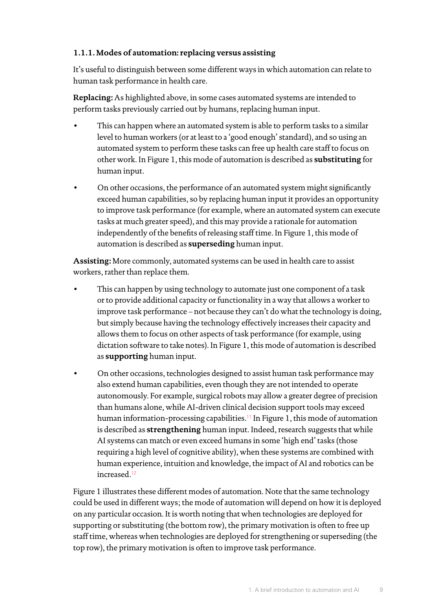#### **1.1.1. Modes of automation: replacing versus assisting**

It's useful to distinguish between some different ways in which automation can relate to human task performance in health care.

**Replacing:** As highlighted above, in some cases automated systems are intended to perform tasks previously carried out by humans, replacing human input.

- This can happen where an automated system is able to perform tasks to a similar level to human workers (or at least to a 'good enough' standard), and so using an automated system to perform these tasks can free up health care staff to focus on other work. In Figure 1, this mode of automation is described as **substituting** for human input.
- On other occasions, the performance of an automated system might significantly exceed human capabilities, so by replacing human input it provides an opportunity to improve task performance (for example, where an automated system can execute tasks at much greater speed), and this may provide a rationale for automation independently of the benefits of releasing staff time. In Figure 1, this mode of automation is described as **superseding** human input.

**Assisting:** More commonly, automated systems can be used in health care to assist workers, rather than replace them.

- This can happen by using technology to automate just one component of a task or to provide additional capacity or functionality in a way that allows a worker to improve task performance – not because they can't do what the technology is doing, but simply because having the technology effectively increases their capacity and allows them to focus on other aspects of task performance (for example, using dictation software to take notes). In Figure 1, this mode of automation is described as **supporting** human input.
- On other occasions, technologies designed to assist human task performance may also extend human capabilities, even though they are not intended to operate autonomously. For example, surgical robots may allow a greater degree of precision than humans alone, while AI-driven clinical decision support tools may exceed human information-processing capabilities.<sup>[11](#page-69-11)</sup> In Figure 1, this mode of automation is described as **strengthening** human input. Indeed, research suggests that while AI systems can match or even exceed humans in some 'high end' tasks (those requiring a high level of cognitive ability), when these systems are combined with human experience, intuition and knowledge, the impact of AI and robotics can be increased.<sup>[12](#page-69-12)</sup>

Figure 1 illustrates these different modes of automation. Note that the same technology could be used in different ways; the mode of automation will depend on how it is deployed on any particular occasion. It is worth noting that when technologies are deployed for supporting or substituting (the bottom row), the primary motivation is often to free up staff time, whereas when technologies are deployed for strengthening or superseding (the top row), the primary motivation is often to improve task performance.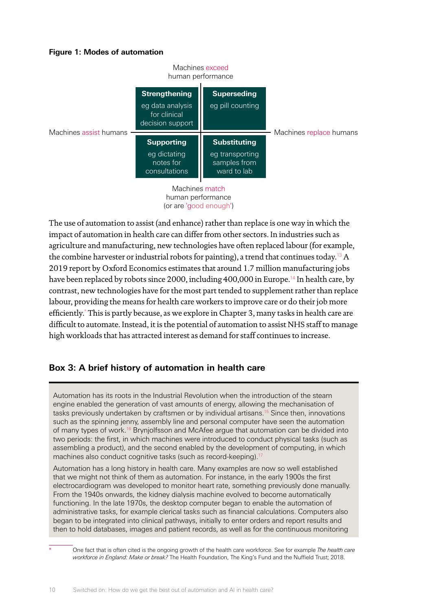#### **Figure 1: Modes of automation**



The use of automation to assist (and enhance) rather than replace is one way in which the impact of automation in health care can differ from other sectors. In industries such as agriculture and manufacturing, new technologies have often replaced labour (for example, the combine harvester or industrial robots for painting), a trend that continues today.<sup>[13](#page-69-13)</sup> A 2019 report by Oxford Economics estimates that around 1.7 million manufacturing jobs have been replaced by robots since 2000, including 400,000 in Europe.<sup>[14](#page-69-14)</sup> In health care, by contrast, new technologies have for the most part tended to supplement rather than replace labour, providing the means for health care workers to improve care or do their job more efficiently.\* This is partly because, as we explore in Chapter 3, many tasks in health care are difficult to automate. Instead, it is the potential of automation to assist NHS staff to manage high workloads that has attracted interest as demand for staff continues to increase.

#### **Box 3: A brief history of automation in health care**

Automation has its roots in the Industrial Revolution when the introduction of the steam engine enabled the generation of vast amounts of energy, allowing the mechanisation of tasks previously undertaken by craftsmen or by individual artisans[.15](#page-69-15) Since then, innovations such as the spinning jenny, assembly line and personal computer have seen the automation of many types of work[.16](#page-69-16) Brynjolfsson and McAfee argue that automation can be divided into two periods: the first, in which machines were introduced to conduct physical tasks (such as assembling a product), and the second enabled by the development of computing, in which machines also conduct cognitive tasks (such as record-keeping).<sup>1</sup>

Automation has a long history in health care. Many examples are now so well established that we might not think of them as automation. For instance, in the early 1900s the first electrocardiogram was developed to monitor heart rate, something previously done manually. From the 1940s onwards, the kidney dialysis machine evolved to become automatically functioning. In the late 1970s, the desktop computer began to enable the automation of administrative tasks, for example clerical tasks such as financial calculations. Computers also began to be integrated into clinical pathways, initially to enter orders and report results and then to hold databases, images and patient records, as well as for the continuous monitoring

\* One fact that is often cited is the ongoing growth of the health care workforce. See for example *The health care workforce in England: Make or break?* The Health Foundation, The King's Fund and the Nuffield Trust; 2018.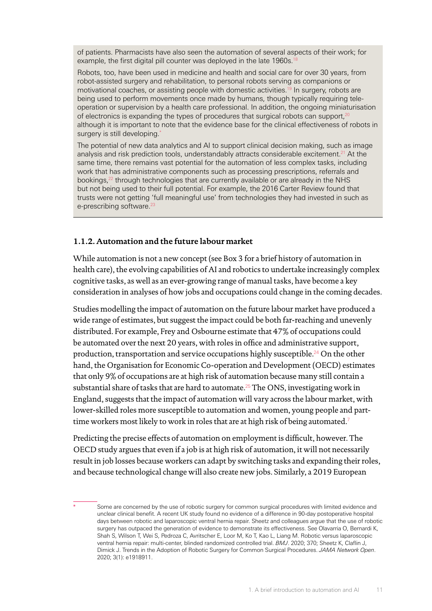of patients. Pharmacists have also seen the automation of several aspects of their work; for example, the first digital pill counter was deployed in the late 1960s.<sup>[18](#page-69-18)</sup>

Robots, too, have been used in medicine and health and social care for over 30 years, from robot-assisted surgery and rehabilitation, to personal robots serving as companions or motivational coaches, or assisting people with domestic activities.<sup>[19](#page-69-19)</sup> In surgery, robots are being used to perform movements once made by humans, though typically requiring teleoperation or supervision by a health care professional. In addition, the ongoing miniaturisation of electronics is expanding the types of procedures that surgical robots can support,<sup>20</sup> although it is important to note that the evidence base for the clinical effectiveness of robots in surgery is still developing.<sup>\*</sup>

The potential of new data analytics and AI to support clinical decision making, such as image analysis and risk prediction tools, understandably attracts considerable excitement.<sup>[21](#page-69-21)</sup> At the same time, there remains vast potential for the automation of less complex tasks, including work that has administrative components such as processing prescriptions, referrals and bookings,<sup>22</sup> through technologies that are currently available or are already in the NHS but not being used to their full potential. For example, the 2016 Carter Review found that trusts were not getting 'full meaningful use' from technologies they had invested in such as e-prescribing software.<sup>23</sup>

#### **1.1.2. Automation and the future labour market**

While automation is not a new concept (see Box 3 for a brief history of automation in health care), the evolving capabilities of AI and robotics to undertake increasingly complex cognitive tasks, as well as an ever-growing range of manual tasks, have become a key consideration in analyses of how jobs and occupations could change in the coming decades.

Studies modelling the impact of automation on the future labour market have produced a wide range of estimates, but suggest the impact could be both far-reaching and unevenly distributed. For example, Frey and Osbourne estimate that 47% of occupations could be automated over the next 20 years, with roles in office and administrative support, production, transportation and service occupations highly susceptible.[24](#page-69-24) On the other hand, the Organisation for Economic Co-operation and Development (OECD) estimates that only 9% of occupations are at high risk of automation because many still contain a substantial share of tasks that are hard to automate.[25](#page-69-25) The ONS, investigating work in England, suggests that the impact of automation will vary across the labour market, with lower-skilled roles more susceptible to automation and women, young people and part-time workers most likely to work in roles that are at high risk of being automated.<sup>[7](#page-69-7)</sup>

Predicting the precise effects of automation on employment is difficult, however. The OECD study argues that even if a job is at high risk of automation, it will not necessarily result in job losses because workers can adapt by switching tasks and expanding their roles, and because technological change will also create new jobs. Similarly, a 2019 European

Some are concerned by the use of robotic surgery for common surgical procedures with limited evidence and unclear clinical benefit. A recent UK study found no evidence of a difference in 90-day postoperative hospital days between robotic and laparoscopic ventral hernia repair. Sheetz and colleagues argue that the use of robotic surgery has outpaced the generation of evidence to demonstrate its effectiveness. See Olavarria O, Bernardi K, Shah S, Wilson T, Wei S, Pedroza C, Avritscher E, Loor M, Ko T, Kao L, Liang M. Robotic versus laparoscopic ventral hernia repair: multi-center, blinded randomized controlled trial. *BMJ*. 2020; 370; Sheetz K, Claflin J, Dimick J. Trends in the Adoption of Robotic Surgery for Common Surgical Procedures. *JAMA Network Open*. 2020; 3(1): e1918911.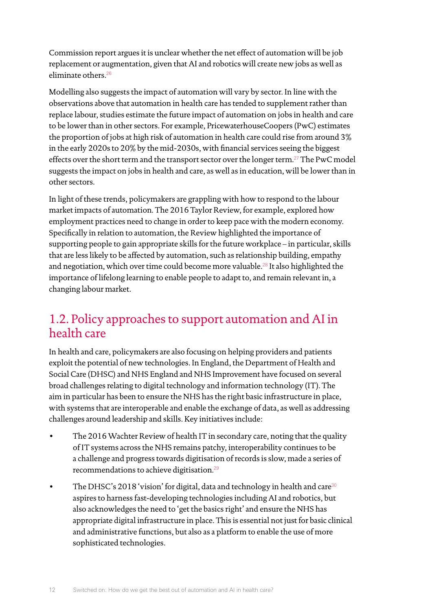<span id="page-13-0"></span>Commission report argues it is unclear whether the net effect of automation will be job replacement or augmentation, given that AI and robotics will create new jobs as well as eliminate others.<sup>[26](#page-69-26)</sup>

Modelling also suggests the impact of automation will vary by sector. In line with the observations above that automation in health care has tended to supplement rather than replace labour, studies estimate the future impact of automation on jobs in health and care to be lower than in other sectors. For example, PricewaterhouseCoopers (PwC) estimates the proportion of jobs at high risk of automation in health care could rise from around 3% in the early 2020s to 20% by the mid-2030s, with financial services seeing the biggest effects over the short term and the transport sector over the longer term.<sup>[27](#page-69-27)</sup> The PwC model suggests the impact on jobs in health and care, as well as in education, will be lower than in other sectors.

In light of these trends, policymakers are grappling with how to respond to the labour market impacts of automation. The 2016 Taylor Review, for example, explored how employment practices need to change in order to keep pace with the modern economy. Specifically in relation to automation, the Review highlighted the importance of supporting people to gain appropriate skills for the future workplace – in particular, skills that are less likely to be affected by automation, such as relationship building, empathy and negotiation, which over time could become more valuable.<sup>[28](#page-70-0)</sup> It also highlighted the importance of lifelong learning to enable people to adapt to, and remain relevant in, a changing labour market.

## 1.2. Policy approaches to support automation and AI in health care

In health and care, policymakers are also focusing on helping providers and patients exploit the potential of new technologies. In England, the Department of Health and Social Care (DHSC) and NHS England and NHS Improvement have focused on several broad challenges relating to digital technology and information technology (IT). The aim in particular has been to ensure the NHS has the right basic infrastructure in place, with systems that are interoperable and enable the exchange of data, as well as addressing challenges around leadership and skills. Key initiatives include:

- The 2016 Wachter Review of health IT in secondary care, noting that the quality of IT systems across the NHS remains patchy, interoperability continues to be a challenge and progress towards digitisation of records is slow, made a series of recommendations to achieve digitisation.[29](#page-70-1)
- The DHSC's 2018 'vision' for digital, data and technology in health and care<sup>[30](#page-70-2)</sup> aspires to harness fast-developing technologies including AI and robotics, but also acknowledges the need to 'get the basics right' and ensure the NHS has appropriate digital infrastructure in place. This is essential not just for basic clinical and administrative functions, but also as a platform to enable the use of more sophisticated technologies.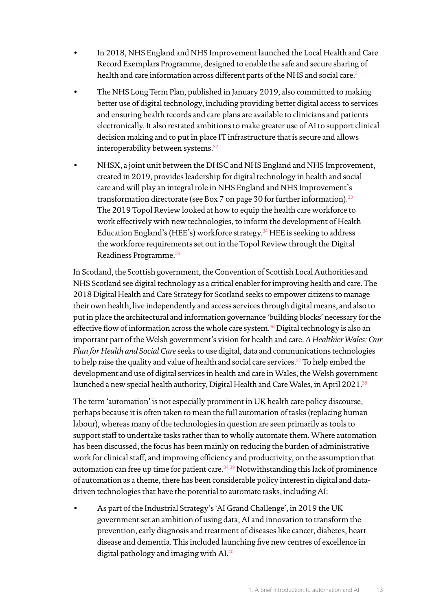- In 2018, NHS England and NHS Improvement launched the Local Health and Care Record Exemplars Programme, designed to enable the safe and secure sharing of health and care information across different parts of the NHS and social care.<sup>[31](#page-70-3)</sup>
- The NHS Long Term Plan, published in January 2019, also committed to making better use of digital technology, including providing better digital access to services and ensuring health records and care plans are available to clinicians and patients electronically. It also restated ambitions to make greater use of AI to support clinical decision making and to put in place IT infrastructure that is secure and allows interoperability between systems.<sup>[32](#page-70-4)</sup>
- NHSX, a joint unit between the DHSC and NHS England and NHS Improvement, created in 2019, provides leadership for digital technology in health and social care and will play an integral role in NHS England and NHS Improvement's transformation directorate (see Box 7 on page 30 for further information).<sup>[33](#page-70-5)</sup> The 2019 Topol Review looked at how to equip the health care workforce to work effectively with new technologies, to inform the development of Health Education England's (HEE's) workforce strategy.[34](#page-70-6) HEE is seeking to address the workforce requirements set out in the Topol Review through the Digital Readiness Programme.[38](#page-70-7)

In Scotland, the Scottish government, the Convention of Scottish Local Authorities and NHS Scotland see digital technology as a critical enabler for improving health and care. The 2018 Digital Health and Care Strategy for Scotland seeks to empower citizens to manage their own health, live independently and access services through digital means, and also to put in place the architectural and information governance 'building blocks' necessary for the effective flow of information across the whole care system.<sup>[36](#page-70-8)</sup> Digital technology is also an important part of the Welsh government's vision for health and care. *A Healthier Wales: Our Plan for Health and Social Care* seeks to use digital, data and communications technologies to help raise the quality and value of health and social care services.<sup>[37](#page-70-9)</sup> To help embed the development and use of digital services in health and care in Wales, the Welsh government launched a new special health authority, Digital Health and Care Wales, in April 2021.<sup>[38](#page-70-7)</sup>

The term 'automation' is not especially prominent in UK health care policy discourse, perhaps because it is often taken to mean the full automation of tasks (replacing human labour), whereas many of the technologies in question are seen primarily as tools to support staff to undertake tasks rather than to wholly automate them. Where automation has been discussed, the focus has been mainly on reducing the burden of administrative work for clinical staff, and improving efficiency and productivity, on the assumption that automation can free up time for patient care.  $34,39$  $34,39$  Notwithstanding this lack of prominence of automation as a theme, there has been considerable policy interest in digital and datadriven technologies that have the potential to automate tasks, including AI:

• As part of the Industrial Strategy's 'AI Grand Challenge', in 2019 the UK government set an ambition of using data, AI and innovation to transform the prevention, early diagnosis and treatment of diseases like cancer, diabetes, heart disease and dementia. This included launching five new centres of excellence in digital pathology and imaging with AI.[40](#page-70-11)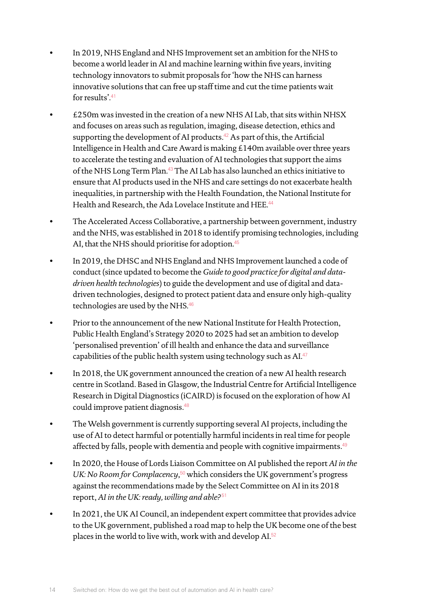- In 2019, NHS England and NHS Improvement set an ambition for the NHS to become a world leader in AI and machine learning within five years, inviting technology innovators to submit proposals for 'how the NHS can harness innovative solutions that can free up staff time and cut the time patients wait for results'.[41](#page-70-12)
- £250m was invested in the creation of a new NHS AI Lab, that sits within NHSX and focuses on areas such as regulation, imaging, disease detection, ethics and supporting the development of AI products.<sup>[42](#page-70-13)</sup> As part of this, the Artificial Intelligence in Health and Care Award is making £140m available over three years to accelerate the testing and evaluation of AI technologies that support the aims of the NHS Long Term Plan.[43](#page-70-14) The AI Lab has also launched an ethics initiative to ensure that AI products used in the NHS and care settings do not exacerbate health inequalities, in partnership with the Health Foundation, the National Institute for Health and Research, the Ada Lovelace Institute and HEE.<sup>[44](#page-70-15)</sup>
- The Accelerated Access Collaborative, a partnership between government, industry and the NHS, was established in 2018 to identify promising technologies, including AI, that the NHS should prioritise for adoption.<sup>[45](#page-70-16)</sup>
- In 2019, the DHSC and NHS England and NHS Improvement launched a code of conduct (since updated to become the *Guide to good practice for digital and datadriven health technologies*) to guide the development and use of digital and datadriven technologies, designed to protect patient data and ensure only high-quality technologies are used by the NHS.<sup>[46](#page-70-17)</sup>
- Prior to the announcement of the new National Institute for Health Protection, Public Health England's Strategy 2020 to 2025 had set an ambition to develop 'personalised prevention' of ill health and enhance the data and surveillance capabilities of the public health system using technology such as AI.[47](#page-70-18)
- In 2018, the UK government announced the creation of a new AI health research centre in Scotland. Based in Glasgow, the Industrial Centre for Artificial Intelligence Research in Digital Diagnostics (iCAIRD) is focused on the exploration of how AI could improve patient diagnosis.[48](#page-70-19)
- The Welsh government is currently supporting several AI projects, including the use of AI to detect harmful or potentially harmful incidents in real time for people affected by falls, people with dementia and people with cognitive impairments.<sup>[49](#page-70-20)</sup>
- In 2020, the House of Lords Liaison Committee on AI published the report *AI in the*  UK: No Room for Complacency,<sup>[50](#page-70-21)</sup> which considers the UK government's progress against the recommendations made by the Select Committee on AI in its 2018 report, *AI in the UK: ready, willing and able?*[51](#page-70-22)
- In 2021, the UK AI Council, an independent expert committee that provides advice to the UK government, published a road map to help the UK become one of the best places in the world to live with, work with and develop AI.[52](#page-70-23)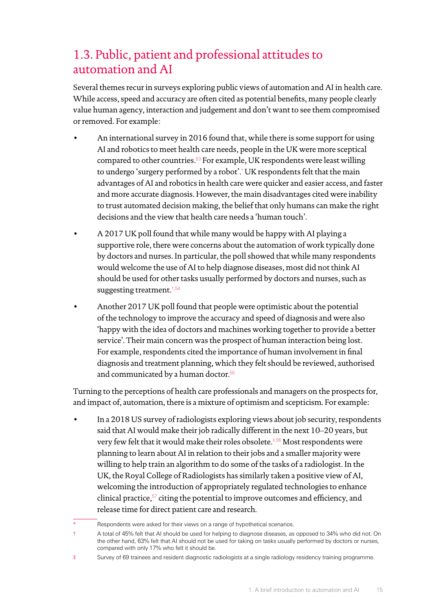## <span id="page-16-0"></span>1.3. Public, patient and professional attitudes to automation and AI

Several themes recur in surveys exploring public views of automation and AI in health care. While access, speed and accuracy are often cited as potential benefits, many people clearly value human agency, interaction and judgement and don't want to see them compromised or removed. For example:

- An international survey in 2016 found that, while there is some support for using AI and robotics to meet health care needs, people in the UK were more sceptical compared to other countries. $53$  For example, UK respondents were least willing to undergo 'surgery performed by a robot'.\* UK respondents felt that the main advantages of AI and robotics in health care were quicker and easier access, and faster and more accurate diagnosis. However, the main disadvantages cited were inability to trust automated decision making, the belief that only humans can make the right decisions and the view that health care needs a 'human touch'.
- A 2017 UK poll found that while many would be happy with AI playing a supportive role, there were concerns about the automation of work typically done by doctors and nurses. In particular, the poll showed that while many respondents would welcome the use of AI to help diagnose diseases, most did not think AI should be used for other tasks usually performed by doctors and nurses, such as suggesting treatment. $\frac{1}{5}$ , 54
- Another 2017 UK poll found that people were optimistic about the potential of the technology to improve the accuracy and speed of diagnosis and were also 'happy with the idea of doctors and machines working together to provide a better service'. Their main concern was the prospect of human interaction being lost. For example, respondents cited the importance of human involvement in final diagnosis and treatment planning, which they felt should be reviewed, authorised and communicated by a human doctor.<sup>[55](#page-70-26)</sup>

Turning to the perceptions of health care professionals and managers on the prospects for, and impact of, automation, there is a mixture of optimism and scepticism. For example:

• In a 2018 US survey of radiologists exploring views about job security, respondents said that AI would make their job radically different in the next 10–20 years, but very few felt that it would make their roles obsolete.<sup>#[,56](#page-70-27)</sup> Most respondents were planning to learn about AI in relation to their jobs and a smaller majority were willing to help train an algorithm to do some of the tasks of a radiologist. In the UK, the Royal College of Radiologists has similarly taken a positive view of AI, welcoming the introduction of appropriately regulated technologies to enhance clinical practice,[57](#page-70-28) citing the potential to improve outcomes and efficiency, and release time for direct patient care and research.

Respondents were asked for their views on a range of hypothetical scenarios.

<sup>†</sup> A total of 45% felt that AI should be used for helping to diagnose diseases, as opposed to 34% who did not. On the other hand, 63% felt that AI should not be used for taking on tasks usually performed by doctors or nurses, compared with only 17% who felt it should be.

<sup>‡</sup> Survey of 69 trainees and resident diagnostic radiologists at a single radiology residency training programme.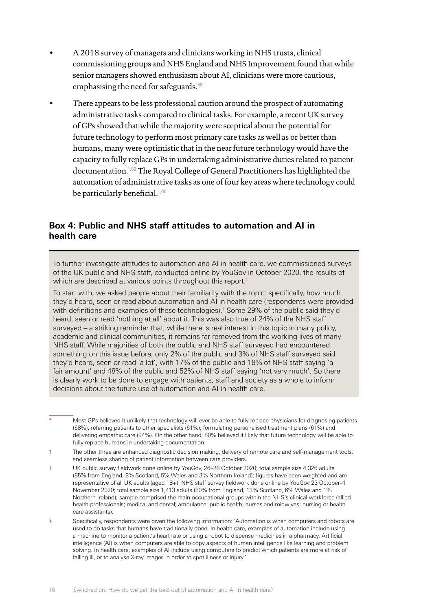- A 2018 survey of managers and clinicians working in NHS trusts, clinical commissioning groups and NHS England and NHS Improvement found that while senior managers showed enthusiasm about AI, clinicians were more cautious, emphasising the need for safeguards.<sup>[58](#page-71-0)</sup>
- There appears to be less professional caution around the prospect of automating administrative tasks compared to clinical tasks. For example, a recent UK survey of GPs showed that while the majority were sceptical about the potential for future technology to perform most primary care tasks as well as or better than humans, many were optimistic that in the near future technology would have the capacity to fully replace GPs in undertaking administrative duties related to patient documentation.\*[,59](#page-71-1) The Royal College of General Practitioners has highlighted the automation of administrative tasks as one of four key areas where technology could be particularly beneficial.<sup>†[,60](#page-71-2)</sup>

#### **Box 4: Public and NHS staff attitudes to automation and AI in health care**

To further investigate attitudes to automation and AI in health care, we commissioned surveys of the UK public and NHS staff, conducted online by YouGov in October 2020, the results of which are described at various points throughout this report.<sup>#</sup>

To start with, we asked people about their familiarity with the topic: specifically, how much they'd heard, seen or read about automation and AI in health care (respondents were provided with definitions and examples of these technologies).§ Some 29% of the public said they'd heard, seen or read 'nothing at all' about it. This was also true of 24% of the NHS staff surveyed – a striking reminder that, while there is real interest in this topic in many policy, academic and clinical communities, it remains far removed from the working lives of many NHS staff. While majorities of both the public and NHS staff surveyed had encountered something on this issue before, only 2% of the public and 3% of NHS staff surveyed said they'd heard, seen or read 'a lot', with 17% of the public and 18% of NHS staff saying 'a fair amount' and 48% of the public and 52% of NHS staff saying 'not very much'. So there is clearly work to be done to engage with patients, staff and society as a whole to inform decisions about the future use of automation and AI in health care.

§ Specifically, respondents were given the following information: 'Automation is when computers and robots are used to do tasks that humans have traditionally done. In health care, examples of automation include using a machine to monitor a patient's heart rate or using a robot to dispense medicines in a pharmacy. Artificial intelligence (AI) is when computers are able to copy aspects of human intelligence like learning and problem solving. In health care, examples of AI include using computers to predict which patients are more at risk of falling ill, or to analyse X-ray images in order to spot illness or injury.'

Most GPs believed it unlikely that technology will ever be able to fully replace physicians for diagnosing patients (68%), referring patients to other specialists (61%), formulating personalised treatment plans (61%) and delivering empathic care (94%). On the other hand, 80% believed it likely that future technology will be able to fully replace humans in undertaking documentation.

<sup>†</sup> The other three are enhanced diagnostic decision making; delivery of remote care and self-management tools; and seamless sharing of patient information between care providers.

<sup>‡</sup> UK public survey fieldwork done online by YouGov, 26–28 October 2020; total sample size 4,326 adults (85% from England, 8% Scotland, 5% Wales and 3% Northern Ireland); figures have been weighted and are representative of all UK adults (aged 18+). NHS staff survey fieldwork done online by YouGov 23 October–1 November 2020; total sample size 1,413 adults (80% from England, 13% Scotland, 6% Wales and 1% Northern Ireland); sample comprised the main occupational groups within the NHS's clinical workforce (allied health professionals; medical and dental; ambulance; public health; nurses and midwives; nursing or health care assistants).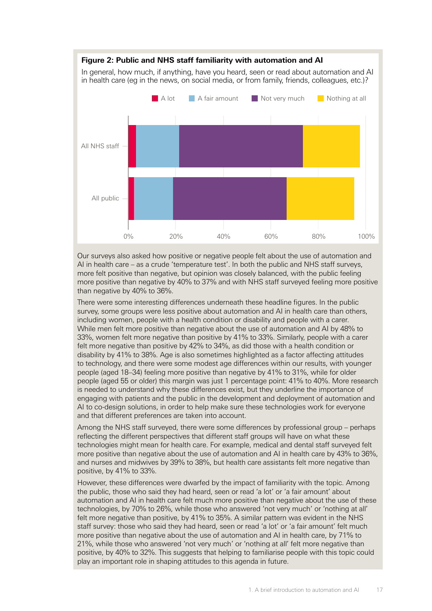

Our surveys also asked how positive or negative people felt about the use of automation and AI in health care – as a crude 'temperature test'. In both the public and NHS staff surveys, more felt positive than negative, but opinion was closely balanced, with the public feeling more positive than negative by 40% to 37% and with NHS staff surveyed feeling more positive than negative by 40% to 36%.

There were some interesting differences underneath these headline figures. In the public survey, some groups were less positive about automation and AI in health care than others, including women, people with a health condition or disability and people with a carer. While men felt more positive than negative about the use of automation and AI by 48% to 33%, women felt more negative than positive by 41% to 33%. Similarly, people with a carer felt more negative than positive by 42% to 34%, as did those with a health condition or disability by 41% to 38%. Age is also sometimes highlighted as a factor affecting attitudes to technology, and there were some modest age differences within our results, with younger people (aged 18–34) feeling more positive than negative by 41% to 31%, while for older people (aged 55 or older) this margin was just 1 percentage point: 41% to 40%. More research is needed to understand why these differences exist, but they underline the importance of engaging with patients and the public in the development and deployment of automation and AI to co-design solutions, in order to help make sure these technologies work for everyone and that different preferences are taken into account.

Among the NHS staff surveyed, there were some differences by professional group – perhaps reflecting the different perspectives that different staff groups will have on what these technologies might mean for health care. For example, medical and dental staff surveyed felt more positive than negative about the use of automation and AI in health care by 43% to 36%, and nurses and midwives by 39% to 38%, but health care assistants felt more negative than positive, by 41% to 33%.

However, these differences were dwarfed by the impact of familiarity with the topic. Among the public, those who said they had heard, seen or read 'a lot' or 'a fair amount' about automation and AI in health care felt much more positive than negative about the use of these technologies, by 70% to 26%, while those who answered 'not very much' or 'nothing at all' felt more negative than positive, by 41% to 35%. A similar pattern was evident in the NHS staff survey: those who said they had heard, seen or read 'a lot' or 'a fair amount' felt much more positive than negative about the use of automation and AI in health care, by 71% to 21%, while those who answered 'not very much' or 'nothing at all' felt more negative than positive, by 40% to 32%. This suggests that helping to familiarise people with this topic could play an important role in shaping attitudes to this agenda in future.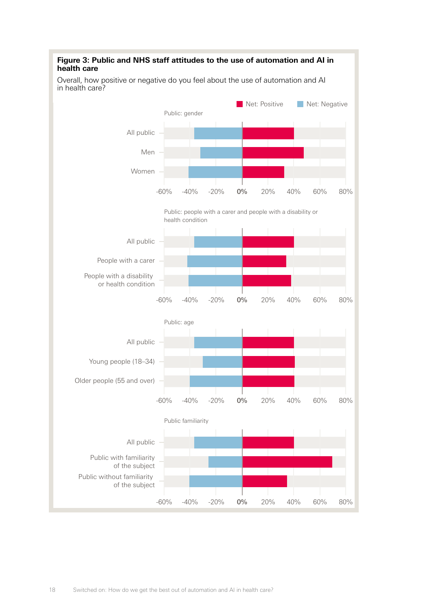

#### 18 Switched on: How do we get the best out of automation and AI in health care?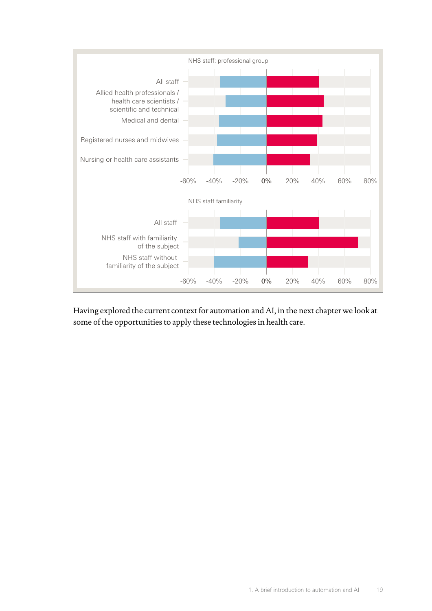

Having explored the current context for automation and AI, in the next chapter we look at some of the opportunities to apply these technologies in health care.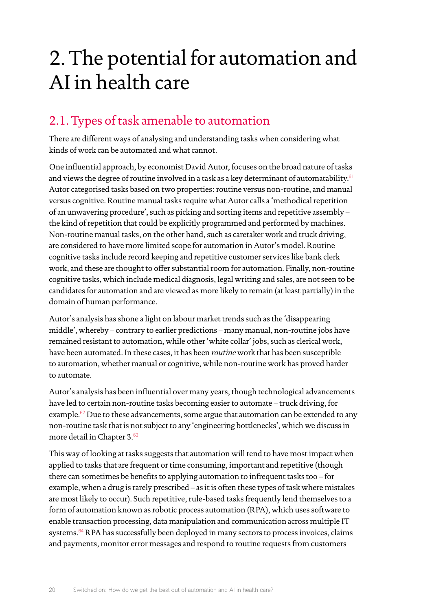## <span id="page-21-0"></span>2. The potential for automation and AI in health care

## 2.1. Types of task amenable to automation

There are different ways of analysing and understanding tasks when considering what kinds of work can be automated and what cannot.

One influential approach, by economist David Autor, focuses on the broad nature of tasks and views the degree of routine involved in a task as a key determinant of automatability. $61$ Autor categorised tasks based on two properties: routine versus non-routine, and manual versus cognitive. Routine manual tasks require what Autor calls a 'methodical repetition of an unwavering procedure', such as picking and sorting items and repetitive assembly – the kind of repetition that could be explicitly programmed and performed by machines. Non-routine manual tasks, on the other hand, such as caretaker work and truck driving, are considered to have more limited scope for automation in Autor's model. Routine cognitive tasks include record keeping and repetitive customer services like bank clerk work, and these are thought to offer substantial room for automation. Finally, non-routine cognitive tasks, which include medical diagnosis, legal writing and sales, are not seen to be candidates for automation and are viewed as more likely to remain (at least partially) in the domain of human performance.

Autor's analysis has shone a light on labour market trends such as the 'disappearing middle', whereby – contrary to earlier predictions – many manual, non-routine jobs have remained resistant to automation, while other 'white collar' jobs, such as clerical work, have been automated. In these cases, it has been *routine* work that has been susceptible to automation, whether manual or cognitive, while non-routine work has proved harder to automate.

Autor's analysis has been influential over many years, though technological advancements have led to certain non-routine tasks becoming easier to automate – truck driving, for example. $62$  Due to these advancements, some argue that automation can be extended to any non-routine task that is not subject to any 'engineering bottlenecks', which we discuss in more detail in Chapter 3.<sup>[63](#page-71-5)</sup>

This way of looking at tasks suggests that automation will tend to have most impact when applied to tasks that are frequent or time consuming, important and repetitive (though there can sometimes be benefits to applying automation to infrequent tasks too – for example, when a drug is rarely prescribed – as it is often these types of task where mistakes are most likely to occur). Such repetitive, rule-based tasks frequently lend themselves to a form of automation known as robotic process automation (RPA), which uses software to enable transaction processing, data manipulation and communication across multiple IT systems.<sup>[64](#page-71-6)</sup> RPA has successfully been deployed in many sectors to process invoices, claims and payments, monitor error messages and respond to routine requests from customers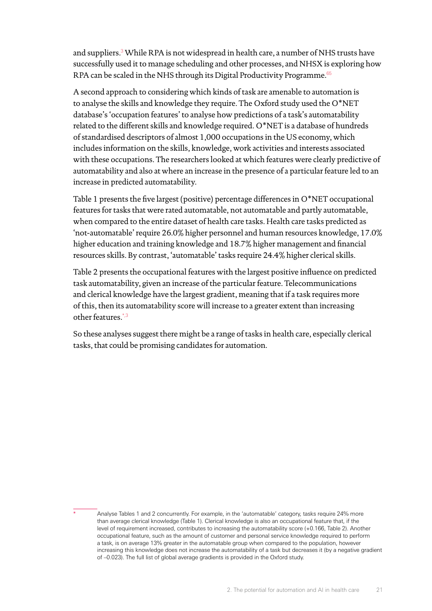and suppliers. $^3$  While RPA is not widespread in health care, a number of NHS trusts have successfully used it to manage scheduling and other processes, and NHSX is exploring how RPA can be scaled in the NHS through its Digital Productivity Programme.<sup>[65](#page-71-7)</sup>

A second approach to considering which kinds of task are amenable to automation is to analyse the skills and knowledge they require. The Oxford study used the O\*NET database's 'occupation features' to analyse how predictions of a task's automatability related to the different skills and knowledge required. O\*NET is a database of hundreds of standardised descriptors of almost 1,000 occupations in the US economy, which includes information on the skills, knowledge, work activities and interests associated with these occupations. The researchers looked at which features were clearly predictive of automatability and also at where an increase in the presence of a particular feature led to an increase in predicted automatability.

Table 1 presents the five largest (positive) percentage differences in O\*NET occupational features for tasks that were rated automatable, not automatable and partly automatable, when compared to the entire dataset of health care tasks. Health care tasks predicted as 'not-automatable' require 26.0% higher personnel and human resources knowledge, 17.0% higher education and training knowledge and 18.7% higher management and financial resources skills. By contrast, 'automatable' tasks require 24.4% higher clerical skills.

Table 2 presents the occupational features with the largest positive influence on predicted task automatability, given an increase of the particular feature. Telecommunications and clerical knowledge have the largest gradient, meaning that if a task requires more of this, then its automatability score will increase to a greater extent than increasing other features.\*[,3](#page-69-3)

So these analyses suggest there might be a range of tasks in health care, especially clerical tasks, that could be promising candidates for automation.

Analyse Tables 1 and 2 concurrently. For example, in the 'automatable' category, tasks require 24% more than average clerical knowledge (Table 1). Clerical knowledge is also an occupational feature that, if the level of requirement increased, contributes to increasing the automatability score (+0.166, Table 2). Another occupational feature, such as the amount of customer and personal service knowledge required to perform a task, is on average 13% greater in the automatable group when compared to the population, however increasing this knowledge does not increase the automatability of a task but decreases it (by a negative gradient of –0.023). The full list of global average gradients is provided in the Oxford study.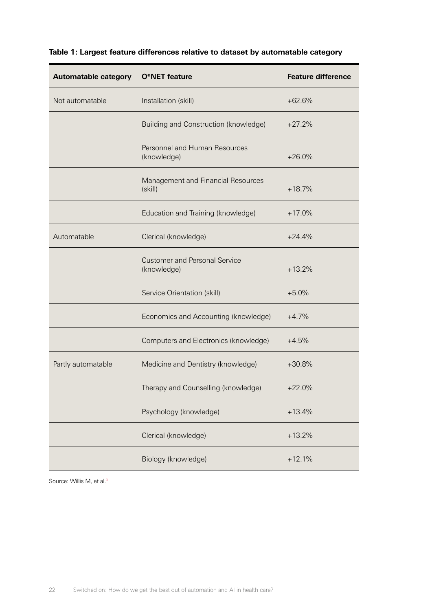| <b>Automatable category</b> | O*NET feature                                       | <b>Feature difference</b> |
|-----------------------------|-----------------------------------------------------|---------------------------|
| Not automatable             | Installation (skill)                                | $+62.6%$                  |
|                             | Building and Construction (knowledge)               | $+27.2%$                  |
|                             | Personnel and Human Resources<br>(knowledge)        | $+26.0%$                  |
|                             | Management and Financial Resources<br>(skill)       | $+18.7%$                  |
|                             | Education and Training (knowledge)                  | $+17.0%$                  |
| Automatable                 | Clerical (knowledge)                                | $+24.4%$                  |
|                             | <b>Customer and Personal Service</b><br>(knowledge) | $+13.2%$                  |
|                             | Service Orientation (skill)                         | $+5.0%$                   |
|                             | Economics and Accounting (knowledge)                | $+4.7%$                   |
|                             | Computers and Electronics (knowledge)               | $+4.5%$                   |
| Partly automatable          | Medicine and Dentistry (knowledge)                  | $+30.8%$                  |
|                             | Therapy and Counselling (knowledge)                 | $+22.0%$                  |
|                             | Psychology (knowledge)                              | $+13.4%$                  |
|                             | Clerical (knowledge)                                | $+13.2%$                  |
|                             | Biology (knowledge)                                 | $+12.1%$                  |

#### **Table 1: Largest feature differences relative to dataset by automatable category**

Source: Willis M, et al.<sup>3</sup>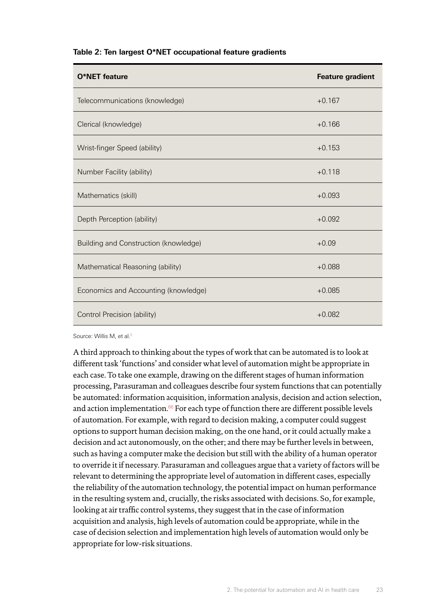| <b>O*NET</b> feature                         | <b>Feature gradient</b> |
|----------------------------------------------|-------------------------|
| Telecommunications (knowledge)               | $+0.167$                |
| Clerical (knowledge)                         | $+0.166$                |
| Wrist-finger Speed (ability)                 | $+0.153$                |
| Number Facility (ability)                    | $+0.118$                |
| Mathematics (skill)                          | $+0.093$                |
| Depth Perception (ability)                   | $+0.092$                |
| <b>Building and Construction (knowledge)</b> | $+0.09$                 |
| Mathematical Reasoning (ability)             | $+0.088$                |
| Economics and Accounting (knowledge)         | $+0.085$                |
| Control Precision (ability)                  | $+0.082$                |

#### **Table 2: Ten largest O\*NET occupational feature gradients**

Source: Willis M, et al.<sup>3</sup>

A third approach to thinking about the types of work that can be automated is to look at different task 'functions' and consider what level of automation might be appropriate in each case. To take one example, drawing on the different stages of human information processing, Parasuraman and colleagues describe four system functions that can potentially be automated: information acquisition, information analysis, decision and action selection, and action implementation. $66$  For each type of function there are different possible levels of automation. For example, with regard to decision making, a computer could suggest options to support human decision making, on the one hand, or it could actually make a decision and act autonomously, on the other; and there may be further levels in between, such as having a computer make the decision but still with the ability of a human operator to override it if necessary. Parasuraman and colleagues argue that a variety of factors will be relevant to determining the appropriate level of automation in different cases, especially the reliability of the automation technology, the potential impact on human performance in the resulting system and, crucially, the risks associated with decisions. So, for example, looking at air traffic control systems, they suggest that in the case of information acquisition and analysis, high levels of automation could be appropriate, while in the case of decision selection and implementation high levels of automation would only be appropriate for low-risk situations.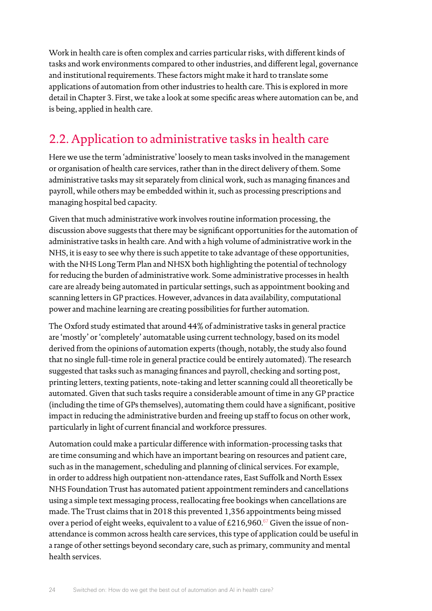<span id="page-25-0"></span>Work in health care is often complex and carries particular risks, with different kinds of tasks and work environments compared to other industries, and different legal, governance and institutional requirements. These factors might make it hard to translate some applications of automation from other industries to health care. This is explored in more detail in Chapter 3. First, we take a look at some specific areas where automation can be, and is being, applied in health care.

## 2.2. Application to administrative tasks in health care

Here we use the term 'administrative' loosely to mean tasks involved in the management or organisation of health care services, rather than in the direct delivery of them. Some administrative tasks may sit separately from clinical work, such as managing finances and payroll, while others may be embedded within it, such as processing prescriptions and managing hospital bed capacity.

Given that much administrative work involves routine information processing, the discussion above suggests that there may be significant opportunities for the automation of administrative tasks in health care. And with a high volume of administrative work in the NHS, it is easy to see why there is such appetite to take advantage of these opportunities, with the NHS Long Term Plan and NHSX both highlighting the potential of technology for reducing the burden of administrative work. Some administrative processes in health care are already being automated in particular settings, such as appointment booking and scanning letters in GP practices. However, advances in data availability, computational power and machine learning are creating possibilities for further automation.

The Oxford study estimated that around 44% of administrative tasks in general practice are 'mostly' or 'completely' automatable using current technology, based on its model derived from the opinions of automation experts (though, notably, the study also found that no single full-time role in general practice could be entirely automated). The research suggested that tasks such as managing finances and payroll, checking and sorting post, printing letters, texting patients, note-taking and letter scanning could all theoretically be automated. Given that such tasks require a considerable amount of time in any GP practice (including the time of GPs themselves), automating them could have a significant, positive impact in reducing the administrative burden and freeing up staff to focus on other work, particularly in light of current financial and workforce pressures.

Automation could make a particular difference with information-processing tasks that are time consuming and which have an important bearing on resources and patient care, such as in the management, scheduling and planning of clinical services. For example, in order to address high outpatient non-attendance rates, East Suffolk and North Essex NHS Foundation Trust has automated patient appointment reminders and cancellations using a simple text messaging process, reallocating free bookings when cancellations are made. The Trust claims that in 2018 this prevented 1,356 appointments being missed over a period of eight weeks, equivalent to a value of  $£216,960$ .<sup>[67](#page-71-9)</sup> Given the issue of nonattendance is common across health care services, this type of application could be useful in a range of other settings beyond secondary care, such as primary, community and mental health services.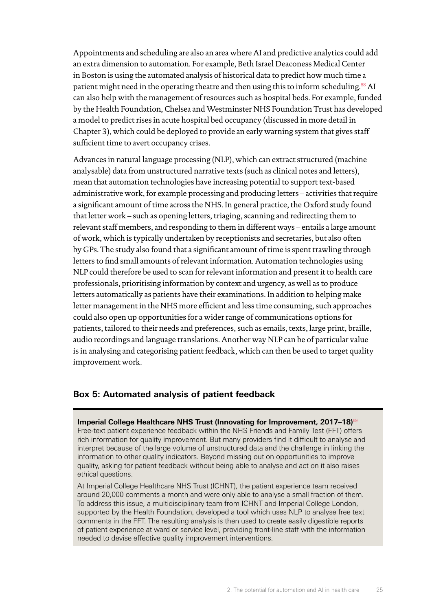Appointments and scheduling are also an area where AI and predictive analytics could add an extra dimension to automation. For example, Beth Israel Deaconess Medical Center in Boston is using the automated analysis of historical data to predict how much time a patient might need in the operating theatre and then using this to inform scheduling.<sup>[68](#page-71-10)</sup> AI can also help with the management of resources such as hospital beds. For example, funded by the Health Foundation, Chelsea and Westminster NHS Foundation Trust has developed a model to predict rises in acute hospital bed occupancy (discussed in more detail in Chapter 3), which could be deployed to provide an early warning system that gives staff sufficient time to avert occupancy crises.

Advances in natural language processing (NLP), which can extract structured (machine analysable) data from unstructured narrative texts (such as clinical notes and letters), mean that automation technologies have increasing potential to support text-based administrative work, for example processing and producing letters – activities that require a significant amount of time across the NHS. In general practice, the Oxford study found that letter work – such as opening letters, triaging, scanning and redirecting them to relevant staff members, and responding to them in different ways – entails a large amount of work, which is typically undertaken by receptionists and secretaries, but also often by GPs. The study also found that a significant amount of time is spent trawling through letters to find small amounts of relevant information. Automation technologies using NLP could therefore be used to scan for relevant information and present it to health care professionals, prioritising information by context and urgency, as well as to produce letters automatically as patients have their examinations. In addition to helping make letter management in the NHS more efficient and less time consuming, such approaches could also open up opportunities for a wider range of communications options for patients, tailored to their needs and preferences, such as emails, texts, large print, braille, audio recordings and language translations. Another way NLP can be of particular value is in analysing and categorising patient feedback, which can then be used to target quality improvement work.

#### **Box 5: Automated analysis of patient feedback**

**Imperial College Healthcare NHS Trust (Innovating for Improvement, 2017-18)<sup>[69](#page-71-11)</sup>** Free-text patient experience feedback within the NHS Friends and Family Test (FFT) offers rich information for quality improvement. But many providers find it difficult to analyse and interpret because of the large volume of unstructured data and the challenge in linking the information to other quality indicators. Beyond missing out on opportunities to improve quality, asking for patient feedback without being able to analyse and act on it also raises ethical questions.

At Imperial College Healthcare NHS Trust (ICHNT), the patient experience team received around 20,000 comments a month and were only able to analyse a small fraction of them. To address this issue, a multidisciplinary team from ICHNT and Imperial College London, supported by the Health Foundation, developed a tool which uses NLP to analyse free text comments in the FFT. The resulting analysis is then used to create easily digestible reports of patient experience at ward or service level, providing front-line staff with the information needed to devise effective quality improvement interventions.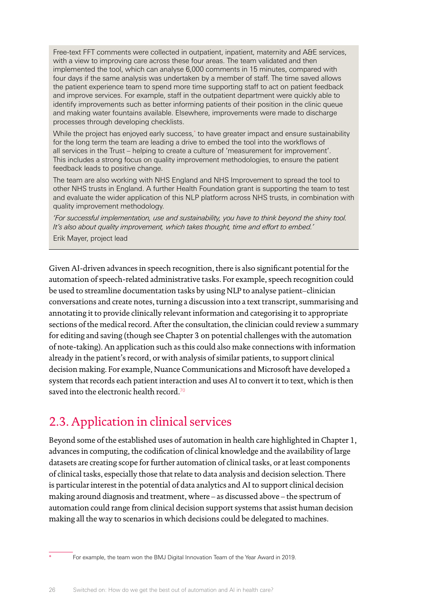<span id="page-27-0"></span>Free-text FFT comments were collected in outpatient, inpatient, maternity and A&E services, with a view to improving care across these four areas. The team validated and then implemented the tool, which can analyse 6,000 comments in 15 minutes, compared with four days if the same analysis was undertaken by a member of staff. The time saved allows the patient experience team to spend more time supporting staff to act on patient feedback and improve services. For example, staff in the outpatient department were quickly able to identify improvements such as better informing patients of their position in the clinic queue and making water fountains available. Elsewhere, improvements were made to discharge processes through developing checklists.

While the project has enjoyed early success, to have greater impact and ensure sustainability for the long term the team are leading a drive to embed the tool into the workflows of all services in the Trust – helping to create a culture of 'measurement for improvement'. This includes a strong focus on quality improvement methodologies, to ensure the patient feedback leads to positive change.

The team are also working with NHS England and NHS Improvement to spread the tool to other NHS trusts in England. A further Health Foundation grant is supporting the team to test and evaluate the wider application of this NLP platform across NHS trusts, in combination with quality improvement methodology.

*'For successful implementation, use and sustainability, you have to think beyond the shiny tool. It's also about quality improvement, which takes thought, time and effort to embed.'* Erik Mayer, project lead

Given AI-driven advances in speech recognition, there is also significant potential for the automation of speech-related administrative tasks. For example, speech recognition could be used to streamline documentation tasks by using NLP to analyse patient–clinician conversations and create notes, turning a discussion into a text transcript, summarising and annotating it to provide clinically relevant information and categorising it to appropriate sections of the medical record. After the consultation, the clinician could review a summary for editing and saving (though see Chapter 3 on potential challenges with the automation of note-taking). An application such as this could also make connections with information already in the patient's record, or with analysis of similar patients, to support clinical decision making. For example, Nuance Communications and Microsoft have developed a system that records each patient interaction and uses AI to convert it to text, which is then saved into the electronic health record  $70$ 

## 2.3. Application in clinical services

Beyond some of the established uses of automation in health care highlighted in Chapter 1, advances in computing, the codification of clinical knowledge and the availability of large datasets are creating scope for further automation of clinical tasks, or at least components of clinical tasks, especially those that relate to data analysis and decision selection. There is particular interest in the potential of data analytics and AI to support clinical decision making around diagnosis and treatment, where – as discussed above – the spectrum of automation could range from clinical decision support systems that assist human decision making all the way to scenarios in which decisions could be delegated to machines.

For example, the team won the BMJ Digital Innovation Team of the Year Award in 2019.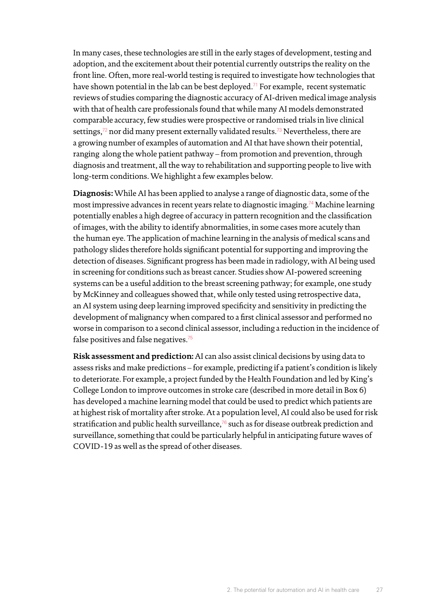In many cases, these technologies are still in the early stages of development, testing and adoption, and the excitement about their potential currently outstrips the reality on the front line. Often, more real-world testing is required to investigate how technologies that have shown potential in the lab can be best deployed.<sup>[71](#page-71-13)</sup> For example, recent systematic reviews of studies comparing the diagnostic accuracy of AI-driven medical image analysis with that of health care professionals found that while many AI models demonstrated comparable accuracy, few studies were prospective or randomised trials in live clinical settings,<sup>[72](#page-71-14)</sup> nor did many present externally validated results.<sup>[73](#page-71-15)</sup> Nevertheless, there are a growing number of examples of automation and AI that have shown their potential, ranging along the whole patient pathway – from promotion and prevention, through diagnosis and treatment, all the way to rehabilitation and supporting people to live with long-term conditions. We highlight a few examples below.

**Diagnosis:** While AI has been applied to analyse a range of diagnostic data, some of the most impressive advances in recent years relate to diagnostic imaging.[74](#page-71-16) Machine learning potentially enables a high degree of accuracy in pattern recognition and the classification of images, with the ability to identify abnormalities, in some cases more acutely than the human eye. The application of machine learning in the analysis of medical scans and pathology slides therefore holds significant potential for supporting and improving the detection of diseases. Significant progress has been made in radiology, with AI being used in screening for conditions such as breast cancer. Studies show AI-powered screening systems can be a useful addition to the breast screening pathway; for example, one study by McKinney and colleagues showed that, while only tested using retrospective data, an AI system using deep learning improved specificity and sensitivity in predicting the development of malignancy when compared to a first clinical assessor and performed no worse in comparison to a second clinical assessor, including a reduction in the incidence of false positives and false negatives.<sup>[75](#page-71-17)</sup>

**Risk assessment and prediction:** AI can also assist clinical decisions by using data to assess risks and make predictions – for example, predicting if a patient's condition is likely to deteriorate. For example, a project funded by the Health Foundation and led by King's College London to improve outcomes in stroke care (described in more detail in Box 6) has developed a machine learning model that could be used to predict which patients are at highest risk of mortality after stroke. At a population level, AI could also be used for risk stratification and public health surveillance, $76$  such as for disease outbreak prediction and surveillance, something that could be particularly helpful in anticipating future waves of COVID-19 as well as the spread of other diseases.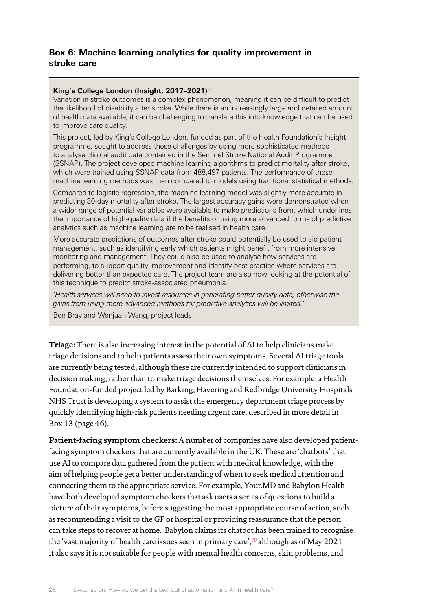#### **Box 6: Machine learning analytics for quality improvement in stroke care**

#### **King's College London (Insight, 2017–2021)**[77](#page-71-19)

Variation in stroke outcomes is a complex phenomenon, meaning it can be difficult to predict the likelihood of disability after stroke. While there is an increasingly large and detailed amount of health data available, it can be challenging to translate this into knowledge that can be used to improve care quality.

This project, led by King's College London, funded as part of the Health Foundation's Insight programme, sought to address these challenges by using more sophisticated methods to analyse clinical audit data contained in the Sentinel Stroke National Audit Programme (SSNAP). The project developed machine learning algorithms to predict mortality after stroke, which were trained using SSNAP data from 488,497 patients. The performance of these machine learning methods was then compared to models using traditional statistical methods.

Compared to logistic regression, the machine learning model was slightly more accurate in predicting 30-day mortality after stroke. The largest accuracy gains were demonstrated when a wider range of potential variables were available to make predictions from, which underlines the importance of high-quality data if the benefits of using more advanced forms of predictive analytics such as machine learning are to be realised in health care.

More accurate predictions of outcomes after stroke could potentially be used to aid patient management, such as identifying early which patients might benefit from more intensive monitoring and management. They could also be used to analyse how services are performing, to support quality improvement and identify best practice where services are delivering better than expected care. The project team are also now looking at the potential of this technique to predict stroke-associated pneumonia.

*'Health services will need to invest resources in generating better quality data, otherwise the gains from using more advanced methods for predictive analytics will be limited.'*

Ben Bray and Wenjuan Wang, project leads

**Triage:** There is also increasing interest in the potential of AI to help clinicians make triage decisions and to help patients assess their own symptoms. Several AI triage tools are currently being tested, although these are currently intended to support clinicians in decision making, rather than to make triage decisions themselves. For example, a Health Foundation-funded project led by Barking, Havering and Redbridge University Hospitals NHS Trust is developing a system to assist the emergency department triage process by quickly identifying high-risk patients needing urgent care, described in more detail in Box 13 (page 46).

**Patient-facing symptom checkers:** A number of companies have also developed patientfacing symptom checkers that are currently available in the UK. These are 'chatbots' that use AI to compare data gathered from the patient with medical knowledge, with the aim of helping people get a better understanding of when to seek medical attention and connecting them to the appropriate service. For example, Your.MD and Babylon Health have both developed symptom checkers that ask users a series of questions to build a picture of their symptoms, before suggesting the most appropriate course of action, such as recommending a visit to the GP or hospital or providing reassurance that the person can take steps to recover at home. Babylon claims its chatbot has been trained to recognise the 'vast majority of health care issues seen in primary care', $\frac{7}{8}$  although as of May 2021 it also says it is not suitable for people with mental health concerns, skin problems, and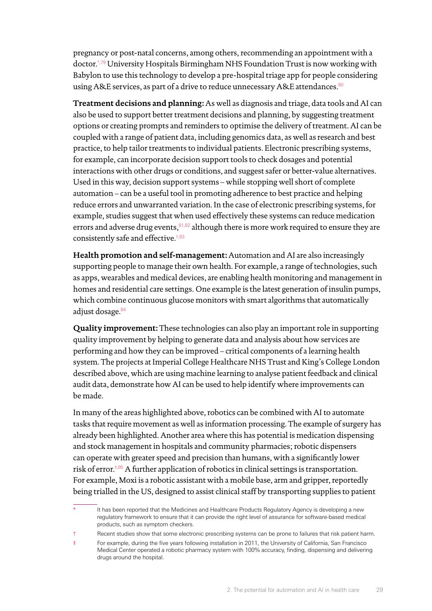pregnancy or post-natal concerns, among others, recommending an appointment with a doctor.\*,[79](#page-71-21) University Hospitals Birmingham NHS Foundation Trust is now working with Babylon to use this technology to develop a pre-hospital triage app for people considering using A&E services, as part of a drive to reduce unnecessary A&E attendances.<sup>[80](#page-71-22)</sup>

**Treatment decisions and planning:** As well as diagnosis and triage, data tools and AI can also be used to support better treatment decisions and planning, by suggesting treatment options or creating prompts and reminders to optimise the delivery of treatment. AI can be coupled with a range of patient data, including genomics data, as well as research and best practice, to help tailor treatments to individual patients. Electronic prescribing systems, for example, can incorporate decision support tools to check dosages and potential interactions with other drugs or conditions, and suggest safer or better-value alternatives. Used in this way, decision support systems – while stopping well short of complete automation – can be a useful tool in promoting adherence to best practice and helping reduce errors and unwarranted variation. In the case of electronic prescribing systems, for example, studies suggest that when used effectively these systems can reduce medication errors and adverse drug events,  $81,82$  $81,82$  although there is more work required to ensure they are consistently safe and effective.†[,83](#page-71-25)

**Health promotion and self-management:** Automation and AI are also increasingly supporting people to manage their own health. For example, a range of technologies, such as apps, wearables and medical devices, are enabling health monitoring and management in homes and residential care settings. One example is the latest generation of insulin pumps, which combine continuous glucose monitors with smart algorithms that automatically adjust dosage.<sup>[84](#page-72-0)</sup>

**Quality improvement:** These technologies can also play an important role in supporting quality improvement by helping to generate data and analysis about how services are performing and how they can be improved – critical components of a learning health system. The projects at Imperial College Healthcare NHS Trust and King's College London described above, which are using machine learning to analyse patient feedback and clinical audit data, demonstrate how AI can be used to help identify where improvements can be made.

In many of the areas highlighted above, robotics can be combined with AI to automate tasks that require movement as well as information processing. The example of surgery has already been highlighted. Another area where this has potential is medication dispensing and stock management in hospitals and community pharmacies; robotic dispensers can operate with greater speed and precision than humans, with a significantly lower risk of error.<sup>‡,[85](#page-72-1)</sup> A further application of robotics in clinical settings is transportation. For example, Moxi is a robotic assistant with a mobile base, arm and gripper, reportedly being trialled in the US, designed to assist clinical staff by transporting supplies to patient

It has been reported that the Medicines and Healthcare Products Regulatory Agency is developing a new regulatory framework to ensure that it can provide the right level of assurance for software-based medical products, such as symptom checkers.

<sup>†</sup> Recent studies show that some electronic prescribing systems can be prone to failures that risk patient harm.

<sup>‡</sup> For example, during the five years following installation in 2011, the University of California, San Francisco Medical Center operated a robotic pharmacy system with 100% accuracy, finding, dispensing and delivering drugs around the hospital.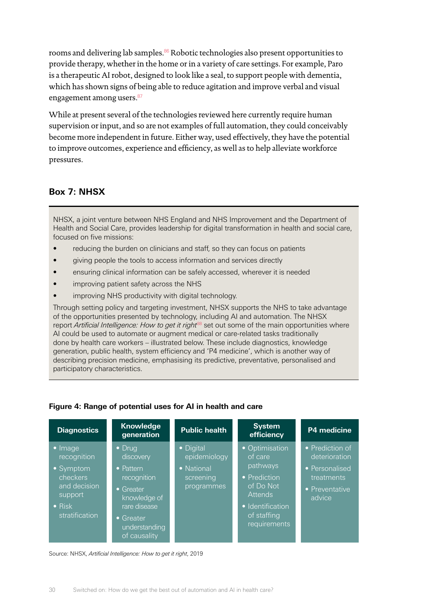rooms and delivering lab samples.<sup>[86](#page-72-2)</sup> Robotic technologies also present opportunities to provide therapy, whether in the home or in a variety of care settings. For example, Paro is a therapeutic AI robot, designed to look like a seal, to support people with dementia, which has shown signs of being able to reduce agitation and improve verbal and visual engagement among users.[87](#page-72-3)

While at present several of the technologies reviewed here currently require human supervision or input, and so are not examples of full automation, they could conceivably become more independent in future. Either way, used effectively, they have the potential to improve outcomes, experience and efficiency, as well as to help alleviate workforce pressures.

#### **Box 7: NHSX**

NHSX, a joint venture between NHS England and NHS Improvement and the Department of Health and Social Care, provides leadership for digital transformation in health and social care, focused on five missions:

- reducing the burden on clinicians and staff, so they can focus on patients
- giving people the tools to access information and services directly
- ensuring clinical information can be safely accessed, wherever it is needed
- improving patient safety across the NHS
- improving NHS productivity with digital technology.

Through setting policy and targeting investment, NHSX supports the NHS to take advantage of the opportunities presented by technology, including AI and automation. The NHSX report *Artificial Intelligence: How to get it right*<sup>[88](#page-72-4)</sup> set out some of the main opportunities where AI could be used to automate or augment medical or care-related tasks traditionally done by health care workers – illustrated below. These include diagnostics, knowledge generation, public health, system efficiency and 'P4 medicine', which is another way of describing precision medicine, emphasising its predictive, preventative, personalised and participatory characteristics.

| <b>Diagnostics</b>                                                                                                     | <b>Knowledge</b><br>generation                                                                                                                     | <b>Public health</b>                                               | <b>System</b><br>efficiency                                                                                                             | P4 medicine                                                                                  |
|------------------------------------------------------------------------------------------------------------------------|----------------------------------------------------------------------------------------------------------------------------------------------------|--------------------------------------------------------------------|-----------------------------------------------------------------------------------------------------------------------------------------|----------------------------------------------------------------------------------------------|
| $\bullet$ Image<br>recognition<br>• Symptom<br>checkers<br>and decision<br>support<br>$\bullet$ Risk<br>stratification | $\bullet$ Drug<br>discovery<br>• Pattern<br>recognition<br>$\bullet$ Greater<br>knowledge of<br>rare disease<br>$\bullet$ Greater<br>understanding | • Digital<br>epidemiology<br>• National<br>screening<br>programmes | • Optimisation<br>of care<br>pathways<br>• Prediction<br>of Do Not<br><b>Attends</b><br>• Identification<br>of staffing<br>requirements | • Prediction of<br>deterioration<br>• Personalised<br>treatments<br>• Preventative<br>advice |

#### **Figure 4: Range of potential uses for AI in health and care**

Source: NHSX, *Artificial Intelligence: How to get it right*, 2019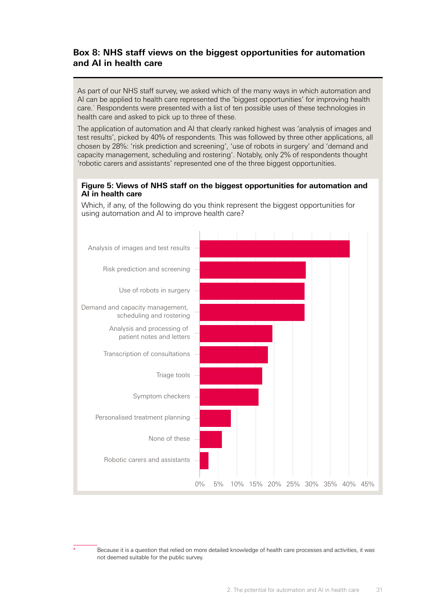#### **Box 8: NHS staff views on the biggest opportunities for automation and AI in health care**

As part of our NHS staff survey, we asked which of the many ways in which automation and AI can be applied to health care represented the 'biggest opportunities' for improving health care.\* Respondents were presented with a list of ten possible uses of these technologies in health care and asked to pick up to three of these.

The application of automation and AI that clearly ranked highest was 'analysis of images and test results', picked by 40% of respondents. This was followed by three other applications, all chosen by 28%: 'risk prediction and screening', 'use of robots in surgery' and 'demand and capacity management, scheduling and rostering'. Notably, only 2% of respondents thought 'robotic carers and assistants' represented one of the three biggest opportunities.

#### **Figure 5: Views of NHS staff on the biggest opportunities for automation and AI in health care**

Which, if any, of the following do you think represent the biggest opportunities for using automation and AI to improve health care?



Because it is a question that relied on more detailed knowledge of health care processes and activities, it was not deemed suitable for the public survey.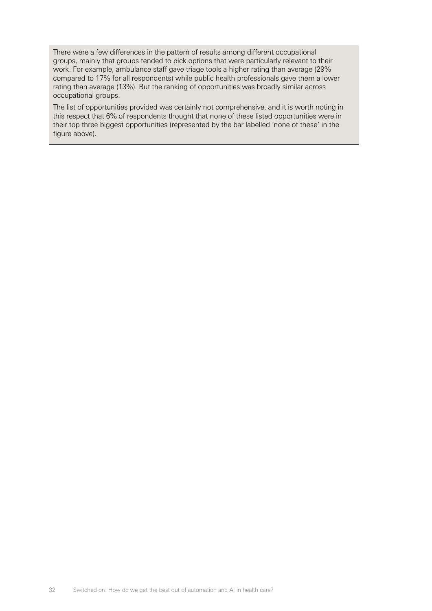There were a few differences in the pattern of results among different occupational groups, mainly that groups tended to pick options that were particularly relevant to their work. For example, ambulance staff gave triage tools a higher rating than average (29% compared to 17% for all respondents) while public health professionals gave them a lower rating than average (13%). But the ranking of opportunities was broadly similar across occupational groups.

The list of opportunities provided was certainly not comprehensive, and it is worth noting in this respect that 6% of respondents thought that none of these listed opportunities were in their top three biggest opportunities (represented by the bar labelled 'none of these' in the figure above).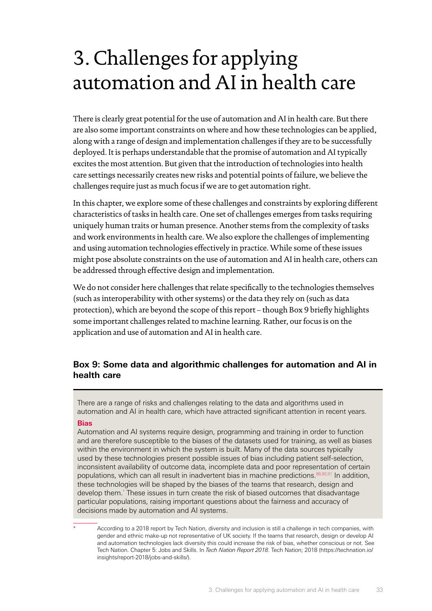## <span id="page-34-0"></span>3. Challenges for applying automation and AI in health care

There is clearly great potential for the use of automation and AI in health care. But there are also some important constraints on where and how these technologies can be applied, along with a range of design and implementation challenges if they are to be successfully deployed. It is perhaps understandable that the promise of automation and AI typically excites the most attention. But given that the introduction of technologies into health care settings necessarily creates new risks and potential points of failure, we believe the challenges require just as much focus if we are to get automation right.

In this chapter, we explore some of these challenges and constraints by exploring different characteristics of tasks in health care. One set of challenges emerges from tasks requiring uniquely human traits or human presence. Another stems from the complexity of tasks and work environments in health care. We also explore the challenges of implementing and using automation technologies effectively in practice. While some of these issues might pose absolute constraints on the use of automation and AI in health care, others can be addressed through effective design and implementation.

We do not consider here challenges that relate specifically to the technologies themselves (such as interoperability with other systems) or the data they rely on (such as data protection), which are beyond the scope of this report – though Box 9 briefly highlights some important challenges related to machine learning. Rather, our focus is on the application and use of automation and AI in health care.

#### **Box 9: Some data and algorithmic challenges for automation and AI in health care**

There are a range of risks and challenges relating to the data and algorithms used in automation and AI in health care, which have attracted significant attention in recent years.

#### **Bias**

Automation and AI systems require design, programming and training in order to function and are therefore susceptible to the biases of the datasets used for training, as well as biases within the environment in which the system is built. Many of the data sources typically used by these technologies present possible issues of bias including patient self-selection, inconsistent availability of outcome data, incomplete data and poor representation of certain populations, which can all result in inadvertent bias in machine predictions.<sup>[89](#page-72-5),[90](#page-72-6),[91](#page-72-7)</sup> In addition, these technologies will be shaped by the biases of the teams that research, design and develop them.\* These issues in turn create the risk of biased outcomes that disadvantage particular populations, raising important questions about the fairness and accuracy of decisions made by automation and AI systems.

According to a 2018 report by Tech Nation, diversity and inclusion is still a challenge in tech companies, with gender and ethnic make-up not representative of UK society. If the teams that research, design or develop AI and automation technologies lack diversity this could increase the risk of bias, whether conscious or not. See Tech Nation. Chapter 5: Jobs and Skills. In *Tech Nation Report 2018*. Tech Nation; 2018 [\(https://technation.io/](https://technation.io/insights/report-2018/jobs-and-skills/) [insights/report-2018/jobs-and-skills/\)](https://technation.io/insights/report-2018/jobs-and-skills/).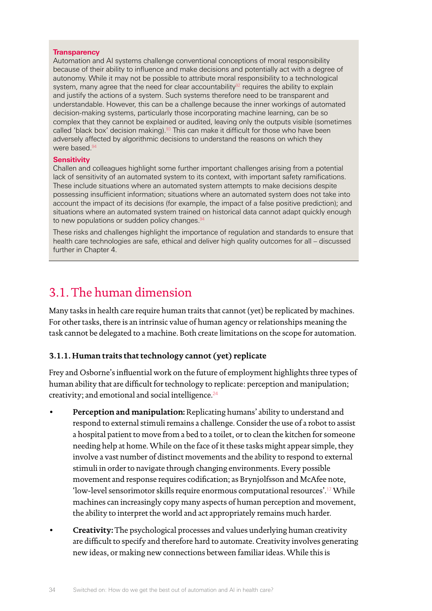#### <span id="page-35-0"></span>**Transparency**

Automation and AI systems challenge conventional conceptions of moral responsibility because of their ability to influence and make decisions and potentially act with a degree of autonomy. While it may not be possible to attribute moral responsibility to a technological system, many agree that the need for clear accountability $92$  requires the ability to explain and justify the actions of a system. Such systems therefore need to be transparent and understandable. However, this can be a challenge because the inner workings of automated decision-making systems, particularly those incorporating machine learning, can be so complex that they cannot be explained or audited, leaving only the outputs visible (sometimes called 'black box' decision making).<sup>93</sup> This can make it difficult for those who have been adversely affected by algorithmic decisions to understand the reasons on which they were based.<sup>[94](#page-72-10)</sup>

#### **Sensitivity**

Challen and colleagues highlight some further important challenges arising from a potential lack of sensitivity of an automated system to its context, with important safety ramifications. These include situations where an automated system attempts to make decisions despite possessing insufficient information; situations where an automated system does not take into account the impact of its decisions (for example, the impact of a false positive prediction); and situations where an automated system trained on historical data cannot adapt quickly enough to new populations or sudden policy changes.<sup>[94](#page-72-10)</sup>

These risks and challenges highlight the importance of regulation and standards to ensure that health care technologies are safe, ethical and deliver high quality outcomes for all – discussed further in Chapter 4.

### 3.1. The human dimension

Many tasks in health care require human traits that cannot (yet) be replicated by machines. For other tasks, there is an intrinsic value of human agency or relationships meaning the task cannot be delegated to a machine. Both create limitations on the scope for automation.

#### **3.1.1. Human traits that technology cannot (yet) replicate**

Frey and Osborne's influential work on the future of employment highlights three types of human ability that are difficult for technology to replicate: perception and manipulation; creativity; and emotional and social intelligence. $24$ 

- **Perception and manipulation:** Replicating humans' ability to understand and respond to external stimuli remains a challenge. Consider the use of a robot to assist a hospital patient to move from a bed to a toilet, or to clean the kitchen for someone needing help at home. While on the face of it these tasks might appear simple, they involve a vast number of distinct movements and the ability to respond to external stimuli in order to navigate through changing environments. Every possible movement and response requires codification; as Brynjolfsson and McAfee note, 'low-level sensorimotor skills require enormous computational resources'.[17](#page-69-17) While machines can increasingly copy many aspects of human perception and movement, the ability to interpret the world and act appropriately remains much harder.
- **Creativity:** The psychological processes and values underlying human creativity are difficult to specify and therefore hard to automate. Creativity involves generating new ideas, or making new connections between familiar ideas. While this is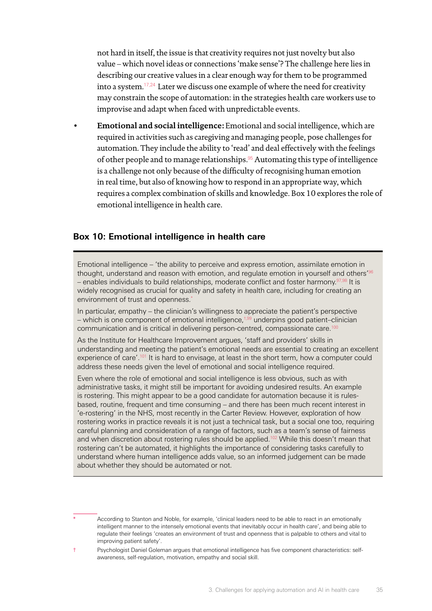not hard in itself, the issue is that creativity requires not just novelty but also value – which novel ideas or connections 'make sense'? The challenge here lies in describing our creative values in a clear enough way for them to be programmed into a system.[17](#page-69-0)[,24](#page-69-1) Later we discuss one example of where the need for creativity may constrain the scope of automation: in the strategies health care workers use to improvise and adapt when faced with unpredictable events.

• **Emotional and social intelligence:** Emotional and social intelligence, which are required in activities such as caregiving and managing people, pose challenges for automation. They include the ability to 'read' and deal effectively with the feelings of other people and to manage relationships.[95](#page-72-0) Automating this type of intelligence is a challenge not only because of the difficulty of recognising human emotion in real time, but also of knowing how to respond in an appropriate way, which requires a complex combination of skills and knowledge. Box 10 explores the role of emotional intelligence in health care.

### **Box 10: Emotional intelligence in health care**

Emotional intelligence – 'the ability to perceive and express emotion, assimilate emotion in thought, understand and reason with emotion, and regulate emotion in yourself and others'<sup>96</sup> – enables individuals to build relationships, moderate conflict and foster harmony.[97](#page-72-2),[98](#page-72-3) It is widely recognised as crucial for quality and safety in health care, including for creating an environment of trust and openness.'

In particular, empathy – the clinician's willingness to appreciate the patient's perspective – which is one component of emotional intelligence, $t,99$  underpins good patient–clinician communication and is critical in delivering person-centred, compassionate care.<sup>[100](#page-72-5)</sup>

As the Institute for Healthcare Improvement argues, 'staff and providers' skills in understanding and meeting the patient's emotional needs are essential to creating an excellent experience of care'.[101](#page-72-6) It is hard to envisage, at least in the short term, how a computer could address these needs given the level of emotional and social intelligence required.

Even where the role of emotional and social intelligence is less obvious, such as with administrative tasks, it might still be important for avoiding undesired results. An example is rostering. This might appear to be a good candidate for automation because it is rulesbased, routine, frequent and time consuming – and there has been much recent interest in 'e-rostering' in the NHS, most recently in the Carter Review. However, exploration of how rostering works in practice reveals it is not just a technical task, but a social one too, requiring careful planning and consideration of a range of factors, such as a team's sense of fairness and when discretion about rostering rules should be applied.<sup>102</sup> While this doesn't mean that rostering can't be automated, it highlights the importance of considering tasks carefully to understand where human intelligence adds value, so an informed judgement can be made about whether they should be automated or not.

According to Stanton and Noble, for example, 'clinical leaders need to be able to react in an emotionally intelligent manner to the intensely emotional events that inevitably occur in health care', and being able to regulate their feelings 'creates an environment of trust and openness that is palpable to others and vital to improving patient safety'.

† Psychologist Daniel Goleman argues that emotional intelligence has five component characteristics: selfawareness, self-regulation, motivation, empathy and social skill.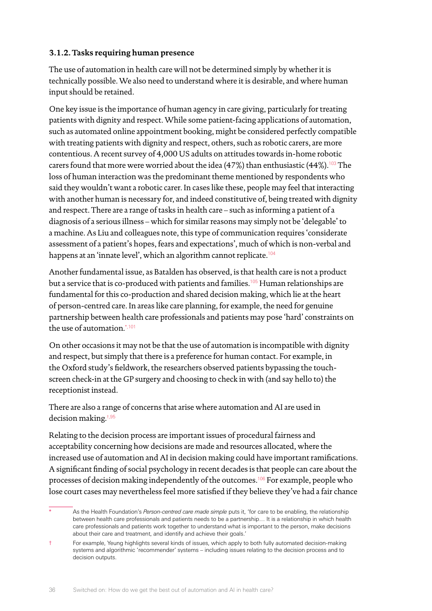## **3.1.2. Tasks requiring human presence**

The use of automation in health care will not be determined simply by whether it is technically possible. We also need to understand where it is desirable, and where human input should be retained.

One key issue is the importance of human agency in care giving, particularly for treating patients with dignity and respect. While some patient-facing applications of automation, such as automated online appointment booking, might be considered perfectly compatible with treating patients with dignity and respect, others, such as robotic carers, are more contentious. A recent survey of 4,000 US adults on attitudes towards in-home robotic carers found that more were worried about the idea (47%) than enthusiastic (44%).<sup>[103](#page-72-8)</sup> The loss of human interaction was the predominant theme mentioned by respondents who said they wouldn't want a robotic carer. In cases like these, people may feel that interacting with another human is necessary for, and indeed constitutive of, being treated with dignity and respect. There are a range of tasks in health care – such as informing a patient of a diagnosis of a serious illness – which for similar reasons may simply not be 'delegable' to a machine. As Liu and colleagues note, this type of communication requires 'considerate assessment of a patient's hopes, fears and expectations', much of which is non-verbal and happens at an 'innate level', which an algorithm cannot replicate.<sup>[104](#page-72-9)</sup>

Another fundamental issue, as Batalden has observed, is that health care is not a product but a service that is co-produced with patients and families.<sup>[105](#page-72-10)</sup> Human relationships are fundamental for this co-production and shared decision making, which lie at the heart of person-centred care. In areas like care planning, for example, the need for genuine partnership between health care professionals and patients may pose 'hard' constraints on the use of automation.\*,[101](#page-72-6)

On other occasions it may not be that the use of automation is incompatible with dignity and respect, but simply that there is a preference for human contact. For example, in the Oxford study's fieldwork, the researchers observed patients bypassing the touchscreen check-in at the GP surgery and choosing to check in with (and say hello to) the receptionist instead.

There are also a range of concerns that arise where automation and AI are used in decision making.†[,95](#page-72-0)

Relating to the decision process are important issues of procedural fairness and acceptability concerning how decisions are made and resources allocated, where the increased use of automation and AI in decision making could have important ramifications. A significant finding of social psychology in recent decades is that people can care about the processes of decision making independently of the outcomes.[106](#page-72-11) For example, people who lose court cases may nevertheless feel more satisfied if they believe they've had a fair chance

As the Health Foundation's *Person-centred care made simple* puts it, 'for care to be enabling, the relationship between health care professionals and patients needs to be a partnership… It is a relationship in which health care professionals and patients work together to understand what is important to the person, make decisions about their care and treatment, and identify and achieve their goals.'

<sup>†</sup> For example, Yeung highlights several kinds of issues, which apply to both fully automated decision-making systems and algorithmic 'recommender' systems – including issues relating to the decision process and to decision outputs.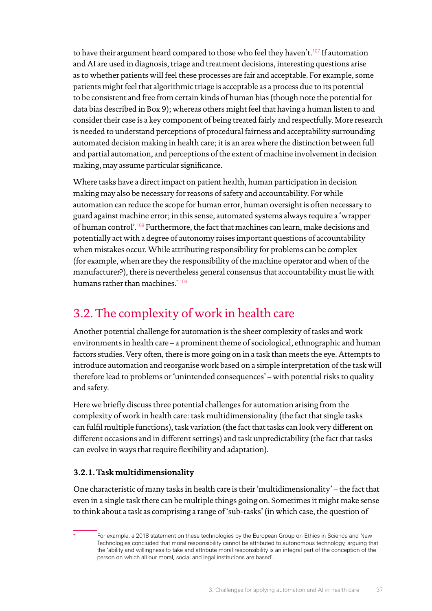to have their argument heard compared to those who feel they haven't.<sup>[107](#page-72-12)</sup> If automation and AI are used in diagnosis, triage and treatment decisions, interesting questions arise as to whether patients will feel these processes are fair and acceptable. For example, some patients might feel that algorithmic triage is acceptable as a process due to its potential to be consistent and free from certain kinds of human bias (though note the potential for data bias described in Box 9); whereas others might feel that having a human listen to and consider their case is a key component of being treated fairly and respectfully. More research is needed to understand perceptions of procedural fairness and acceptability surrounding automated decision making in health care; it is an area where the distinction between full and partial automation, and perceptions of the extent of machine involvement in decision making, may assume particular significance.

Where tasks have a direct impact on patient health, human participation in decision making may also be necessary for reasons of safety and accountability. For while automation can reduce the scope for human error, human oversight is often necessary to guard against machine error; in this sense, automated systems always require a 'wrapper of human control'.[108](#page-72-13) Furthermore, the fact that machines can learn, make decisions and potentially act with a degree of autonomy raises important questions of accountability when mistakes occur. While attributing responsibility for problems can be complex (for example, when are they the responsibility of the machine operator and when of the manufacturer?), there is nevertheless general consensus that accountability must lie with humans rather than machines. $*109$  $*109$ 

# 3.2. The complexity of work in health care

Another potential challenge for automation is the sheer complexity of tasks and work environments in health care – a prominent theme of sociological, ethnographic and human factors studies. Very often, there is more going on in a task than meets the eye. Attempts to introduce automation and reorganise work based on a simple interpretation of the task will therefore lead to problems or 'unintended consequences' – with potential risks to quality and safety.

Here we briefly discuss three potential challenges for automation arising from the complexity of work in health care: task multidimensionality (the fact that single tasks can fulfil multiple functions), task variation (the fact that tasks can look very different on different occasions and in different settings) and task unpredictability (the fact that tasks can evolve in ways that require flexibility and adaptation).

# **3.2.1. Task multidimensionality**

One characteristic of many tasks in health care is their 'multidimensionality' – the fact that even in a single task there can be multiple things going on. Sometimes it might make sense to think about a task as comprising a range of 'sub-tasks' (in which case, the question of

For example, a 2018 statement on these technologies by the European Group on Ethics in Science and New Technologies concluded that moral responsibility cannot be attributed to autonomous technology, arguing that the 'ability and willingness to take and attribute moral responsibility is an integral part of the conception of the person on which all our moral, social and legal institutions are based'.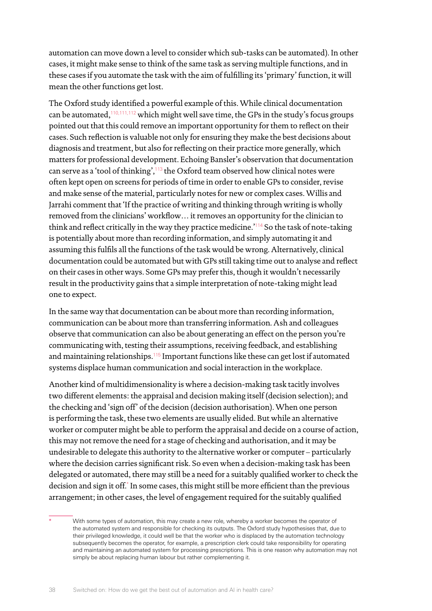automation can move down a level to consider which sub-tasks can be automated). In other cases, it might make sense to think of the same task as serving multiple functions, and in these cases if you automate the task with the aim of fulfilling its 'primary' function, it will mean the other functions get lost.

The Oxford study identified a powerful example of this. While clinical documentation can be automated,<sup>[110,](#page-72-15)[111](#page-72-16)[,112](#page-72-17)</sup> which might well save time, the GPs in the study's focus groups pointed out that this could remove an important opportunity for them to reflect on their cases. Such reflection is valuable not only for ensuring they make the best decisions about diagnosis and treatment, but also for reflecting on their practice more generally, which matters for professional development. Echoing Bansler's observation that documentation can serve as a 'tool of thinking', $113$  the Oxford team observed how clinical notes were often kept open on screens for periods of time in order to enable GPs to consider, revise and make sense of the material, particularly notes for new or complex cases. Willis and Jarrahi comment that 'If the practice of writing and thinking through writing is wholly removed from the clinicians' workflow… it removes an opportunity for the clinician to think and reflect critically in the way they practice medicine.<sup>'[114](#page-72-19)</sup> So the task of note-taking is potentially about more than recording information, and simply automating it and assuming this fulfils all the functions of the task would be wrong. Alternatively, clinical documentation could be automated but with GPs still taking time out to analyse and reflect on their cases in other ways. Some GPs may prefer this, though it wouldn't necessarily result in the productivity gains that a simple interpretation of note-taking might lead one to expect.

In the same way that documentation can be about more than recording information, communication can be about more than transferring information. Ash and colleagues observe that communication can also be about generating an effect on the person you're communicating with, testing their assumptions, receiving feedback, and establishing and maintaining relationships.<sup>[115](#page-73-0)</sup> Important functions like these can get lost if automated systems displace human communication and social interaction in the workplace.

Another kind of multidimensionality is where a decision-making task tacitly involves two different elements: the appraisal and decision making itself (decision selection); and the checking and 'sign off' of the decision (decision authorisation). When one person is performing the task, these two elements are usually elided. But while an alternative worker or computer might be able to perform the appraisal and decide on a course of action, this may not remove the need for a stage of checking and authorisation, and it may be undesirable to delegate this authority to the alternative worker or computer – particularly where the decision carries significant risk. So even when a decision-making task has been delegated or automated, there may still be a need for a suitably qualified worker to check the decision and sign it off.\* In some cases, this might still be more efficient than the previous arrangement; in other cases, the level of engagement required for the suitably qualified

With some types of automation, this may create a new role, whereby a worker becomes the operator of the automated system and responsible for checking its outputs. The Oxford study hypothesises that, due to their privileged knowledge, it could well be that the worker who is displaced by the automation technology subsequently becomes the operator, for example, a prescription clerk could take responsibility for operating and maintaining an automated system for processing prescriptions. This is one reason why automation may not simply be about replacing human labour but rather complementing it.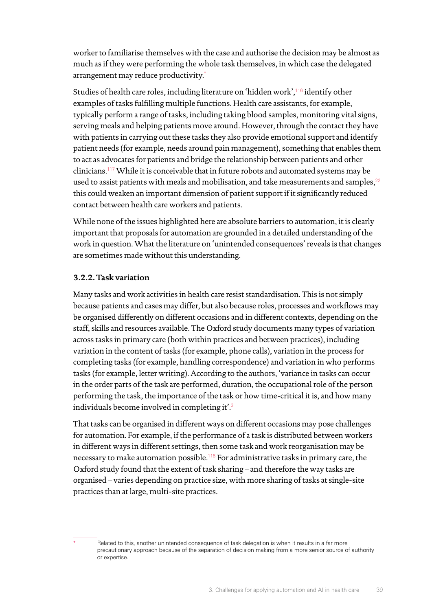worker to familiarise themselves with the case and authorise the decision may be almost as much as if they were performing the whole task themselves, in which case the delegated arrangement may reduce productivity.\*

Studies of health care roles, including literature on 'hidden work',[116](#page-73-1) identify other examples of tasks fulfilling multiple functions. Health care assistants, for example, typically perform a range of tasks, including taking blood samples, monitoring vital signs, serving meals and helping patients move around. However, through the contact they have with patients in carrying out these tasks they also provide emotional support and identify patient needs (for example, needs around pain management), something that enables them to act as advocates for patients and bridge the relationship between patients and other clinicians.[117](#page-73-2) While it is conceivable that in future robots and automated systems may be used to assist patients with meals and mobilisation, and take measurements and samples.<sup>[22](#page-69-2)</sup> this could weaken an important dimension of patient support if it significantly reduced contact between health care workers and patients.

While none of the issues highlighted here are absolute barriers to automation, it is clearly important that proposals for automation are grounded in a detailed understanding of the work in question. What the literature on 'unintended consequences' reveals is that changes are sometimes made without this understanding.

## **3.2.2. Task variation**

Many tasks and work activities in health care resist standardisation. This is not simply because patients and cases may differ, but also because roles, processes and workflows may be organised differently on different occasions and in different contexts, depending on the staff, skills and resources available. The Oxford study documents many types of variation across tasks in primary care (both within practices and between practices), including variation in the content of tasks (for example, phone calls), variation in the process for completing tasks (for example, handling correspondence) and variation in who performs tasks (for example, letter writing). According to the authors, 'variance in tasks can occur in the order parts of the task are performed, duration, the occupational role of the person performing the task, the importance of the task or how time-critical it is, and how many individuals become involved in completing it'.<sup>[3](#page-69-3)</sup>

That tasks can be organised in different ways on different occasions may pose challenges for automation. For example, if the performance of a task is distributed between workers in different ways in different settings, then some task and work reorganisation may be necessary to make automation possible.[118](#page-73-3) For administrative tasks in primary care, the Oxford study found that the extent of task sharing – and therefore the way tasks are organised – varies depending on practice size, with more sharing of tasks at single-site practices than at large, multi-site practices.

Related to this, another unintended consequence of task delegation is when it results in a far more precautionary approach because of the separation of decision making from a more senior source of authority or expertise.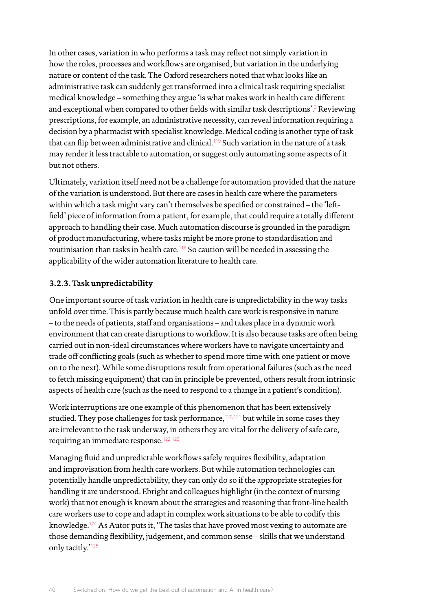In other cases, variation in who performs a task may reflect not simply variation in how the roles, processes and workflows are organised, but variation in the underlying nature or content of the task. The Oxford researchers noted that what looks like an administrative task can suddenly get transformed into a clinical task requiring specialist medical knowledge – something they argue 'is what makes work in health care different and exceptional when compared to other fields with similar task descriptions'.<sup>[3](#page-69-3)</sup> Reviewing prescriptions, for example, an administrative necessity, can reveal information requiring a decision by a pharmacist with specialist knowledge. Medical coding is another type of task that can flip between administrative and clinical.<sup>[119](#page-73-4)</sup> Such variation in the nature of a task may render it less tractable to automation, or suggest only automating some aspects of it but not others.

Ultimately, variation itself need not be a challenge for automation provided that the nature of the variation is understood. But there are cases in health care where the parameters within which a task might vary can't themselves be specified or constrained – the 'leftfield' piece of information from a patient, for example, that could require a totally different approach to handling their case. Much automation discourse is grounded in the paradigm of product manufacturing, where tasks might be more prone to standardisation and routinisation than tasks in health care.<sup>119</sup> So caution will be needed in assessing the applicability of the wider automation literature to health care.

### **3.2.3. Task unpredictability**

One important source of task variation in health care is unpredictability in the way tasks unfold over time. This is partly because much health care work is responsive in nature – to the needs of patients, staff and organisations – and takes place in a dynamic work environment that can create disruptions to workflow. It is also because tasks are often being carried out in non-ideal circumstances where workers have to navigate uncertainty and trade off conflicting goals (such as whether to spend more time with one patient or move on to the next). While some disruptions result from operational failures (such as the need to fetch missing equipment) that can in principle be prevented, others result from intrinsic aspects of health care (such as the need to respond to a change in a patient's condition).

Work interruptions are one example of this phenomenon that has been extensively studied. They pose challenges for task performance, $120,121$  $120,121$  but while in some cases they are irrelevant to the task underway, in others they are vital for the delivery of safe care, requiring an immediate response.<sup>[122,](#page-73-7)[123](#page-73-8)</sup>

Managing fluid and unpredictable workflows safely requires flexibility, adaptation and improvisation from health care workers. But while automation technologies can potentially handle unpredictability, they can only do so if the appropriate strategies for handling it are understood. Ebright and colleagues highlight (in the context of nursing work) that not enough is known about the strategies and reasoning that front-line health care workers use to cope and adapt in complex work situations to be able to codify this knowledge.<sup>[124](#page-73-9)</sup> As Autor puts it, 'The tasks that have proved most vexing to automate are those demanding flexibility, judgement, and common sense – skills that we understand only tacitly.'[125](#page-73-10)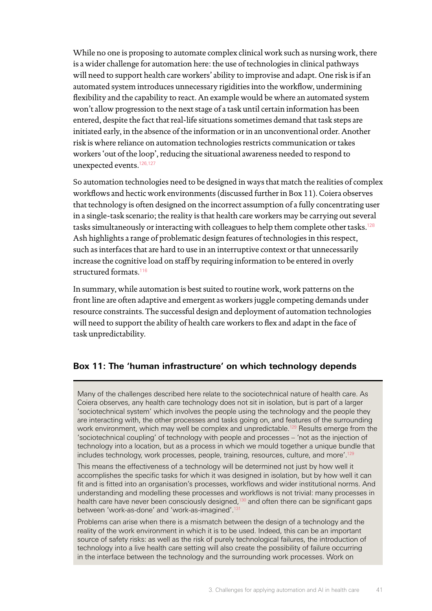While no one is proposing to automate complex clinical work such as nursing work, there is a wider challenge for automation here: the use of technologies in clinical pathways will need to support health care workers' ability to improvise and adapt. One risk is if an automated system introduces unnecessary rigidities into the workflow, undermining flexibility and the capability to react. An example would be where an automated system won't allow progression to the next stage of a task until certain information has been entered, despite the fact that real-life situations sometimes demand that task steps are initiated early, in the absence of the information or in an unconventional order. Another risk is where reliance on automation technologies restricts communication or takes workers 'out of the loop', reducing the situational awareness needed to respond to unexpected events.<sup>[126](#page-73-11),[127](#page-73-12)</sup>

So automation technologies need to be designed in ways that match the realities of complex workflows and hectic work environments (discussed further in Box 11). Coiera observes that technology is often designed on the incorrect assumption of a fully concentrating user in a single-task scenario; the reality is that health care workers may be carrying out several tasks simultaneously or interacting with colleagues to help them complete other tasks.<sup>[128](#page-73-13)</sup> Ash highlights a range of problematic design features of technologies in this respect, such as interfaces that are hard to use in an interruptive context or that unnecessarily increase the cognitive load on staff by requiring information to be entered in overly structured formats.<sup>[116](#page-73-1)</sup>

In summary, while automation is best suited to routine work, work patterns on the front line are often adaptive and emergent as workers juggle competing demands under resource constraints. The successful design and deployment of automation technologies will need to support the ability of health care workers to flex and adapt in the face of task unpredictability.

## **Box 11: The 'human infrastructure' on which technology depends**

Many of the challenges described here relate to the sociotechnical nature of health care. As Coiera observes, any health care technology does not sit in isolation, but is part of a larger 'sociotechnical system' which involves the people using the technology and the people they are interacting with, the other processes and tasks going on, and features of the surrounding work environment, which may well be complex and unpredictable.<sup>129</sup> Results emerge from the 'sociotechnical coupling' of technology with people and processes – 'not as the injection of technology into a location, but as a process in which we mould together a unique bundle that includes technology, work processes, people, training, resources, culture, and more'.<sup>12</sup>

This means the effectiveness of a technology will be determined not just by how well it accomplishes the specific tasks for which it was designed in isolation, but by how well it can fit and is fitted into an organisation's processes, workflows and wider institutional norms. And understanding and modelling these processes and workflows is not trivial: many processes in health care have never been consciously designed,<sup>[130](#page-73-15)</sup> and often there can be significant gaps between 'work-as-done' and 'work-as-imagined'[.131](#page-73-16)

Problems can arise when there is a mismatch between the design of a technology and the reality of the work environment in which it is to be used. Indeed, this can be an important source of safety risks: as well as the risk of purely technological failures, the introduction of technology into a live health care setting will also create the possibility of failure occurring in the interface between the technology and the surrounding work processes. Work on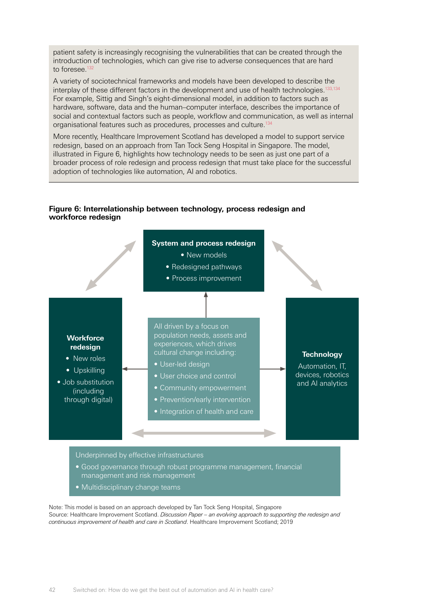patient safety is increasingly recognising the vulnerabilities that can be created through the introduction of technologies, which can give rise to adverse consequences that are hard to foresee.<sup>[132](#page-73-17)</sup>

A variety of sociotechnical frameworks and models have been developed to describe the interplay of these different factors in the development and use of health technologies.<sup>133,[134](#page-73-19)</sup> For example, Sittig and Singh's eight-dimensional model, in addition to factors such as hardware, software, data and the human–computer interface, describes the importance of social and contextual factors such as people, workflow and communication, as well as internal organisational features such as procedures, processes and culture.[134](#page-73-19)

More recently, Healthcare Improvement Scotland has developed a model to support service redesign, based on an approach from Tan Tock Seng Hospital in Singapore. The model, illustrated in Figure 6, highlights how technology needs to be seen as just one part of a broader process of role redesign and process redesign that must take place for the successful adoption of technologies like automation, AI and robotics.

### **Figure 6: Interrelationship between technology, process redesign and workforce redesign**



- management and risk management
- Multidisciplinary change teams

Note: This model is based on an approach developed by Tan Tock Seng Hospital, Singapore Source: Healthcare Improvement Scotland. *Discussion Paper – an evolving approach to supporting the redesign and continuous improvement of health and care in Scotland*. Healthcare Improvement Scotland; 2019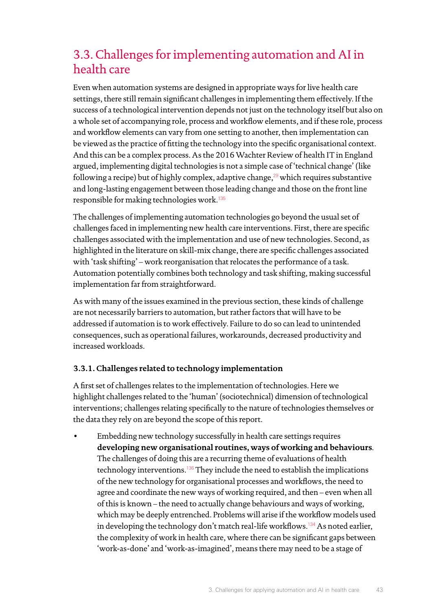# 3.3. Challenges for implementing automation and AI in health care

Even when automation systems are designed in appropriate ways for live health care settings, there still remain significant challenges in implementing them effectively. If the success of a technological intervention depends not just on the technology itself but also on a whole set of accompanying role, process and workflow elements, and if these role, process and workflow elements can vary from one setting to another, then implementation can be viewed as the practice of fitting the technology into the specific organisational context. And this can be a complex process. As the 2016 Wachter Review of health IT in England argued, implementing digital technologies is not a simple case of 'technical change' (like following a recipe) but of highly complex, adaptive change,<sup>[29](#page-70-0)</sup> which requires substantive and long-lasting engagement between those leading change and those on the front line responsible for making technologies work.[135](#page-73-20)

The challenges of implementing automation technologies go beyond the usual set of challenges faced in implementing new health care interventions. First, there are specific challenges associated with the implementation and use of new technologies. Second, as highlighted in the literature on skill-mix change, there are specific challenges associated with 'task shifting' – work reorganisation that relocates the performance of a task. Automation potentially combines both technology and task shifting, making successful implementation far from straightforward.

As with many of the issues examined in the previous section, these kinds of challenge are not necessarily barriers to automation, but rather factors that will have to be addressed if automation is to work effectively. Failure to do so can lead to unintended consequences, such as operational failures, workarounds, decreased productivity and increased workloads.

## **3.3.1. Challenges related to technology implementation**

A first set of challenges relates to the implementation of technologies. Here we highlight challenges related to the 'human' (sociotechnical) dimension of technological interventions; challenges relating specifically to the nature of technologies themselves or the data they rely on are beyond the scope of this report.

• Embedding new technology successfully in health care settings requires **developing new organisational routines, ways of working and behaviours**. The challenges of doing this are a recurring theme of evaluations of health technology interventions.<sup>[136](#page-73-21)</sup> They include the need to establish the implications of the new technology for organisational processes and workflows, the need to agree and coordinate the new ways of working required, and then – even when all of this is known – the need to actually change behaviours and ways of working, which may be deeply entrenched. Problems will arise if the workflow models used in developing the technology don't match real-life workflows.<sup>[134](#page-73-19)</sup> As noted earlier, the complexity of work in health care, where there can be significant gaps between 'work-as-done' and 'work-as-imagined', means there may need to be a stage of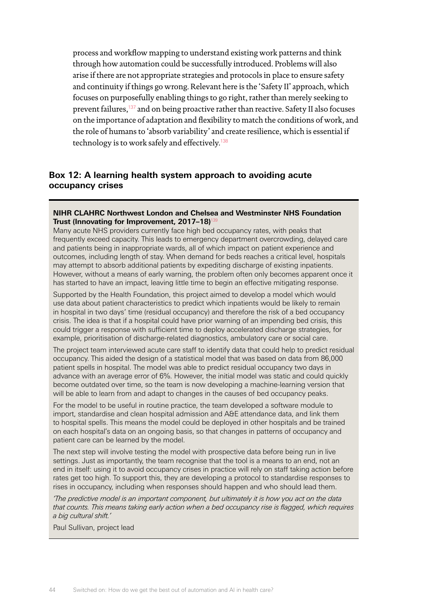process and workflow mapping to understand existing work patterns and think through how automation could be successfully introduced. Problems will also arise if there are not appropriate strategies and protocols in place to ensure safety and continuity if things go wrong. Relevant here is the 'Safety II' approach, which focuses on purposefully enabling things to go right, rather than merely seeking to prevent failures,[137](#page-73-22) and on being proactive rather than reactive. Safety II also focuses on the importance of adaptation and flexibility to match the conditions of work, and the role of humans to 'absorb variability' and create resilience, which is essential if technology is to work safely and effectively.[138](#page-73-23)

## **Box 12: A learning health system approach to avoiding acute occupancy crises**

### **NIHR CLAHRC Northwest London and Chelsea and Westminster NHS Foundation Trust (Innovating for Improvement, 2017-18)<sup>13</sup>**

Many acute NHS providers currently face high bed occupancy rates, with peaks that frequently exceed capacity. This leads to emergency department overcrowding, delayed care and patients being in inappropriate wards, all of which impact on patient experience and outcomes, including length of stay. When demand for beds reaches a critical level, hospitals may attempt to absorb additional patients by expediting discharge of existing inpatients. However, without a means of early warning, the problem often only becomes apparent once it has started to have an impact, leaving little time to begin an effective mitigating response.

Supported by the Health Foundation, this project aimed to develop a model which would use data about patient characteristics to predict which inpatients would be likely to remain in hospital in two days' time (residual occupancy) and therefore the risk of a bed occupancy crisis. The idea is that if a hospital could have prior warning of an impending bed crisis, this could trigger a response with sufficient time to deploy accelerated discharge strategies, for example, prioritisation of discharge-related diagnostics, ambulatory care or social care.

The project team interviewed acute care staff to identify data that could help to predict residual occupancy. This aided the design of a statistical model that was based on data from 86,000 patient spells in hospital. The model was able to predict residual occupancy two days in advance with an average error of 6%. However, the initial model was static and could quickly become outdated over time, so the team is now developing a machine-learning version that will be able to learn from and adapt to changes in the causes of bed occupancy peaks.

For the model to be useful in routine practice, the team developed a software module to import, standardise and clean hospital admission and A&E attendance data, and link them to hospital spells. This means the model could be deployed in other hospitals and be trained on each hospital's data on an ongoing basis, so that changes in patterns of occupancy and patient care can be learned by the model.

The next step will involve testing the model with prospective data before being run in live settings. Just as importantly, the team recognise that the tool is a means to an end, not an end in itself: using it to avoid occupancy crises in practice will rely on staff taking action before rates get too high. To support this, they are developing a protocol to standardise responses to rises in occupancy, including when responses should happen and who should lead them.

*'The predictive model is an important component, but ultimately it is how you act on the data that counts. This means taking early action when a bed occupancy rise is flagged, which requires a big cultural shift.'* 

Paul Sullivan, project lead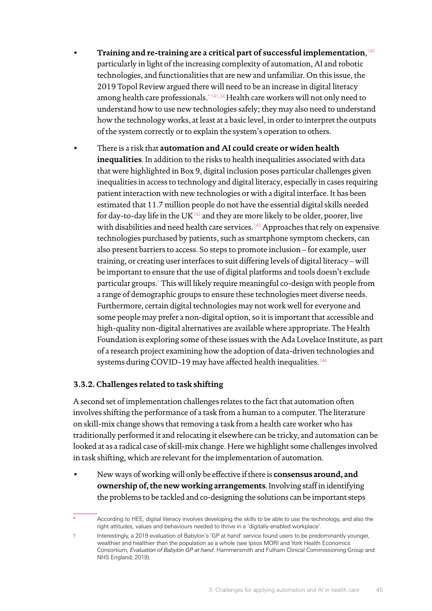- **Training and re-training are a critical part of successful implementation**, [140](#page-73-25)  particularly in light of the increasing complexity of automation, AI and robotic technologies, and functionalities that are new and unfamiliar. On this issue, the 2019 Topol Review argued there will need to be an increase in digital literacy among health care professionals.\*,[141](#page-73-26)[,34](#page-70-1) Health care workers will not only need to understand how to use new technologies safely; they may also need to understand how the technology works, at least at a basic level, in order to interpret the outputs of the system correctly or to explain the system's operation to others.
- There is a risk that **automation and AI could create or widen health inequalities**. In addition to the risks to health inequalities associated with data that were highlighted in Box 9, digital inclusion poses particular challenges given inequalities in access to technology and digital literacy, especially in cases requiring patient interaction with new technologies or with a digital interface. It has been estimated that 11.7 million people do not have the essential digital skills needed for day-to-day life in the UK $^{142}$  $^{142}$  $^{142}$  and they are more likely to be older, poorer, live with disabilities and need health care services.<sup>[143](#page-73-28)</sup> Approaches that rely on expensive technologies purchased by patients, such as smartphone symptom checkers, can also present barriers to access. So steps to promote inclusion – for example, user training, or creating user interfaces to suit differing levels of digital literacy – will be important to ensure that the use of digital platforms and tools doesn't exclude particular groups.† This will likely require meaningful co-design with people from a range of demographic groups to ensure these technologies meet diverse needs. Furthermore, certain digital technologies may not work well for everyone and some people may prefer a non-digital option, so it is important that accessible and high-quality non-digital alternatives are available where appropriate. The Health Foundation is exploring some of these issues with the Ada Lovelace Institute, as part of a research project examining how the adoption of data-driven technologies and systems during COVID-19 may have affected health inequalities.<sup>[144](#page-73-29)</sup>

## **3.3.2. Challenges related to task shifting**

A second set of implementation challenges relates to the fact that automation often involves shifting the performance of a task from a human to a computer. The literature on skill-mix change shows that removing a task from a health care worker who has traditionally performed it and relocating it elsewhere can be tricky, and automation can be looked at as a radical case of skill-mix change. Here we highlight some challenges involved in task shifting, which are relevant for the implementation of automation.

• New ways of working will only be effective if there is **consensus around, and ownership of, the new working arrangements**. Involving staff in identifying the problems to be tackled and co-designing the solutions can be important steps

† Interestingly, a 2019 evaluation of Babylon's 'GP at hand' service found users to be predominantly younger, wealthier and healthier than the population as a whole (see Ipsos MORI and York Health Economics Consortium, *Evaluation of Babylon GP at hand*. Hammersmith and Fulham Clinical Commissioning Group and NHS England; 2019).

According to HEE, digital literacy involves developing the skills to be able to use the technology, and also the right attitudes, values and behaviours needed to thrive in a 'digitally-enabled workplace'.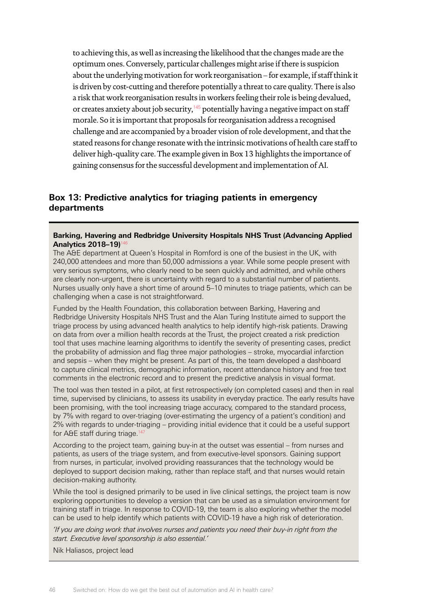to achieving this, as well as increasing the likelihood that the changes made are the optimum ones. Conversely, particular challenges might arise if there is suspicion about the underlying motivation for work reorganisation – for example, if staff think it is driven by cost-cutting and therefore potentially a threat to care quality. There is also a risk that work reorganisation results in workers feeling their role is being devalued, or creates anxiety about job security, $145$  potentially having a negative impact on staff morale. So it is important that proposals for reorganisation address a recognised challenge and are accompanied by a broader vision of role development, and that the stated reasons for change resonate with the intrinsic motivations of health care staff to deliver high-quality care. The example given in Box 13 highlights the importance of gaining consensus for the successful development and implementation of AI.

### **Box 13: Predictive analytics for triaging patients in emergency departments**

#### **Barking, Havering and Redbridge University Hospitals NHS Trust (Advancing Applied Analytics 2018–19)**[146](#page-74-1)

The A&E department at Queen's Hospital in Romford is one of the busiest in the UK, with 240,000 attendees and more than 50,000 admissions a year. While some people present with very serious symptoms, who clearly need to be seen quickly and admitted, and while others are clearly non-urgent, there is uncertainty with regard to a substantial number of patients. Nurses usually only have a short time of around 5–10 minutes to triage patients, which can be challenging when a case is not straightforward.

Funded by the Health Foundation, this collaboration between Barking, Havering and Redbridge University Hospitals NHS Trust and the Alan Turing Institute aimed to support the triage process by using advanced health analytics to help identify high-risk patients. Drawing on data from over a million health records at the Trust, the project created a risk prediction tool that uses machine learning algorithms to identify the severity of presenting cases, predict the probability of admission and flag three major pathologies – stroke, myocardial infarction and sepsis – when they might be present. As part of this, the team developed a dashboard to capture clinical metrics, demographic information, recent attendance history and free text comments in the electronic record and to present the predictive analysis in visual format.

The tool was then tested in a pilot, at first retrospectively (on completed cases) and then in real time, supervised by clinicians, to assess its usability in everyday practice. The early results have been promising, with the tool increasing triage accuracy, compared to the standard process, by 7% with regard to over-triaging (over-estimating the urgency of a patient's condition) and 2% with regards to under-triaging – providing initial evidence that it could be a useful support for A&E staff during triage.<sup>147</sup>

According to the project team, gaining buy-in at the outset was essential – from nurses and patients, as users of the triage system, and from executive-level sponsors. Gaining support from nurses, in particular, involved providing reassurances that the technology would be deployed to support decision making, rather than replace staff, and that nurses would retain decision-making authority.

While the tool is designed primarily to be used in live clinical settings, the project team is now exploring opportunities to develop a version that can be used as a simulation environment for training staff in triage. In response to COVID-19, the team is also exploring whether the model can be used to help identify which patients with COVID-19 have a high risk of deterioration.

*'If you are doing work that involves nurses and patients you need their buy-in right from the start. Executive level sponsorship is also essential.'*

Nik Haliasos, project lead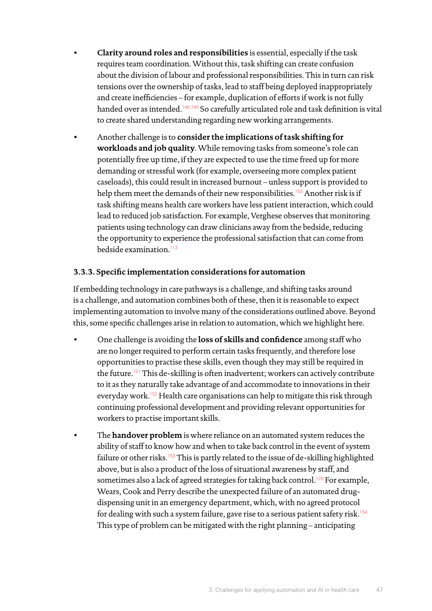- **Clarity around roles and responsibilities** is essential, especially if the task requires team coordination. Without this, task shifting can create confusion about the division of labour and professional responsibilities. This in turn can risk tensions over the ownership of tasks, lead to staff being deployed inappropriately and create inefficiencies – for example, duplication of efforts if work is not fully handed over as intended.<sup>[148](#page-74-3)[,149](#page-74-4)</sup> So carefully articulated role and task definition is vital to create shared understanding regarding new working arrangements.
- Another challenge is to **consider the implications of task shifting for workloads and job quality**. While removing tasks from someone's role can potentially free up time, if they are expected to use the time freed up for more demanding or stressful work (for example, overseeing more complex patient caseloads), this could result in increased burnout – unless support is provided to help them meet the demands of their new responsibilities.<sup>[150](#page-74-5)</sup> Another risk is if task shifting means health care workers have less patient interaction, which could lead to reduced job satisfaction. For example, Verghese observes that monitoring patients using technology can draw clinicians away from the bedside, reducing the opportunity to experience the professional satisfaction that can come from bedside examination.<sup>[113](#page-72-18)</sup>

## **3.3.3. Specific implementation considerations for automation**

If embedding technology in care pathways is a challenge, and shifting tasks around is a challenge, and automation combines both of these, then it is reasonable to expect implementing automation to involve many of the considerations outlined above. Beyond this, some specific challenges arise in relation to automation, which we highlight here.

- One challenge is avoiding the **loss of skills and confidence** among staff who are no longer required to perform certain tasks frequently, and therefore lose opportunities to practise these skills, even though they may still be required in the future.[151](#page-74-6) This de-skilling is often inadvertent; workers can actively contribute to it as they naturally take advantage of and accommodate to innovations in their everyday work.<sup>[152](#page-74-7)</sup> Health care organisations can help to mitigate this risk through continuing professional development and providing relevant opportunities for workers to practise important skills.
- The **handover problem** is where reliance on an automated system reduces the ability of staff to know how and when to take back control in the event of system failure or other risks.[153](#page-74-8) This is partly related to the issue of de-skilling highlighted above, but is also a product of the loss of situational awareness by staff, and sometimes also a lack of agreed strategies for taking back control.<sup>[128](#page-73-13)</sup> For example, Wears, Cook and Perry describe the unexpected failure of an automated drugdispensing unit in an emergency department, which, with no agreed protocol for dealing with such a system failure, gave rise to a serious patient safety risk.<sup>[154](#page-74-9)</sup> This type of problem can be mitigated with the right planning – anticipating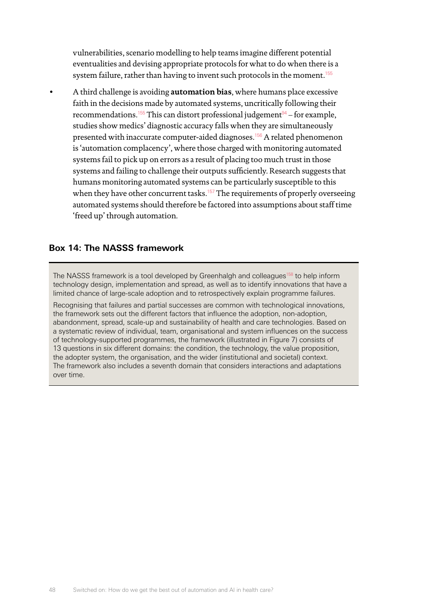vulnerabilities, scenario modelling to help teams imagine different potential eventualities and devising appropriate protocols for what to do when there is a system failure, rather than having to invent such protocols in the moment.<sup>[155](#page-74-10)</sup>

• A third challenge is avoiding **automation bias**, where humans place excessive faith in the decisions made by automated systems, uncritically following their recommendations.<sup>[155](#page-74-10)</sup> This can distort professional judgement $94 94 -$  for example, studies show medics' diagnostic accuracy falls when they are simultaneously presented with inaccurate computer-aided diagnoses.<sup>[156](#page-74-11)</sup> A related phenomenon is 'automation complacency', where those charged with monitoring automated systems fail to pick up on errors as a result of placing too much trust in those systems and failing to challenge their outputs sufficiently. Research suggests that humans monitoring automated systems can be particularly susceptible to this when they have other concurrent tasks.<sup>[157](#page-74-12)</sup> The requirements of properly overseeing automated systems should therefore be factored into assumptions about staff time 'freed up' through automation.

### **Box 14: The NASSS framework**

The NASSS framework is a tool developed by Greenhalgh and colleagues<sup>158</sup> to help inform technology design, implementation and spread, as well as to identify innovations that have a limited chance of large-scale adoption and to retrospectively explain programme failures.

Recognising that failures and partial successes are common with technological innovations, the framework sets out the different factors that influence the adoption, non-adoption, abandonment, spread, scale-up and sustainability of health and care technologies. Based on a systematic review of individual, team, organisational and system influences on the success of technology-supported programmes, the framework (illustrated in Figure 7) consists of 13 questions in six different domains: the condition, the technology, the value proposition, the adopter system, the organisation, and the wider (institutional and societal) context. The framework also includes a seventh domain that considers interactions and adaptations over time.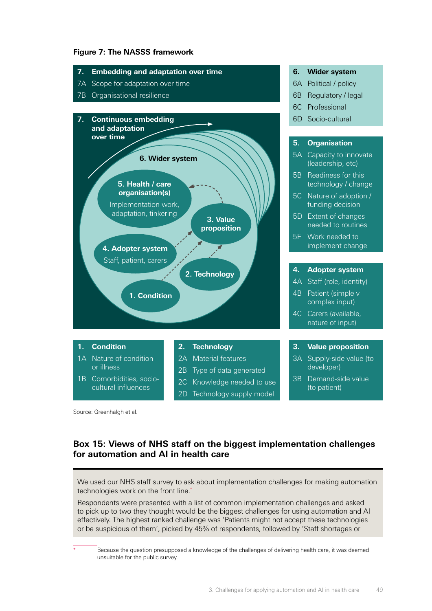### **Figure 7: The NASSS framework**



Source: Greenhalgh et al.

## **Box 15: Views of NHS staff on the biggest implementation challenges for automation and AI in health care**

We used our NHS staff survey to ask about implementation challenges for making automation technologies work on the front line.<sup>\*</sup>

Respondents were presented with a list of common implementation challenges and asked to pick up to two they thought would be the biggest challenges for using automation and AI effectively. The highest ranked challenge was 'Patients might not accept these technologies or be suspicious of them', picked by 45% of respondents, followed by 'Staff shortages or

Because the question presupposed a knowledge of the challenges of delivering health care, it was deemed unsuitable for the public survey.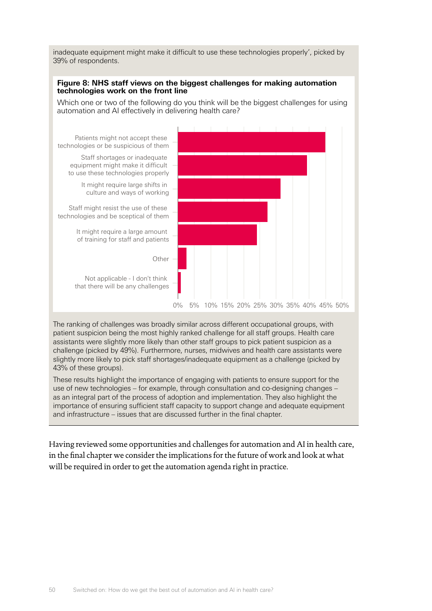inadequate equipment might make it difficult to use these technologies properly', picked by 39% of respondents.

### **Figure 8: NHS staff views on the biggest challenges for making automation technologies work on the front line**

Which one or two of the following do you think will be the biggest challenges for using automation and AI effectively in delivering health care?



The ranking of challenges was broadly similar across different occupational groups, with patient suspicion being the most highly ranked challenge for all staff groups. Health care assistants were slightly more likely than other staff groups to pick patient suspicion as a challenge (picked by 49%). Furthermore, nurses, midwives and health care assistants were slightly more likely to pick staff shortages/inadequate equipment as a challenge (picked by 43% of these groups).

These results highlight the importance of engaging with patients to ensure support for the use of new technologies – for example, through consultation and co-designing changes – as an integral part of the process of adoption and implementation. They also highlight the importance of ensuring sufficient staff capacity to support change and adequate equipment and infrastructure – issues that are discussed further in the final chapter.

Having reviewed some opportunities and challenges for automation and AI in health care, in the final chapter we consider the implications for the future of work and look at what will be required in order to get the automation agenda right in practice.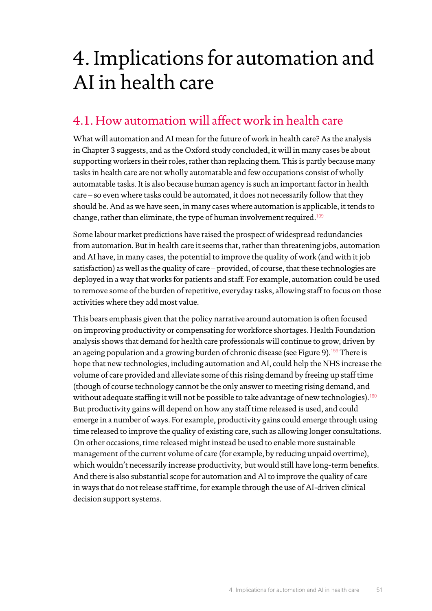# 4. Implications for automation and AI in health care

# 4.1. How automation will affect work in health care

What will automation and AI mean for the future of work in health care? As the analysis in Chapter 3 suggests, and as the Oxford study concluded, it will in many cases be about supporting workers in their roles, rather than replacing them. This is partly because many tasks in health care are not wholly automatable and few occupations consist of wholly automatable tasks. It is also because human agency is such an important factor in health care – so even where tasks could be automated, it does not necessarily follow that they should be. And as we have seen, in many cases where automation is applicable, it tends to change, rather than eliminate, the type of human involvement required.<sup>[109](#page-72-14)</sup>

Some labour market predictions have raised the prospect of widespread redundancies from automation. But in health care it seems that, rather than threatening jobs, automation and AI have, in many cases, the potential to improve the quality of work (and with it job satisfaction) as well as the quality of care – provided, of course, that these technologies are deployed in a way that works for patients and staff. For example, automation could be used to remove some of the burden of repetitive, everyday tasks, allowing staff to focus on those activities where they add most value.

This bears emphasis given that the policy narrative around automation is often focused on improving productivity or compensating for workforce shortages. Health Foundation analysis shows that demand for health care professionals will continue to grow, driven by an ageing population and a growing burden of chronic disease (see Figure 9).<sup>[159](#page-74-14)</sup> There is hope that new technologies, including automation and AI, could help the NHS increase the volume of care provided and alleviate some of this rising demand by freeing up staff time (though of course technology cannot be the only answer to meeting rising demand, and without adequate staffing it will not be possible to take advantage of new technologies).<sup>[160](#page-74-15)</sup> But productivity gains will depend on how any staff time released is used, and could emerge in a number of ways. For example, productivity gains could emerge through using time released to improve the quality of existing care, such as allowing longer consultations. On other occasions, time released might instead be used to enable more sustainable management of the current volume of care (for example, by reducing unpaid overtime), which wouldn't necessarily increase productivity, but would still have long-term benefits. And there is also substantial scope for automation and AI to improve the quality of care in ways that do not release staff time, for example through the use of AI-driven clinical decision support systems.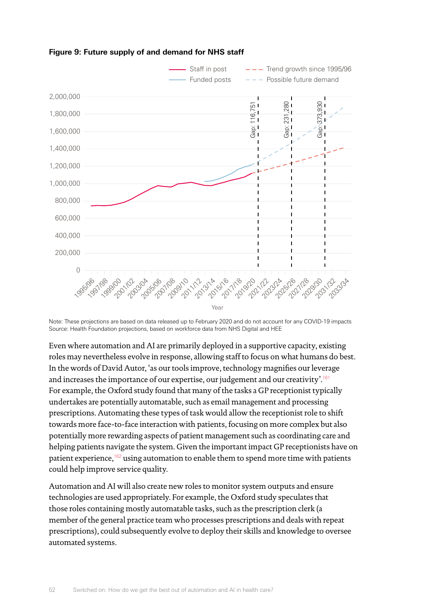

**Figure 9: Future supply of and demand for NHS staff**

Source: Health Foundation projections, based on workforce data from NHS Digital and HEE Note: These projections are based on data released up to February 2020 and do not account for any COVID-19 impacts

Even where automation and AI are primarily deployed in a supportive capacity, existing roles may nevertheless evolve in response, allowing staff to focus on what humans do best. In the words of David Autor, 'as our tools improve, technology magnifies our leverage and increases the importance of our expertise, our judgement and our creativity'.[161](#page-74-16) For example, the Oxford study found that many of the tasks a GP receptionist typically undertakes are potentially automatable, such as email management and processing prescriptions. Automating these types of task would allow the receptionist role to shift towards more face-to-face interaction with patients, focusing on more complex but also potentially more rewarding aspects of patient management such as coordinating care and helping patients navigate the system. Given the important impact GP receptionists have on patient experience,<sup>[162](#page-74-17)</sup> using automation to enable them to spend more time with patients could help improve service quality.

Automation and AI will also create new roles to monitor system outputs and ensure technologies are used appropriately. For example, the Oxford study speculates that those roles containing mostly automatable tasks, such as the prescription clerk (a member of the general practice team who processes prescriptions and deals with repeat prescriptions), could subsequently evolve to deploy their skills and knowledge to oversee automated systems.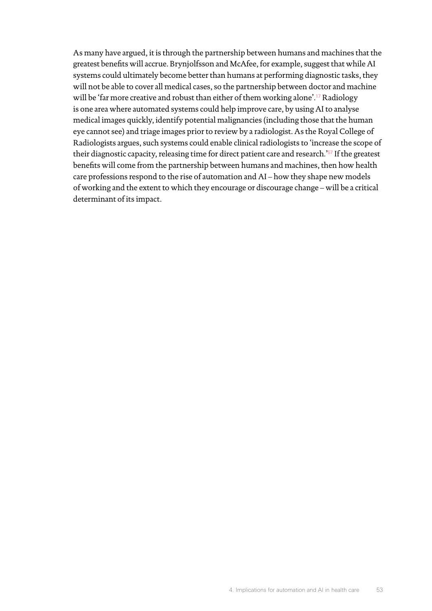As many have argued, it is through the partnership between humans and machines that the greatest benefits will accrue. Brynjolfsson and McAfee, for example, suggest that while AI systems could ultimately become better than humans at performing diagnostic tasks, they will not be able to cover all medical cases, so the partnership between doctor and machine will be 'far more creative and robust than either of them working alone'.<sup>[17](#page-69-0)</sup> Radiology is one area where automated systems could help improve care, by using AI to analyse medical images quickly, identify potential malignancies (including those that the human eye cannot see) and triage images prior to review by a radiologist. As the Royal College of Radiologists argues, such systems could enable clinical radiologists to 'increase the scope of their diagnostic capacity, releasing time for direct patient care and research.<sup>'[57](#page-70-2)</sup> If the greatest benefits will come from the partnership between humans and machines, then how health care professions respond to the rise of automation and AI – how they shape new models of working and the extent to which they encourage or discourage change – will be a critical determinant of its impact.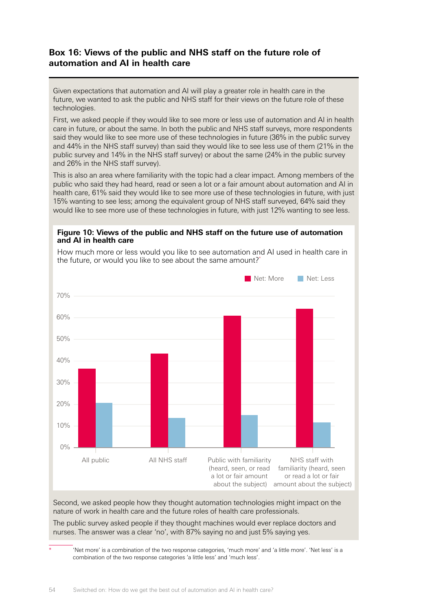# **Box 16: Views of the public and NHS staff on the future role of automation and AI in health care**

Given expectations that automation and AI will play a greater role in health care in the future, we wanted to ask the public and NHS staff for their views on the future role of these technologies.

First, we asked people if they would like to see more or less use of automation and AI in health care in future, or about the same. In both the public and NHS staff surveys, more respondents said they would like to see more use of these technologies in future (36% in the public survey and 44% in the NHS staff survey) than said they would like to see less use of them (21% in the public survey and 14% in the NHS staff survey) or about the same (24% in the public survey and 26% in the NHS staff survey).

This is also an area where familiarity with the topic had a clear impact. Among members of the public who said they had heard, read or seen a lot or a fair amount about automation and AI in health care, 61% said they would like to see more use of these technologies in future, with just 15% wanting to see less; among the equivalent group of NHS staff surveyed, 64% said they would like to see more use of these technologies in future, with just 12% wanting to see less.

### **Figure 10: Views of the public and NHS staff on the future use of automation and AI in health care**



How much more or less would you like to see automation and AI used in health care in the future, or would you like to see about the same amount?\*

Second, we asked people how they thought automation technologies might impact on the nature of work in health care and the future roles of health care professionals.

The public survey asked people if they thought machines would ever replace doctors and nurses. The answer was a clear 'no', with 87% saying no and just 5% saying yes.

\* 'Net more' is a combination of the two response categories, 'much more' and 'a little more'. 'Net less' is a combination of the two response categories 'a little less' and 'much less'.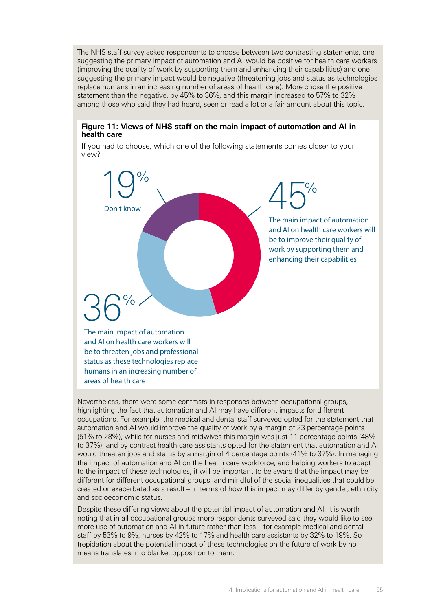The NHS staff survey asked respondents to choose between two contrasting statements, one suggesting the primary impact of automation and AI would be positive for health care workers (improving the quality of work by supporting them and enhancing their capabilities) and one suggesting the primary impact would be negative (threatening jobs and status as technologies replace humans in an increasing number of areas of health care). More chose the positive statement than the negative, by 45% to 36%, and this margin increased to 57% to 32% among those who said they had heard, seen or read a lot or a fair amount about this topic.

### **Figure 11: Views of NHS staff on the main impact of automation and AI in health care**

If you had to choose, which one of the following statements comes closer to your view?



and AI on health care workers will be to threaten jobs and professional status as these technologies replace humans in an increasing number of

areas of health care

Nevertheless, there were some contrasts in responses between occupational groups, highlighting the fact that automation and AI may have different impacts for different occupations. For example, the medical and dental staff surveyed opted for the statement that automation and AI would improve the quality of work by a margin of 23 percentage points (51% to 28%), while for nurses and midwives this margin was just 11 percentage points (48% to 37%), and by contrast health care assistants opted for the statement that automation and AI would threaten jobs and status by a margin of 4 percentage points (41% to 37%). In managing the impact of automation and AI on the health care workforce, and helping workers to adapt to the impact of these technologies, it will be important to be aware that the impact may be different for different occupational groups, and mindful of the social inequalities that could be created or exacerbated as a result – in terms of how this impact may differ by gender, ethnicity and socioeconomic status.

Despite these differing views about the potential impact of automation and AI, it is worth noting that in all occupational groups more respondents surveyed said they would like to see more use of automation and AI in future rather than less – for example medical and dental staff by 53% to 9%, nurses by 42% to 17% and health care assistants by 32% to 19%. So trepidation about the potential impact of these technologies on the future of work by no means translates into blanket opposition to them.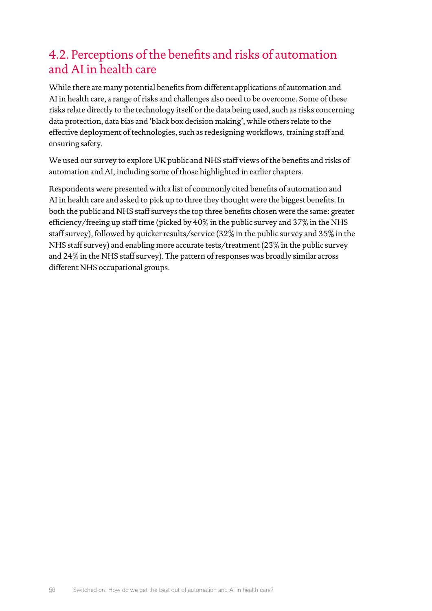# 4.2. Perceptions of the benefits and risks of automation and AI in health care

While there are many potential benefits from different applications of automation and AI in health care, a range of risks and challenges also need to be overcome. Some of these risks relate directly to the technology itself or the data being used, such as risks concerning data protection, data bias and 'black box decision making', while others relate to the effective deployment of technologies, such as redesigning workflows, training staff and ensuring safety.

We used our survey to explore UK public and NHS staff views of the benefits and risks of automation and AI, including some of those highlighted in earlier chapters.

Respondents were presented with a list of commonly cited benefits of automation and AI in health care and asked to pick up to three they thought were the biggest benefits. In both the public and NHS staff surveys the top three benefits chosen were the same: greater efficiency/freeing up staff time (picked by 40% in the public survey and 37% in the NHS staff survey), followed by quicker results/service (32% in the public survey and 35% in the NHS staff survey) and enabling more accurate tests/treatment (23% in the public survey and 24% in the NHS staff survey). The pattern of responses was broadly similar across different NHS occupational groups.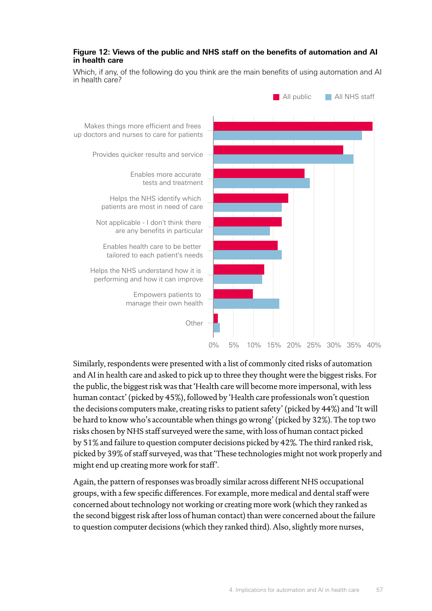### **Figure 12: Views of the public and NHS staff on the benefits of automation and AI in health care**

Makes things more efficient and frees up doctors and nurses to care for patients Enables more accurate tests and treatment Not applicable - I don't think there are any benefits in particular Enables health care to be better tailored to each patient's needs Helps the NHS understand how it is performing and how it can improve Empowers patients to manage their own health **Other** Provides quicker results and service Helps the NHS identify which patients are most in need of care 0% 5% 10% 15% 20% 25% 30% 35% 40% **All public** All NHS staff

Which, if any, of the following do you think are the main benefits of using automation and AI in health care?

Similarly, respondents were presented with a list of commonly cited risks of automation and AI in health care and asked to pick up to three they thought were the biggest risks. For the public, the biggest risk was that 'Health care will become more impersonal, with less human contact' (picked by 45%), followed by 'Health care professionals won't question the decisions computers make, creating risks to patient safety' (picked by 44%) and 'It will be hard to know who's accountable when things go wrong' (picked by 32%). The top two risks chosen by NHS staff surveyed were the same, with loss of human contact picked by 51% and failure to question computer decisions picked by 42%. The third ranked risk, picked by 39% of staff surveyed, was that 'These technologies might not work properly and might end up creating more work for staff'.

Again, the pattern of responses was broadly similar across different NHS occupational groups, with a few specific differences. For example, more medical and dental staff were concerned about technology not working or creating more work (which they ranked as the second biggest risk after loss of human contact) than were concerned about the failure to question computer decisions (which they ranked third). Also, slightly more nurses,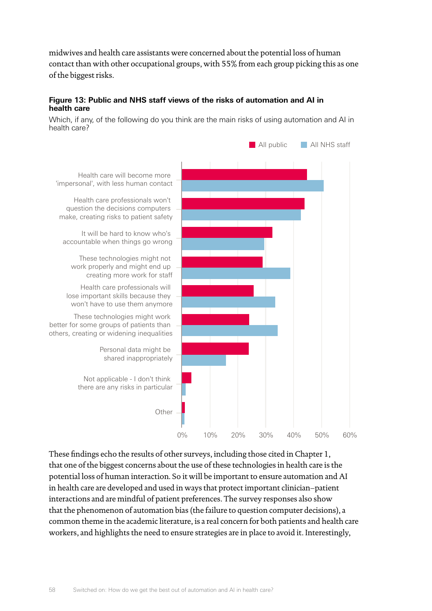midwives and health care assistants were concerned about the potential loss of human contact than with other occupational groups, with 55% from each group picking this as one of the biggest risks.

### **Figure 13: Public and NHS staff views of the risks of automation and AI in health care**

Which, if any, of the following do you think are the main risks of using automation and AI in health care?



These findings echo the results of other surveys, including those cited in Chapter 1, that one of the biggest concerns about the use of these technologies in health care is the potential loss of human interaction. So it will be important to ensure automation and AI in health care are developed and used in ways that protect important clinician–patient interactions and are mindful of patient preferences. The survey responses also show that the phenomenon of automation bias (the failure to question computer decisions), a common theme in the academic literature, is a real concern for both patients and health care workers, and highlights the need to ensure strategies are in place to avoid it. Interestingly,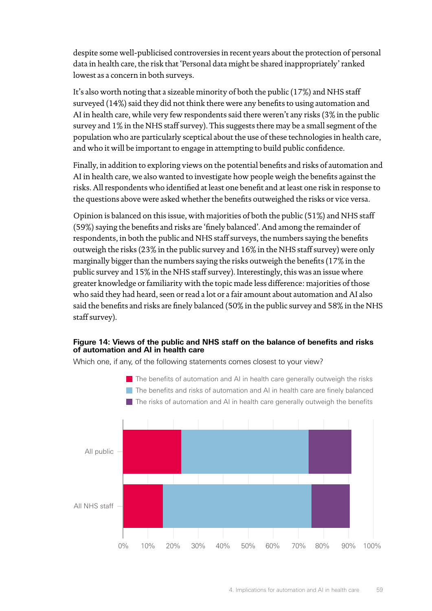despite some well-publicised controversies in recent years about the protection of personal data in health care, the risk that 'Personal data might be shared inappropriately' ranked lowest as a concern in both surveys.

It's also worth noting that a sizeable minority of both the public (17%) and NHS staff surveyed (14%) said they did not think there were any benefits to using automation and AI in health care, while very few respondents said there weren't any risks (3% in the public survey and 1% in the NHS staff survey). This suggests there may be a small segment of the population who are particularly sceptical about the use of these technologies in health care, and who it will be important to engage in attempting to build public confidence.

Finally, in addition to exploring views on the potential benefits and risks of automation and AI in health care, we also wanted to investigate how people weigh the benefits against the risks. All respondents who identified at least one benefit and at least one risk in response to the questions above were asked whether the benefits outweighed the risks or vice versa.

Opinion is balanced on this issue, with majorities of both the public (51%) and NHS staff (59%) saying the benefits and risks are 'finely balanced'. And among the remainder of respondents, in both the public and NHS staff surveys, the numbers saying the benefits outweigh the risks (23% in the public survey and 16% in the NHS staff survey) were only marginally bigger than the numbers saying the risks outweigh the benefits (17% in the public survey and 15% in the NHS staff survey). Interestingly, this was an issue where greater knowledge or familiarity with the topic made less difference: majorities of those who said they had heard, seen or read a lot or a fair amount about automation and AI also said the benefits and risks are finely balanced (50% in the public survey and 58% in the NHS staff survey).

### **Figure 14: Views of the public and NHS staff on the balance of benefits and risks of automation and AI in health care**

Which one, if any, of the following statements comes closest to your view?

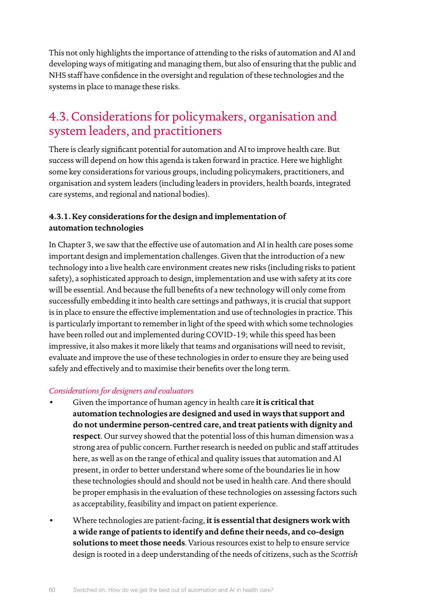This not only highlights the importance of attending to the risks of automation and AI and developing ways of mitigating and managing them, but also of ensuring that the public and NHS staff have confidence in the oversight and regulation of these technologies and the systems in place to manage these risks.

# 4.3. Considerations for policymakers, organisation and system leaders, and practitioners

There is clearly significant potential for automation and AI to improve health care. But success will depend on how this agenda is taken forward in practice. Here we highlight some key considerations for various groups, including policymakers, practitioners, and organisation and system leaders (including leaders in providers, health boards, integrated care systems, and regional and national bodies).

## **4.3.1. Key considerations for the design and implementation of automation technologies**

In Chapter 3, we saw that the effective use of automation and AI in health care poses some important design and implementation challenges. Given that the introduction of a new technology into a live health care environment creates new risks (including risks to patient safety), a sophisticated approach to design, implementation and use with safety at its core will be essential. And because the full benefits of a new technology will only come from successfully embedding it into health care settings and pathways, it is crucial that support is in place to ensure the effective implementation and use of technologies in practice. This is particularly important to remember in light of the speed with which some technologies have been rolled out and implemented during COVID-19; while this speed has been impressive, it also makes it more likely that teams and organisations will need to revisit, evaluate and improve the use of these technologies in order to ensure they are being used safely and effectively and to maximise their benefits over the long term.

## *Considerations for designers and evaluators*

- Given the importance of human agency in health care **it is critical that automation technologies are designed and used in ways that support and do not undermine person-centred care, and treat patients with dignity and respect**. Our survey showed that the potential loss of this human dimension was a strong area of public concern. Further research is needed on public and staff attitudes here, as well as on the range of ethical and quality issues that automation and AI present, in order to better understand where some of the boundaries lie in how these technologies should and should not be used in health care. And there should be proper emphasis in the evaluation of these technologies on assessing factors such as acceptability, feasibility and impact on patient experience.
- Where technologies are patient-facing, **it is essential that designers work with a wide range of patients to identify and define their needs, and co-design solutions to meet those needs**. Various resources exist to help to ensure service design is rooted in a deep understanding of the needs of citizens, such as the *Scottish*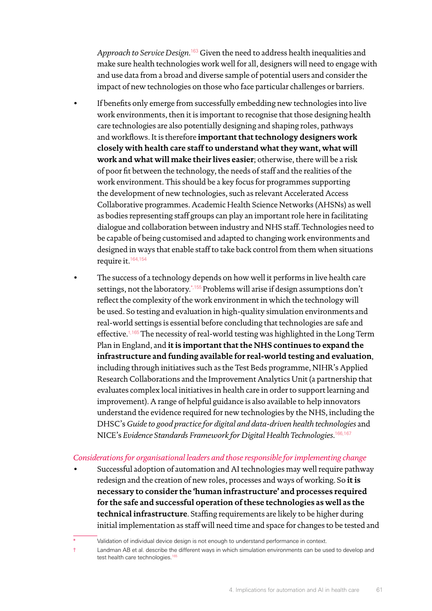*Approach to Service Design*. [163](#page-74-18) Given the need to address health inequalities and make sure health technologies work well for all, designers will need to engage with and use data from a broad and diverse sample of potential users and consider the impact of new technologies on those who face particular challenges or barriers.

- If benefits only emerge from successfully embedding new technologies into live work environments, then it is important to recognise that those designing health care technologies are also potentially designing and shaping roles, pathways and workflows. It is therefore **important that technology designers work closely with health care staff to understand what they want, what will work and what will make their lives easier**; otherwise, there will be a risk of poor fit between the technology, the needs of staff and the realities of the work environment. This should be a key focus for programmes supporting the development of new technologies, such as relevant Accelerated Access Collaborative programmes. Academic Health Science Networks (AHSNs) as well as bodies representing staff groups can play an important role here in facilitating dialogue and collaboration between industry and NHS staff. Technologies need to be capable of being customised and adapted to changing work environments and designed in ways that enable staff to take back control from them when situations require it.<sup>[164,](#page-74-19)[154](#page-74-9)</sup>
- The success of a technology depends on how well it performs in live health care settings, not the laboratory.\*[,155](#page-74-10) Problems will arise if design assumptions don't reflect the complexity of the work environment in which the technology will be used. So testing and evaluation in high-quality simulation environments and real-world settings is essential before concluding that technologies are safe and effective.<sup>†,165</sup> The necessity of real-world testing was highlighted in the Long Term Plan in England, and **it is important that the NHS continues to expand the infrastructure and funding available for real-world testing and evaluation**, including through initiatives such as the Test Beds programme, NIHR's Applied Research Collaborations and the Improvement Analytics Unit (a partnership that evaluates complex local initiatives in health care in order to support learning and improvement). A range of helpful guidance is also available to help innovators understand the evidence required for new technologies by the NHS, including the DHSC's *Guide to good practice for digital and data-driven health technologies* and NICE's *Evidence Standards Framework for Digital Health Technologies*. [166](#page-74-21),[167](#page-74-22)

### *Considerations for organisational leaders and those responsible for implementing change*

• Successful adoption of automation and AI technologies may well require pathway redesign and the creation of new roles, processes and ways of working. So **it is necessary to consider the 'human infrastructure' and processes required for the safe and successful operation of these technologies as well as the technical infrastructure**. Staffing requirements are likely to be higher during initial implementation as staff will need time and space for changes to be tested and

Validation of individual device design is not enough to understand performance in context.

<sup>†</sup> Landman AB et al. describe the different ways in which simulation environments can be used to develop and test health care technologies.<sup>[165](#page-74-20)</sup>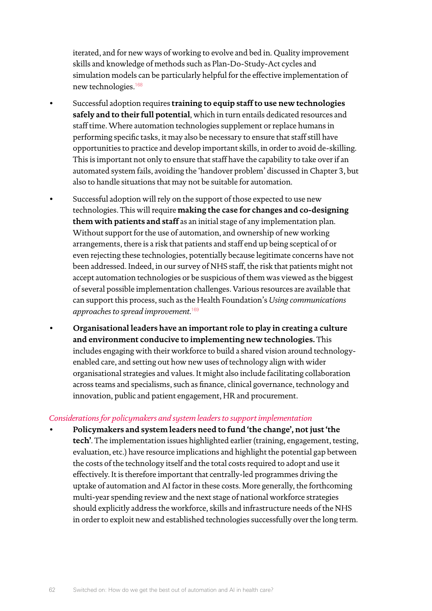iterated, and for new ways of working to evolve and bed in. Quality improvement skills and knowledge of methods such as Plan-Do-Study-Act cycles and simulation models can be particularly helpful for the effective implementation of new technologies.[168](#page-74-23)

- Successful adoption requires **training to equip staff to use new technologies safely and to their full potential**, which in turn entails dedicated resources and staff time. Where automation technologies supplement or replace humans in performing specific tasks, it may also be necessary to ensure that staff still have opportunities to practice and develop important skills, in order to avoid de-skilling. This is important not only to ensure that staff have the capability to take over if an automated system fails, avoiding the 'handover problem' discussed in Chapter 3, but also to handle situations that may not be suitable for automation.
	- Successful adoption will rely on the support of those expected to use new technologies. This will require **making the case for changes and co-designing them with patients and staff** as an initial stage of any implementation plan. Without support for the use of automation, and ownership of new working arrangements, there is a risk that patients and staff end up being sceptical of or even rejecting these technologies, potentially because legitimate concerns have not been addressed. Indeed, in our survey of NHS staff, the risk that patients might not accept automation technologies or be suspicious of them was viewed as the biggest of several possible implementation challenges. Various resources are available that can support this process, such as the Health Foundation's *Using communications approaches to spread improvement*. [169](#page-74-24)
- **Organisational leaders have an important role to play in creating a culture and environment conducive to implementing new technologies.** This includes engaging with their workforce to build a shared vision around technologyenabled care, and setting out how new uses of technology align with wider organisational strategies and values. It might also include facilitating collaboration across teams and specialisms, such as finance, clinical governance, technology and innovation, public and patient engagement, HR and procurement.

#### *Considerations for policymakers and system leaders to support implementation*

• **Policymakers and system leaders need to fund 'the change', not just 'the tech'**. The implementation issues highlighted earlier (training, engagement, testing, evaluation, etc.) have resource implications and highlight the potential gap between the costs of the technology itself and the total costs required to adopt and use it effectively. It is therefore important that centrally-led programmes driving the uptake of automation and AI factor in these costs. More generally, the forthcoming multi-year spending review and the next stage of national workforce strategies should explicitly address the workforce, skills and infrastructure needs of the NHS in order to exploit new and established technologies successfully over the long term.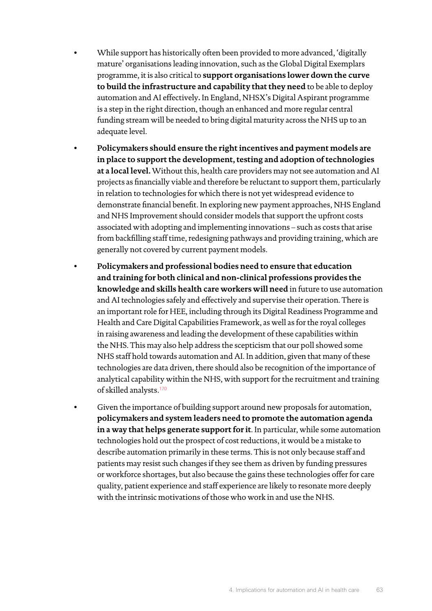- While support has historically often been provided to more advanced, 'digitally mature' organisations leading innovation, such as the Global Digital Exemplars programme, it is also critical to **support organisations lower down the curve to build the infrastructure and capability that they need** to be able to deploy automation and AI effectively**.** In England, NHSX's Digital Aspirant programme is a step in the right direction, though an enhanced and more regular central funding stream will be needed to bring digital maturity across the NHS up to an adequate level.
- **Policymakers should ensure the right incentives and payment models are in place to support the development, testing and adoption of technologies at a local level.** Without this, health care providers may not see automation and AI projects as financially viable and therefore be reluctant to support them, particularly in relation to technologies for which there is not yet widespread evidence to demonstrate financial benefit. In exploring new payment approaches, NHS England and NHS Improvement should consider models that support the upfront costs associated with adopting and implementing innovations – such as costs that arise from backfilling staff time, redesigning pathways and providing training, which are generally not covered by current payment models.
- **Policymakers and professional bodies need to ensure that education and training for both clinical and non-clinical professions provides the knowledge and skills health care workers will need** in future to use automation and AI technologies safely and effectively and supervise their operation. There is an important role for HEE, including through its Digital Readiness Programme and Health and Care Digital Capabilities Framework, as well as for the royal colleges in raising awareness and leading the development of these capabilities within the NHS. This may also help address the scepticism that our poll showed some NHS staff hold towards automation and AI. In addition, given that many of these technologies are data driven, there should also be recognition of the importance of analytical capability within the NHS, with support for the recruitment and training of skilled analysts.[170](#page-74-25)
- Given the importance of building support around new proposals for automation, **policymakers and system leaders need to promote the automation agenda in a way that helps generate support for it**. In particular, while some automation technologies hold out the prospect of cost reductions, it would be a mistake to describe automation primarily in these terms. This is not only because staff and patients may resist such changes if they see them as driven by funding pressures or workforce shortages, but also because the gains these technologies offer for care quality, patient experience and staff experience are likely to resonate more deeply with the intrinsic motivations of those who work in and use the NHS.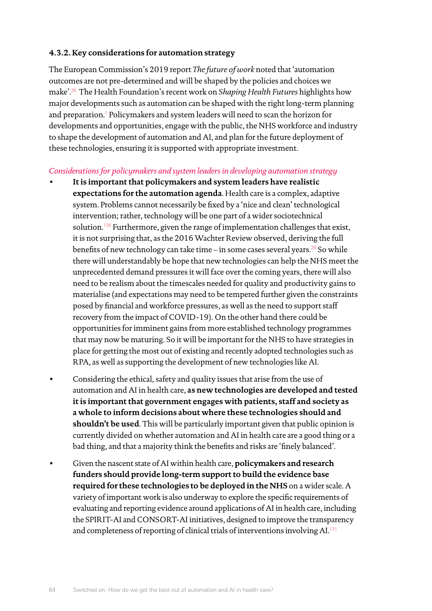### **4.3.2. Key considerations for automation strategy**

The European Commission's 2019 report *The future of work* noted that 'automation outcomes are not pre-determined and will be shaped by the policies and choices we make'.[26](#page-69-4) The Health Foundation's recent work on *Shaping Health Futures* highlights how major developments such as automation can be shaped with the right long-term planning and preparation.[1](#page-69-5) Policymakers and system leaders will need to scan the horizon for developments and opportunities, engage with the public, the NHS workforce and industry to shape the development of automation and AI, and plan for the future deployment of these technologies, ensuring it is supported with appropriate investment.

### *Considerations for policymakers and system leaders in developing automation strategy*

- **It is important that policymakers and system leaders have realistic expectations for the automation agenda**. Health care is a complex, adaptive system. Problems cannot necessarily be fixed by a 'nice and clean' technological intervention; rather, technology will be one part of a wider sociotechnical solution.[139](#page-73-24) Furthermore, given the range of implementation challenges that exist, it is not surprising that, as the 2016 Wachter Review observed, deriving the full benefits of new technology can take time – in some cases several years.<sup>[29](#page-70-0)</sup> So while there will understandably be hope that new technologies can help the NHS meet the unprecedented demand pressures it will face over the coming years, there will also need to be realism about the timescales needed for quality and productivity gains to materialise (and expectations may need to be tempered further given the constraints posed by financial and workforce pressures, as well as the need to support staff recovery from the impact of COVID-19). On the other hand there could be opportunities for imminent gains from more established technology programmes that may now be maturing. So it will be important for the NHS to have strategies in place for getting the most out of existing and recently adopted technologies such as RPA, as well as supporting the development of new technologies like AI.
- Considering the ethical, safety and quality issues that arise from the use of automation and AI in health care, **as new technologies are developed and tested it is important that government engages with patients, staff and society as a whole to inform decisions about where these technologies should and shouldn't be used**. This will be particularly important given that public opinion is currently divided on whether automation and AI in health care are a good thing or a bad thing, and that a majority think the benefits and risks are 'finely balanced'.
- Given the nascent state of AI within health care, **policymakers and research funders should provide long-term support to build the evidence base required for these technologies to be deployed in the NHS** on a wider scale. A variety of important work is also underway to explore the specific requirements of evaluating and reporting evidence around applications of AI in health care, including the SPIRIT-AI and CONSORT-AI initiatives, designed to improve the transparency and completeness of reporting of clinical trials of interventions involving AI.[171](#page-74-26)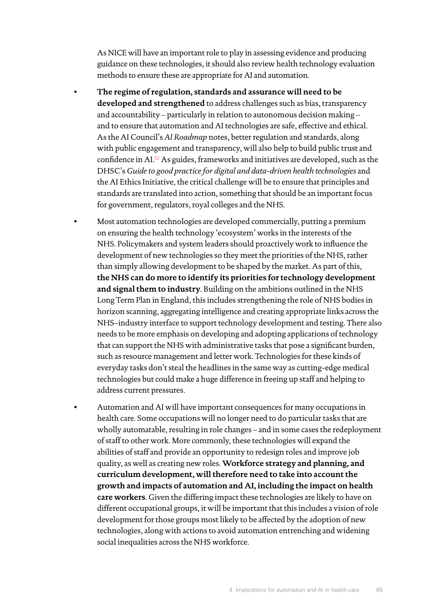As NICE will have an important role to play in assessing evidence and producing guidance on these technologies, it should also review health technology evaluation methods to ensure these are appropriate for AI and automation.

- **The regime of regulation, standards and assurance will need to be developed and strengthened** to address challenges such as bias, transparency and accountability – particularly in relation to autonomous decision making – and to ensure that automation and AI technologies are safe, effective and ethical. As the AI Council's *AI Roadmap* notes, better regulation and standards, along with public engagement and transparency, will also help to build public trust and confidence in AI.[52](#page-70-3) As guides, frameworks and initiatives are developed, such as the DHSC's *Guide to good practice for digital and data-driven health technologies* and the AI Ethics Initiative, the critical challenge will be to ensure that principles and standards are translated into action, something that should be an important focus for government, regulators, royal colleges and the NHS.
- Most automation technologies are developed commercially, putting a premium on ensuring the health technology 'ecosystem' works in the interests of the NHS. Policymakers and system leaders should proactively work to influence the development of new technologies so they meet the priorities of the NHS, rather than simply allowing development to be shaped by the market. As part of this, **the NHS can do more to identify its priorities for technology development and signal them to industry**. Building on the ambitions outlined in the NHS Long Term Plan in England, this includes strengthening the role of NHS bodies in horizon scanning, aggregating intelligence and creating appropriate links across the NHS–industry interface to support technology development and testing. There also needs to be more emphasis on developing and adopting applications of technology that can support the NHS with administrative tasks that pose a significant burden, such as resource management and letter work. Technologies for these kinds of everyday tasks don't steal the headlines in the same way as cutting-edge medical technologies but could make a huge difference in freeing up staff and helping to address current pressures.
- Automation and AI will have important consequences for many occupations in health care. Some occupations will no longer need to do particular tasks that are wholly automatable, resulting in role changes – and in some cases the redeployment of staff to other work. More commonly, these technologies will expand the abilities of staff and provide an opportunity to redesign roles and improve job quality, as well as creating new roles. **Workforce strategy and planning, and curriculum development, will therefore need to take into account the growth and impacts of automation and AI, including the impact on health care workers**. Given the differing impact these technologies are likely to have on different occupational groups, it will be important that this includes a vision of role development for those groups most likely to be affected by the adoption of new technologies, along with actions to avoid automation entrenching and widening social inequalities across the NHS workforce.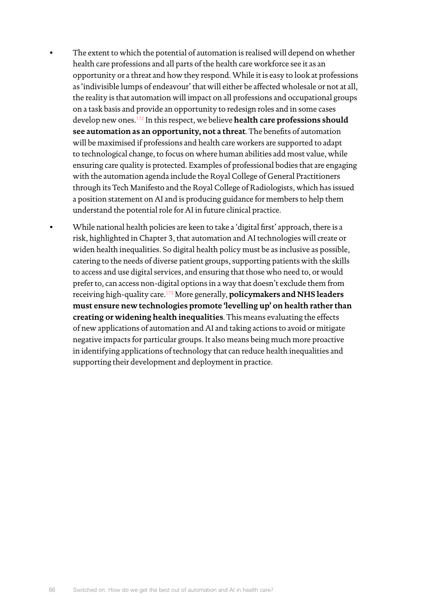- The extent to which the potential of automation is realised will depend on whether health care professions and all parts of the health care workforce see it as an opportunity or a threat and how they respond. While it is easy to look at professions as 'indivisible lumps of endeavour' that will either be affected wholesale or not at all, the reality is that automation will impact on all professions and occupational groups on a task basis and provide an opportunity to redesign roles and in some cases develop new ones.[172](#page-74-27) In this respect, we believe **health care professions should see automation as an opportunity, not a threat**. The benefits of automation will be maximised if professions and health care workers are supported to adapt to technological change, to focus on where human abilities add most value, while ensuring care quality is protected. Examples of professional bodies that are engaging with the automation agenda include the Royal College of General Practitioners through its Tech Manifesto and the Royal College of Radiologists, which has issued a position statement on AI and is producing guidance for members to help them understand the potential role for AI in future clinical practice.
- While national health policies are keen to take a 'digital first' approach, there is a risk, highlighted in Chapter 3, that automation and AI technologies will create or widen health inequalities. So digital health policy must be as inclusive as possible, catering to the needs of diverse patient groups, supporting patients with the skills to access and use digital services, and ensuring that those who need to, or would prefer to, can access non-digital options in a way that doesn't exclude them from receiving high-quality care.[173](#page-74-28) More generally, **policymakers and NHS leaders must ensure new technologies promote 'levelling up' on health rather than creating or widening health inequalities**. This means evaluating the effects of new applications of automation and AI and taking actions to avoid or mitigate negative impacts for particular groups. It also means being much more proactive in identifying applications of technology that can reduce health inequalities and supporting their development and deployment in practice.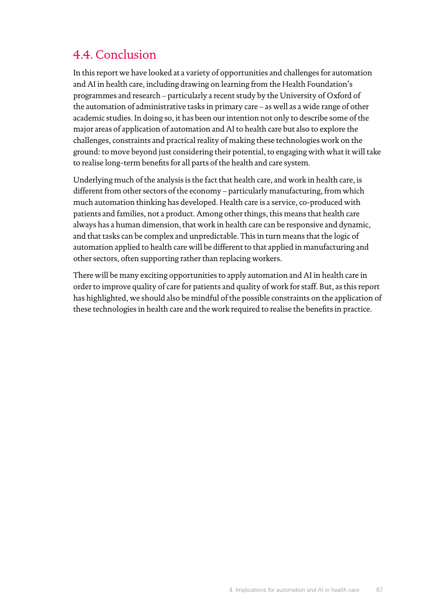# 4.4. Conclusion

In this report we have looked at a variety of opportunities and challenges for automation and AI in health care, including drawing on learning from the Health Foundation's programmes and research – particularly a recent study by the University of Oxford of the automation of administrative tasks in primary care – as well as a wide range of other academic studies. In doing so, it has been our intention not only to describe some of the major areas of application of automation and AI to health care but also to explore the challenges, constraints and practical reality of making these technologies work on the ground: to move beyond just considering their potential, to engaging with what it will take to realise long-term benefits for all parts of the health and care system.

Underlying much of the analysis is the fact that health care, and work in health care, is different from other sectors of the economy – particularly manufacturing, from which much automation thinking has developed. Health care is a service, co-produced with patients and families, not a product. Among other things, this means that health care always has a human dimension, that work in health care can be responsive and dynamic, and that tasks can be complex and unpredictable. This in turn means that the logic of automation applied to health care will be different to that applied in manufacturing and other sectors, often supporting rather than replacing workers.

There will be many exciting opportunities to apply automation and AI in health care in order to improve quality of care for patients and quality of work for staff. But, as this report has highlighted, we should also be mindful of the possible constraints on the application of these technologies in health care and the work required to realise the benefits in practice.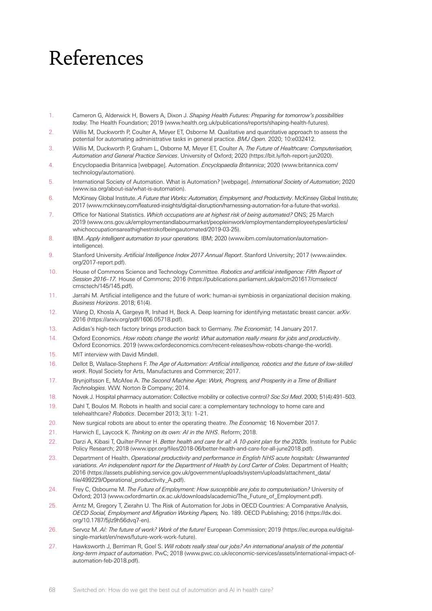# References

- <span id="page-69-5"></span>1. Cameron G, Alderwick H, Bowers A, Dixon J. *Shaping Health Futures: Preparing for tomorrow's possibilities today.* The Health Foundation; 2019 [\(www.health.org.uk/publications/reports/shaping-health-futures](https://www.health.org.uk/publications/reports/shaping-health-futures)).
- 2. Willis M, Duckworth P, Coulter A, Meyer ET, Osborne M. Qualitative and quantitative approach to assess the potential for automating administrative tasks in general practice. *BMJ Open.* 2020; 10:e032412.
- <span id="page-69-3"></span>3. Willis M, Duckworth P, Graham L, Osborne M, Meyer ET, Coulter A. *The Future of Healthcare: Computerisation, Automation and General Practice Services*. University of Oxford; 2020 [\(https://bit.ly/foh-report-jun2020\)](https://bit.ly/foh-report-jun2020).
- 4. Encyclopaedia Britannica [webpage]. Automation. *Encyclopaedia Britannica*; 2020 [\(www.britannica.com/](https://www.britannica.com/technology/automation) [technology/automation\)](https://www.britannica.com/technology/automation).
- 5. International Society of Automation. What is Automation? [webpage]. *International Society of Automation*; 2020 ([www.isa.org/about-isa/what-is-automation\)](file:///Volumes/MY%20PASSPORT/health%20foundation/AutomationReport/switchedonautomationreportfortypesetting/www.isa.org/about-isa/what-is-automation).
- 6. McKinsey Global Institute. *A Future that Works: Automation, Employment, and Productivity*. McKinsey Global Institute; 2017 (www.mckinsey.com/featured-insights/digital-disruption/harnessing-automation-for-a-future-that-works).
- 7. Office for National Statistics. *Which occupations are at highest risk of being automated?* ONS; 25 March 2019 [\(www.ons.gov.uk/employmentandlabourmarket/peopleinwork/employmentandemployeetypes/articles/](file:///Volumes/MY%20PASSPORT/health%20foundation/AutomationReport/switchedonautomationreportfortypesetting/www.ons.gov.uk/employmentandlabourmarket/peopleinwork/employmentandemployeetypes/articles/whichoccupationsareathighestriskofbeingautomated/2019-03-25) [whichoccupationsareathighestriskofbeingautomated/2019-03-25](file:///Volumes/MY%20PASSPORT/health%20foundation/AutomationReport/switchedonautomationreportfortypesetting/www.ons.gov.uk/employmentandlabourmarket/peopleinwork/employmentandemployeetypes/articles/whichoccupationsareathighestriskofbeingautomated/2019-03-25)).
- 8. IBM. *Apply intelligent automation to your operations.* IBM; 2020 [\(www.ibm.com/automation/automation](file:///Volumes/MY%20PASSPORT/health%20foundation/AutomationReport/switchedonautomationreportfortypesetting/www.ibm.com/automation/automation-intelligence)[intelligence\)](file:///Volumes/MY%20PASSPORT/health%20foundation/AutomationReport/switchedonautomationreportfortypesetting/www.ibm.com/automation/automation-intelligence).
- 9. Stanford University. *Artificial Intelligence Index 2017 Annual Report*. Stanford University; 2017 [\(www.aiindex.](file:///Volumes/MY%20PASSPORT/health%20foundation/AutomationReport/switchedonautomationreportfortypesetting/www.aiindex.org/2017-report.pdf) [org/2017-report.pdf](file:///Volumes/MY%20PASSPORT/health%20foundation/AutomationReport/switchedonautomationreportfortypesetting/www.aiindex.org/2017-report.pdf)).
- 10. House of Commons Science and Technology Committee. *Robotics and artificial intelligence: Fifth Report of Session 2016–17.* House of Commons; 2016 ([https://publications.parliament.uk/pa/cm201617/cmselect/](https://publications.parliament.uk/pa/cm201617/cmselect/cmsctech/145/145.pdf) [cmsctech/145/145.pdf](https://publications.parliament.uk/pa/cm201617/cmselect/cmsctech/145/145.pdf)).
- 11. Jarrahi M. Artificial intelligence and the future of work: human-ai symbiosis in organizational decision making. *Business Horizons*. 2018; 61(4).
- 12. Wang D, Khosla A, Gargeya R, Irshad H, Beck A. Deep learning for identifying metastatic breast cancer. *arXiv*. 2016 [\(https://arxiv.org/pdf/1606.05718.pdf\)](https://arxiv.org/pdf/1606.05718.pdf).
- 13. Adidas's high-tech factory brings production back to Germany. *The Economist*; 14 January 2017.
- 14. Oxford Economics. *How robots change the world: What automation really means for jobs and productivity*. Oxford Economics. 2019 [\(www.oxfordeconomics.com/recent-releases/how-robots-change-the-world](file:///Volumes/MY%20PASSPORT/health%20foundation/AutomationReport/switchedonautomationreportfortypesetting/www.oxfordeconomics.com/recent-releases/how-robots-change-the-world)).
- 15. MIT interview with David Mindell.
- 16. Dellot B, Wallace-Stephens F. *The Age of Automation: Artificial intelligence, robotics and the future of low-skilled work*. Royal Society for Arts, Manufactures and Commerce; 2017.
- <span id="page-69-0"></span>17. Brynjolfsson E, McAfee A. *The Second Machine Age: Work, Progress, and Prosperity in a Time of Brilliant Technologies*. W.W. Norton & Company; 2014.
- 18. Novek J. Hospital pharmacy automation: Collective mobility or collective control? *Soc Sci Med*. 2000; 51(4):491–503.
- 19. Dahl T, Boulos M. Robots in health and social care: a complementary technology to home care and telehealthcare? *Robotics*. December 2013; 3(1): 1–21.
- 20. New surgical robots are about to enter the operating theatre. *The Economist;* 16 November 2017.
- 21. Harwich E, Laycock K. *Thinking on its own: AI in the NHS*. Reform; 2018.
- <span id="page-69-2"></span>22. Darzi A, Kibasi T, Quilter-Pinner H. *Better health and care for all: A 10-point plan for the 2020s*. Institute for Public Policy Research; 2018 [\(www.ippr.org/files/2018-06/better-health-and-care-for-all-june2018.pdf](file:///Volumes/MY%20PASSPORT/health%20foundation/AutomationReport/switchedonautomationreportfortypesetting/www.ippr.org/files/2018-06/better-health-and-care-for-all-june2018.pdf)).
- 23. Department of Health. *Operational productivity and performance in English NHS acute hospitals: Unwarranted variations. An independent report for the Department of Health by Lord Carter of Coles*. Department of Health; 2016 [\(https://assets.publishing.service.gov.uk/government/uploads/system/uploads/attachment\\_data/](https://assets.publishing.service.gov.uk/government/uploads/system/uploads/attachment_data/file/499229/Operational_productivity_A.pdf) [file/499229/Operational\\_productivity\\_A.pdf\)](https://assets.publishing.service.gov.uk/government/uploads/system/uploads/attachment_data/file/499229/Operational_productivity_A.pdf).
- <span id="page-69-1"></span>24. Frey C, Osbourne M. *The Future of Employment: How susceptible are jobs to computerisation?* University of Oxford; 2013 ([www.oxfordmartin.ox.ac.uk/downloads/academic/The\\_Future\\_of\\_Employment.pdf\)](file:///Volumes/MY%20PASSPORT/health%20foundation/AutomationReport/switchedonautomationreportfortypesetting/www.oxfordmartin.ox.ac.uk/downloads/academic/The_Future_of_Employment.pdf).
- 25. Arntz M, Gregory T, Zierahn U. The Risk of Automation for Jobs in OECD Countries: A Comparative Analysis *OECD Social, Employment and Migration Working Papers,* No. 189. OECD Publishing; 2016 ([https://dx.doi.](https://dx.doi.org/10.1787/5jlz9h56dvq7-en) [org/10.1787/5jlz9h56dvq7-en](https://dx.doi.org/10.1787/5jlz9h56dvq7-en)).
- <span id="page-69-4"></span>26. Servoz M. *AI: The future of work? Work of the future!* European Commission; 2019 ([https://ec.europa.eu/digital](https://ec.europa.eu/digital-single-market/en/news/future-work-work-future)[single-market/en/news/future-work-work-future\)](https://ec.europa.eu/digital-single-market/en/news/future-work-work-future).
- 27. Hawksworth J, Berriman R, Goel S. *Will robots really steal our jobs? An international analysis of the potential long-term impact of automation*. PwC; 2018 ([www.pwc.co.uk/economic-services/assets/international-impact-of](file:///Volumes/MY%20PASSPORT/health%20foundation/AutomationReport/switchedonautomationreportfortypesetting/www.pwc.co.uk/economic-services/assets/international-impact-of-automation-feb-2018.pdf)[automation-feb-2018.pdf](file:///Volumes/MY%20PASSPORT/health%20foundation/AutomationReport/switchedonautomationreportfortypesetting/www.pwc.co.uk/economic-services/assets/international-impact-of-automation-feb-2018.pdf)).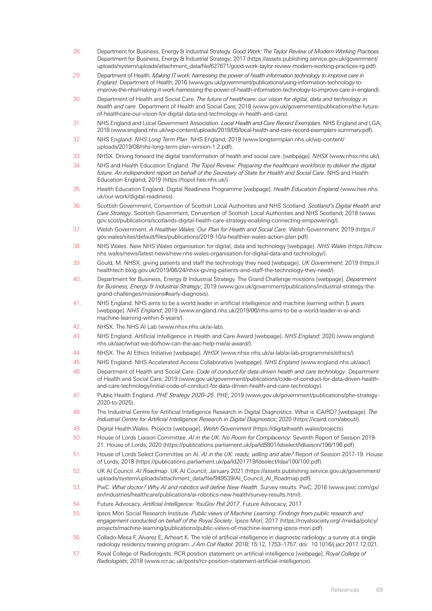- 28. Department for Business, Energy & Industrial Strategy. *Good Work: The Taylor Review of Modern Working Practices*. Department for Business, Energy & Industrial Strategy; 2017 [\(https://assets.publishing.service.gov.uk/government/](https://assets.publishing.service.gov.uk/government/uploads/system/uploads/attachment_data/file/627671/good-work-taylor-review-modern-working-practices-rg.pdf) [uploads/system/uploads/attachment\\_data/file/627671/good-work-taylor-review-modern-working-practices-rg.pdf\)](https://assets.publishing.service.gov.uk/government/uploads/system/uploads/attachment_data/file/627671/good-work-taylor-review-modern-working-practices-rg.pdf).
- <span id="page-70-0"></span>29. Department of Health. *Making IT work: harnessing the power of health information technology to improve care in England*. Department of Health; 2016 [\(www.gov.uk/government/publications/using-information-technology-to](file:///Volumes/MY%20PASSPORT/health%20foundation/AutomationReport/switchedonautomationreportfortypesetting/www.gov.uk/government/publications/using-information-technology-to-improve-the-nhs/making-it-work-harnessing-the-power-of-health-information-technology-to-improve-care-in-england)[improve-the-nhs/making-it-work-harnessing-the-power-of-health-information-technology-to-improve-care-in-england\)](file:///Volumes/MY%20PASSPORT/health%20foundation/AutomationReport/switchedonautomationreportfortypesetting/www.gov.uk/government/publications/using-information-technology-to-improve-the-nhs/making-it-work-harnessing-the-power-of-health-information-technology-to-improve-care-in-england).
- 30. Department of Health and Social Care. *The future of healthcare: our vision for digital, data and technology in health and care*. Department of Health and Social Care; 2018 ([www.gov.uk/government/publications/the-future](file:///Volumes/MY%20PASSPORT/health%20foundation/AutomationReport/switchedonautomationreportfortypesetting/www.gov.uk/government/publications/the-future-of-healthcare-our-vision-for-digital-data-and-technology-in-health-and-care)[of-healthcare-our-vision-for-digital-data-and-technology-in-health-and-care\)](file:///Volumes/MY%20PASSPORT/health%20foundation/AutomationReport/switchedonautomationreportfortypesetting/www.gov.uk/government/publications/the-future-of-healthcare-our-vision-for-digital-data-and-technology-in-health-and-care).
- 31. NHS England and Local Government Association. *Local Health and Care Record Exemplars*. NHS England and LGA; 2018 [\(www.england.nhs.uk/wp-content/uploads/2018/05/local-health-and-care-record-exemplars-summary.pdf\)](file:///Volumes/MY%20PASSPORT/health%20foundation/AutomationReport/switchedonautomationreportfortypesetting/www.england.nhs.uk/wp-content/uploads/2018/05/local-health-and-care-record-exemplars-summary.pdf).
- 32. NHS England. *NHS Long Term Plan*. NHS England; 2019 ([www.longtermplan.nhs.uk/wp-content/](file:///Volumes/MY%20PASSPORT/health%20foundation/AutomationReport/switchedonautomationreportfortypesetting/www.longtermplan.nhs.uk/wp-content/uploads/2019/08/nhs-long-term-plan-version-1.2.pdf) [uploads/2019/08/nhs-long-term-plan-version-1.2.pdf](file:///Volumes/MY%20PASSPORT/health%20foundation/AutomationReport/switchedonautomationreportfortypesetting/www.longtermplan.nhs.uk/wp-content/uploads/2019/08/nhs-long-term-plan-version-1.2.pdf)).
- 33. NHSX. Driving forward the digital transformation of health and social care. [webpage]. *NHSX* [\(www.nhsx.nhs.uk/](https://www.nhsx.nhs.uk/)).
- <span id="page-70-1"></span>34. NHS and Health Education England. *The Topol Review: Preparing the healthcare workforce to deliver the digital future. An independent report on behalf of the Secretary of State for Health and Social Care*. NHS and Health Education England; 2019 [\(https://topol.hee.nhs.uk/\)](https://topol.hee.nhs.uk/).
- 35. Health Education England. Digital Readiness Programme [webpage]. *Health Education England* [\(www.hee.nhs.](https://www.hee.nhs.uk/our-work/digital-readiness) [uk/our-work/digital-readiness\)](https://www.hee.nhs.uk/our-work/digital-readiness).
- 36. Scottish Government, Convention of Scottish Local Authorities and NHS Scotland. *Scotland's Digital Health and Care Strategy*. Scottish Government, Convention of Scottish Local Authorities and NHS Scotland; 2018 (www. gov.scot/publications/scotlands-digital-health-care-strategy-enabling-connecting-empowering/).
- 37. Welsh Government. *A Healthier Wales: Our Plan for Health and Social Care*. Welsh Government; 2019 [\(https://](https://gov.wales/sites/default/files/publications/2019-10/a-healthier-wales-action-plan.pdf) [gov.wales/sites/default/files/publications/2019-10/a-healthier-wales-action-plan.pdf\)](https://gov.wales/sites/default/files/publications/2019-10/a-healthier-wales-action-plan.pdf).
- 38. NHS Wales. New NHS Wales organisation for digital, data and technology [webpage]. *NHS Wales* [\(https://dhcw.](https://dhcw.nhs.wales/news/latest-news/new-nhs-wales-organisation-for-digital-data-and-technology/) [nhs.wales/news/latest-news/new-nhs-wales-organisation-for-digital-data-and-technology/](https://dhcw.nhs.wales/news/latest-news/new-nhs-wales-organisation-for-digital-data-and-technology/)).
- 39. Gould, M. NHSX: giving patients and staff the technology they need [webpage]. *UK Government*; 2019 ([https://](https://healthtech.blog.gov.uk/2019/06/24/nhsx-giving-patients-and-staff-the-technology-they-need/) [healthtech.blog.gov.uk/2019/06/24/nhsx-giving-patients-and-staff-the-technology-they-need/\)](https://healthtech.blog.gov.uk/2019/06/24/nhsx-giving-patients-and-staff-the-technology-they-need/).
- 40. Department for Business, Energy & Industrial Strategy. The Grand Challenge missions [webpage]. *Department for Business, Energy & Industrial Strategy*; 2019 ([www.gov.uk/government/publications/industrial-strategy-the](file:///Volumes/MY%20PASSPORT/health%20foundation/AutomationReport/switchedonautomationreportfortypesetting/www.gov.uk/government/publications/industrial-strategy-the-grand-challenges/missions%23early-diagnosis)[grand-challenges/missions#early-diagnosis](file:///Volumes/MY%20PASSPORT/health%20foundation/AutomationReport/switchedonautomationreportfortypesetting/www.gov.uk/government/publications/industrial-strategy-the-grand-challenges/missions%23early-diagnosis)).
- 41. NHS England. NHS aims to be a world leader in artificial intelligence and machine learning within 5 years [webpage]. *NHS England*; 2019 [\(www.england.nhs.uk/2019/06/nhs-aims-to-be-a-world-leader-in-ai-and](file:///Volumes/MY%20PASSPORT/health%20foundation/AutomationReport/switchedonautomationreportfortypesetting/www.england.nhs.uk/2019/06/nhs-aims-to-be-a-world-leader-in-ai-and-machine-learning-within-5-years/)[machine-learning-within-5-years/](file:///Volumes/MY%20PASSPORT/health%20foundation/AutomationReport/switchedonautomationreportfortypesetting/www.england.nhs.uk/2019/06/nhs-aims-to-be-a-world-leader-in-ai-and-machine-learning-within-5-years/)).
- 42. NHSX. The NHS AI Lab ([www.nhsx.nhs.uk/ai-lab\)](https://www.nhsx.nhs.uk/ai-lab/).
- 43. NHS England. Artificial Intelligence in Health and Care Award [webpage]. *NHS England*; 2020 [\(www.england.](https://www.england.nhs.uk/aac/what-we-do/how-can-the-aac-help-me/ai-award/) [nhs.uk/aac/what-we-do/how-can-the-aac-help-me/ai-award/\)](https://www.england.nhs.uk/aac/what-we-do/how-can-the-aac-help-me/ai-award/).
- 44. NHSX. The AI Ethics Initiative [webpage]. *NHSX* [\(www.nhsx.nhs.uk/ai-lab/ai-lab-programmes/ethics/\)](https://www.nhsx.nhs.uk/ai-lab/ai-lab-programmes/ethics/).
- 45. NHS England. NHS Accelerated Access Collaborative [webpage]. *NHS England* ([www.england.nhs.uk/aac/](https://www.england.nhs.uk/aac/))
- 46. Department of Health and Social Care. *Code of conduct for data-driven health and care technology*. Department of Health and Social Care; 2019 [\(www.gov.uk/government/publications/code-of-conduct-for-data-driven-health](https://www.gov.uk/government/publications/code-of-conduct-for-data-driven-health-and-care-technology/initial-code-of-conduct-for-data-driven-health-and-care-technology)[and-care-technology/initial-code-of-conduct-for-data-driven-health-and-care-technology](https://www.gov.uk/government/publications/code-of-conduct-for-data-driven-health-and-care-technology/initial-code-of-conduct-for-data-driven-health-and-care-technology)).
- 47. Public Health England. *PHE Strategy 2020–25*. PHE; 2019 ([www.gov.uk/government/publications/phe-strategy-](https://www.gov.uk/government/publications/phe-strategy-2020-to-2025)[2020-to-2025](https://www.gov.uk/government/publications/phe-strategy-2020-to-2025)).
- 48. The Industrial Centre for Artificial Intelligence Research in Digital Diagnostics. What is iCAIRD? [webpage]. *The Industrial Centre for Artificial Intelligence Research in Digital Diagnostics*; 2020 [\(https://icaird.com/about/](https://icaird.com/about/)).
- 49. Digital Health.Wales. Projects [webpage]. *Welsh Government* ([https://digitalhealth.wales/projects\)](https://digitalhealth.wales/projects).
- 50. House of Lords Liaison Committee. *AI in the UK: No Room for Complacency.* Seventh Report of Session 2019- 21*.* House of Lords; 2020 [\(https://publications.parliament.uk/pa/ld5801/ldselect/ldliaison/196/196.pdf\)](https://publications.parliament.uk/pa/ld5801/ldselect/ldliaison/196/196.pdf).
- 51. House of Lords Select Committee on AI. *AI in the UK: ready, willing and able?* Report of Session 2017-19. House of Lords; 2018 [\(https://publications.parliament.uk/pa/ld201719/ldselect/ldai/100/100.pdf](https://publications.parliament.uk/pa/ld201719/ldselect/ldai/100/100.pdf)).
- <span id="page-70-3"></span>52. UK AI Council. *AI Roadmap*. UK AI Council; January 2021 [\(https://assets.publishing.service.gov.uk/government/](https://assets.publishing.service.gov.uk/government/uploads/system/uploads/attachment_data/file/949539/AI_Council_AI_Roadmap.pdf) [uploads/system/uploads/attachment\\_data/file/949539/AI\\_Council\\_AI\\_Roadmap.pdf\)](https://assets.publishing.service.gov.uk/government/uploads/system/uploads/attachment_data/file/949539/AI_Council_AI_Roadmap.pdf).
- 53. PwC. *What doctor? Why AI and robotics will define New Health*. Survey results. PwC; 2016 [\(www.pwc.com/gx/](http://www.pwc.com/gx/en/industries/healthcare/publications/ai-robotics-new-health/survey-results.html) [en/industries/healthcare/publications/ai-robotics-new-health/survey-results.html\)](http://www.pwc.com/gx/en/industries/healthcare/publications/ai-robotics-new-health/survey-results.html).
- 54. Future Advocacy. *Artificial Intelligence: YouGov Poll 2017*. Future Advocacy; 2017.
- 55. Ipsos Mori Social Research Institute. *Public views of Machine Learning: Findings from public research and engagement conducted on behalf of the Royal Society*. Ipsos Mori; 2017 ([https://royalsociety.org/-/media/policy/](https://royalsociety.org/-/media/policy/projects/machine-learning/publications/public-views-of-machine-learning-ipsos-mori.pdf) [projects/machine-learning/publications/public-views-of-machine-learning-ipsos-mori.pdf](https://royalsociety.org/-/media/policy/projects/machine-learning/publications/public-views-of-machine-learning-ipsos-mori.pdf)).
- 56. Collado-Mesa F, Alvarez E, Arheart K. The role of artificial intelligence in diagnostic radiology: a survey at a single radiology residency training program. *J Am Coll Radiol.* 2018; 15:12, 1753–1757. doi: [10.1016/j.jacr.2017.12.021.](https://doi.org/10.1016/j.jacr.2017.12.021)
- <span id="page-70-2"></span>57. Royal College of Radiologists. RCR position statement on artificial intelligence [webpage]. *Royal College of Radiologists*; 2018 [\(www.rcr.ac.uk/posts/rcr-position-statement-artificial-intelligence](file:///Volumes/MY%20PASSPORT/health%20foundation/AutomationReport/switchedonautomationreportfortypesetting/www.rcr.ac.uk/posts/rcr-position-statement-artificial-intelligence)).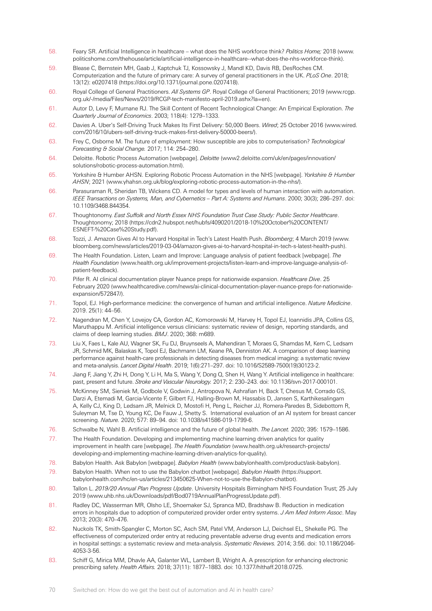- 58. Feary SR. Artificial Intelligence in healthcare what does the NHS workforce think? *Politics Home;* 2018 [\(www.](http://www.politicshome.com/thehouse/article/artificial-intelligence-in-healthcare--what-does-the-nhs-workforce-think) [politicshome.com/thehouse/article/artificial-intelligence-in-healthcare--what-does-the-nhs-workforce-think](http://www.politicshome.com/thehouse/article/artificial-intelligence-in-healthcare--what-does-the-nhs-workforce-think)).
- 59. Blease C, Bernstein MH, Gaab J, Kaptchuk TJ, Kossowsky J, Mandl KD, Davis RB, DesRoches CM. Computerization and the future of primary care: A survey of general practitioners in the UK. *PLoS One*. 2018; 13(12): e0207418 [\(https://doi.org/10.1371/journal.pone.0207418](https://doi.org/10.1371/journal.pone.0207418)).
- 60. Royal College of General Practitioners. *All Systems GP*. Royal College of General Practitioners; 2019 [\(www.rcgp.](file:///Volumes/MY%20PASSPORT/health%20foundation/AutomationReport/switchedonautomationreportfortypesetting/www.rcgp.org.uk/-/media/Files/News/2019/RCGP-tech-manifesto-april-2019.ashx?la=en) [org.uk/-/media/Files/News/2019/RCGP-tech-manifesto-april-2019.ashx?la=en](file:///Volumes/MY%20PASSPORT/health%20foundation/AutomationReport/switchedonautomationreportfortypesetting/www.rcgp.org.uk/-/media/Files/News/2019/RCGP-tech-manifesto-april-2019.ashx?la=en)).
- 61. Autor D, Levy F, Murnane RJ. The Skill Content of Recent Technological Change: An Empirical Exploration. *The Quarterly Journal of Economics*. 2003; 118(4): 1279–1333.
- 62. Davies A. Uber's Self-Driving Truck Makes Its First Delivery: 50,000 Beers. *Wired*; 25 October 2016 ([www.wired.](http://www.wired.com/2016/10/ubers-self-driving-truck-makes-first-delivery-50000-beers/) [com/2016/10/ubers-self-driving-truck-makes-first-delivery-50000-beers/\)](http://www.wired.com/2016/10/ubers-self-driving-truck-makes-first-delivery-50000-beers/).
- 63. Frey C, Osborne M. The future of employment: How susceptible are jobs to computerisation? *Technological Forecasting & Social Change.* 2017; 114: 254–280.
- 64. Deloitte. Robotic Process Automation [webpage]. *Deloitte* ([www2.deloitte.com/uk/en/pages/innovation/](file:///Volumes/MY%20PASSPORT/health%20foundation/AutomationReport/switchedonautomationreportfortypesetting/www2.deloitte.com/uk/en/pages/innovation/solutions/robotic-process-automation.html) [solutions/robotic-process-automation.html\)](file:///Volumes/MY%20PASSPORT/health%20foundation/AutomationReport/switchedonautomationreportfortypesetting/www2.deloitte.com/uk/en/pages/innovation/solutions/robotic-process-automation.html).
- 65. Yorkshire & Humber AHSN. Exploring Robotic Process Automation in the NHS [webpage]. *Yorkshire & Humber AHSN*; 2021 [\(www.yhahsn.org.uk/blog/exploring-robotic-process-automation-in-the-nhs/](file:///Volumes/MY%20PASSPORT/health%20foundation/AutomationReport/switchedonautomationreportfortypesetting/www.yhahsn.org.uk/blog/exploring-robotic-process-automation-in-the-nhs/)).
- 66. Parasuraman R, Sheridan TB, Wickens CD. A model for types and levels of human interaction with automation. *IEEE Transactions on Systems, Man, and Cybernetics – Part A: Systems and Humans*. 2000; 30(3); 286–297. doi: [10.1109/3468.844354](https://doi.org/10.1109/3468.844354).
- 67. Thoughtonomy. *East Suffolk and North Essex NHS Foundation Trust Case Study: Public Sector Healthcare*. Thoughtonomy; 2018 [\(https://cdn2.hubspot.net/hubfs/4090201/2018-10%20October%20CONTENT/](https://cdn2.hubspot.net/hubfs/4090201/2018-10%20October%20CONTENT/ESNEFT-%20Case%20Study.pdf) [ESNEFT-%20Case%20Study.pdf\)](https://cdn2.hubspot.net/hubfs/4090201/2018-10%20October%20CONTENT/ESNEFT-%20Case%20Study.pdf).
- 68. Tozzi, J. Amazon Gives AI to Harvard Hospital in Tech's Latest Health Push. *Bloomberg*; 4 March 2019 [\(www.](file:///Volumes/MY%20PASSPORT/health%20foundation/AutomationReport/switchedonautomationreportfortypesetting/www.bloomberg.com/news/articles/2019-03-04/amazon-gives-ai-to-harvard-hospital-in-tech-s-latest-health-push) [bloomberg.com/news/articles/2019-03-04/amazon-gives-ai-to-harvard-hospital-in-tech-s-latest-health-push](file:///Volumes/MY%20PASSPORT/health%20foundation/AutomationReport/switchedonautomationreportfortypesetting/www.bloomberg.com/news/articles/2019-03-04/amazon-gives-ai-to-harvard-hospital-in-tech-s-latest-health-push)).
- 69. The Health Foundation. Listen, Learn and Improve: Language analysis of patient feedback [webpage]. *The Health Foundation* [\(www.health.org.uk/improvement-projects/listen-learn-and-improve-language-analysis-of](https://www.health.org.uk/improvement-projects/listen-learn-and-improve-language-analysis-of-patient-feedback)[patient-feedback](https://www.health.org.uk/improvement-projects/listen-learn-and-improve-language-analysis-of-patient-feedback)).
- 70. Pifer R. AI clinical documentation player Nuance preps for nationwide expansion. *Healthcare Dive*. 25 February 2020 (www.healthcaredive.com/news/ai-clinical-documentation-player-nuance-preps-for-nationwideexpansion/572847/).
- 71. Topol, EJ. High-performance medicine: the convergence of human and artificial intelligence. *Nature Medicine*. 2019. 25(1): 44–56.
- 72. Nagendran M, Chen Y, Lovejoy CA, Gordon AC, Komorowski M, Harvey H, Topol EJ, Ioannidis JPA, Collins GS, Maruthappu M. Artificial intelligence versus clinicians: systematic review of design, reporting standards, and claims of deep learning studies. *BMJ*. 2020; 368: m689.
- 73. Liu X, Faes L, Kale AU, Wagner SK, Fu DJ, Bruynseels A, Mahendiran T, Moraes G, Shamdas M, Kern C, Ledsam JR, Schmid MK, Balaskas K, Topol EJ, Bachmann LM, Keane PA, Denniston AK. A comparison of deep learning performance against health-care professionals in detecting diseases from medical imaging: a systematic review and meta-analysis. *Lancet Digital Health*. 2019; 1(6):271–297. doi: [10.1016/S2589-7500\(19\)30123-2](https://doi.org/10.1016/S2589-7500%2819%2930123-2).
- 74. Jiang F, Jiang Y, Zhi H, Dong Y, Li H, Ma S, Wang Y, Dong Q, Shen H, Wang Y. Artificial intelligence in healthcare: past, present and future. *Stroke and Vascular Neurology.* 2017; 2: 230–243. doi: [10.1136/svn-2017-000101](http://dx.doi.org/10.1136/svn-2017-000101).
- 75. McKinney SM, Sieniek M, Godbole V, Godwin J, Antropova N, Ashrafian H, Back T, Chesus M, Corrado GS, Darzi A, Etemadi M, Garcia-Vicente F, Gilbert FJ, Halling-Brown M, Hassabis D, Jansen S, Karthikesalingam A, Kelly CJ, King D, Ledsam JR, Melnick D, Mostofi H, Peng L, Reicher JJ, Romera-Paredes B, Sidebottom R, Suleyman M, Tse D, Young KC, De Fauw J, Shetty S. International evaluation of an AI system for breast cancer screening. *Nature.* 2020; 577: 89–94. doi: 10.1038/s41586-019-1799-6.
- 76. Schwalbe N, Wahl B. Artificial intelligence and the future of global health. *The Lancet.* 2020; 395: 1579–1586.
- 77. The Health Foundation. Developing and implementing machine learning driven analytics for quality improvement in health care [webpage]. *The Health Foundation* [\(www.health.org.uk/research-projects/](file:///Volumes/MY%20PASSPORT/health%20foundation/AutomationReport/switchedonautomationreportfortypesetting/www.health.org.uk/research-projects/developing-and-implementing-machine-learning-driven-analytics-for-quality) [developing-and-implementing-machine-learning-driven-analytics-for-quality](file:///Volumes/MY%20PASSPORT/health%20foundation/AutomationReport/switchedonautomationreportfortypesetting/www.health.org.uk/research-projects/developing-and-implementing-machine-learning-driven-analytics-for-quality)).
- 78. Babylon Health. Ask Babylon [webpage]. *Babylon Health* ([www.babylonhealth.com/product/ask-babylon](https://www.babylonhealth.com/product/ask-babylon)).
- 79. Babylon Health. When not to use the Babylon chatbot [webpage]. *Babylon Health* [\(https://support.](https://support.babylonhealth.com/hc/en-us/articles/213450625-When-not-to-use-the-Babylon-chatbot) [babylonhealth.com/hc/en-us/articles/213450625-When-not-to-use-the-Babylon-chatbot\)](https://support.babylonhealth.com/hc/en-us/articles/213450625-When-not-to-use-the-Babylon-chatbot).
- 80. Tallon L. *2019/20 Annual Plan Progress Update*. University Hospitals Birmingham NHS Foundation Trust; 25 July 2019 [\(www.uhb.nhs.uk/Downloads/pdf/Bod0719AnnualPlanProgressUpdate.pdf\)](https://www.uhb.nhs.uk/Downloads/pdf/Bod0719AnnualPlanProgressUpdate.pdf).
- 81. Radley DC, Wasserman MR, Olsho LE, Shoemaker SJ, Spranca MD, Bradshaw B. Reduction in medication errors in hospitals due to adoption of computerized provider order entry systems. *J Am Med Inform Assoc*. May 2013; 20(3): 470–476.
- 82. Nuckols TK, Smith-Spangler C, Morton SC, Asch SM, Patel VM, Anderson LJ, Deichsel EL, Shekelle PG. The effectiveness of computerized order entry at reducing preventable adverse drug events and medication errors in hospital settings: a systematic review and meta-analysis. *Systematic Reviews.* 2014; 3:56. doi: [10.1186/2046-](https://doi.org/10.1186/2046-4053-3-56) [4053-3-56.](https://doi.org/10.1186/2046-4053-3-56)
- 83. Schiff G, Mirica MM, Dhavle AA, Galanter WL, Lambert B, Wright A. A prescription for enhancing electronic prescribing safety. *Health Affairs.* 2018; 37(11): 1877–1883. doi: [10.1377/hlthaff.2018.0725](https://doi.org/10.1377/hlthaff.2018.0725).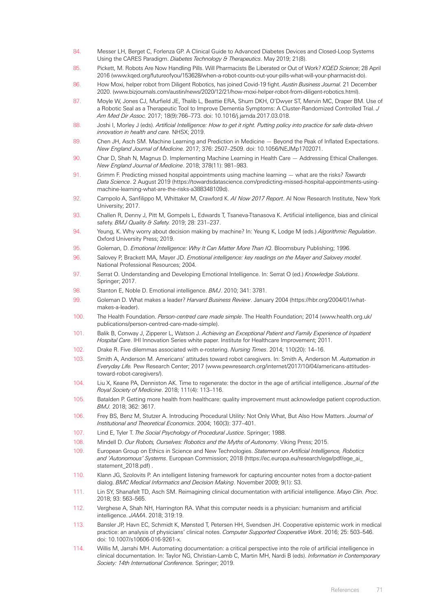- 84. Messer LH, Berget C, Forlenza GP. A Clinical Guide to Advanced Diabetes Devices and Closed-Loop Systems Using the CARES Paradigm. *Diabetes Technology & Therapeutics*. May 2019; 21(8).
- 85. Pickett, M. Robots Are Now Handling Pills. Will Pharmacists Be Liberated or Out of Work? *KQED Science*; 28 April 2016 [\(www.kqed.org/futureofyou/153628/when-a-robot-counts-out-your-pills-what-will-your-pharmacist-do](http://www.kqed.org/futureofyou/153628/when-a-robot-counts-out-your-pills-what-will-your-pharmacist-do)).
- 86. How Moxi, helper robot from Diligent Robotics, has joined Covid-19 fight. *Austin Business Journal.* 21 December 2020. (www.bizjournals.com/austin/news/2020/12/21/how-moxi-helper-robot-from-diligent-robotics.html).
- 87. Moyle W, Jones CJ, Murfield JE, Thalib L, Beattie ERA, Shum DKH, O'Dwyer ST, Mervin MC, Draper BM. Use of a Robotic Seal as a Therapeutic Tool to Improve Dementia Symptoms: A Cluster-Randomized Controlled Trial. *J Am Med Dir Assoc.* 2017; 18(9):766–773. doi: [10.1016/j.jamda.2017.03.018](https://doi.org/10.1016/j.jamda.2017.03.018).
- 88. Joshi I, Morley J (eds). *Artificial Intelligence: How to get it right. Putting policy into practice for safe data-driven innovation in health and care.* NHSX; 2019.
- 89. Chen JH, Asch SM. Machine Learning and Prediction in Medicine Beyond the Peak of Inflated Expectations. *New England Journal of Medicine.* 2017; 376: 2507–2509. doi: [10.1056/NEJMp1702071.](https://doi.org/10.1056/nejmp1702071)
- 90. Char D, Shah N, Magnus D. Implementing Machine Learning in Health Care Addressing Ethical Challenges. *New England Journal of Medicine*. 2018; 378(11): 981–983.
- 91. Grimm F. Predicting missed hospital appointments using machine learning what are the risks? *Towards Data Science*. 2 August 2019 [\(https://towardsdatascience.com/predicting-missed-hospital-appointments-using](https://towardsdatascience.com/predicting-missed-hospital-appointments-using-machine-learning-what-are-the-risks-a388348109d)[machine-learning-what-are-the-risks-a388348109d](https://towardsdatascience.com/predicting-missed-hospital-appointments-using-machine-learning-what-are-the-risks-a388348109d)).
- 92. Campolo A, Sanfilippo M, Whittaker M, Crawford K. *AI Now 2017 Report*. AI Now Research Institute, New York University; 2017.
- 93. Challen R, Denny J, Pitt M, Gompels L, Edwards T, Tsaneva-Ttanasova K. Artificial intelligence, bias and clinical safety. *BMJ Quality & Safety.* 2019; 28: 231–237.
- 94. Yeung, K. Why worry about decision making by machine? In: Yeung K, Lodge M (eds.) *Algorithmic Regulation*. Oxford University Press; 2019.
- 95. Goleman, D. *Emotional Intelligence: Why It Can Matter More Than IQ*. Bloomsbury Publishing; 1996.
- 96. Salovey P, Brackett MA, Mayer JD. *Emotional intelligence: key readings on the Mayer and Salovey model*. National Professional Resources; 2004.
- 97. Serrat O. Understanding and Developing Emotional Intelligence. In: Serrat O (ed.) *Knowledge Solutions*. Springer; 2017.
- 98. Stanton E, Noble D. Emotional intelligence. *BMJ*. 2010; 341: 3781.
- 99. Goleman D. What makes a leader? *Harvard Business Review*. January 2004 ([https://hbr.org/2004/01/what](https://hbr.org/2004/01/what-makes-a-leader)[makes-a-leader](https://hbr.org/2004/01/what-makes-a-leader)).
- 100. The Health Foundation. *Person-centred care made simple*. The Health Foundation; 2014 [\(www.health.org.uk/](file:///Volumes/MY%20PASSPORT/health%20foundation/AutomationReport/switchedonautomationreportfortypesetting/www.health.org.uk/publications/person-centred-care-made-simple) [publications/person-centred-care-made-simple\)](file:///Volumes/MY%20PASSPORT/health%20foundation/AutomationReport/switchedonautomationreportfortypesetting/www.health.org.uk/publications/person-centred-care-made-simple).
- 101. Balik B, Conway J, Zipperer L, Watson J. *Achieving an Exceptional Patient and Family Experience of Inpatient Hospital Care*. IHI Innovation Series white paper. Institute for Healthcare Improvement; 2011.
- 102. Drake R. Five dilemmas associated with e-rostering. *Nursing Times*. 2014; 110(20): 14–16.
- 103. Smith A, Anderson M. Americans' attitudes toward robot caregivers. In: Smith A, Anderson M. *Automation in Everyday Life.* Pew Research Center; 2017 ([www.pewresearch.org/internet/2017/10/04/americans-attitudes](https://www.pewresearch.org/internet/2017/10/04/americans-attitudes-toward-robot-caregivers/)[toward-robot-caregivers/](https://www.pewresearch.org/internet/2017/10/04/americans-attitudes-toward-robot-caregivers/)).
- 104. Liu X, Keane PA, Denniston AK. Time to regenerate: the doctor in the age of artificial intelligence. *Journal of the Royal Society of Medicine*. 2018; 111(4): 113–116.
- 105. Batalden P. Getting more health from healthcare: quality improvement must acknowledge patient coproduction. *BMJ.* 2018; 362: 3617.
- 106. Frey BS, Benz M, Stutzer A. Introducing Procedural Utility: Not Only What, But Also How Matters. *Journal of Institutional and Theoretical Economics*. 2004; 160(3): 377–401.
- 107. Lind E, Tyler T. *The Social Psychology of Procedural Justice*. Springer; 1988.
- 108. Mindell D. *Our Robots, Ourselves: Robotics and the Myths of Autonomy*. Viking Press; 2015.
- 109. European Group on Ethics in Science and New Technologies. *Statement on Artificial Intelligence, Robotics and 'Autonomous' Systems*. European Commission; 2018 [\(https://ec.europa.eu/research/ege/pdf/ege\\_ai\\_](https://ec.europa.eu/research/ege/pdf/ege_ai_statement_2018.pdf) [statement\\_2018.pdf\)](https://ec.europa.eu/research/ege/pdf/ege_ai_statement_2018.pdf)
- 110. Klann JG, Szolovits P. An intelligent listening framework for capturing encounter notes from a doctor-patient dialog. *BMC Medical Informatics and Decision Making*. November 2009; 9(1): S3.
- 111. Lin SY, Shanafelt TD, Asch SM. Reimagining clinical documentation with artificial intelligence. *Mayo Clin. Proc*. 2018; 93: 563–565.
- 112. Verghese A, Shah NH, Harrington RA. What this computer needs is a physician: humanism and artificial intelligence. *JAMA*. 2018; 319:19.
- 113. Bansler JP, Havn EC, Schmidt K, Mønsted T, Petersen HH, Svendsen JH. Cooperative epistemic work in medical practice: an analysis of physicians' clinical notes. *Computer Supported Cooperative Work*. 2016; 25: 503–546. doi: [10.1007/s10606-016-9261-x](https://doi.org/10.1007/s10606-016-9261-x).
- 114. Willis M, Jarrahi MH. Automating documentation: a critical perspective into the role of artificial intelligence in clinical documentation. In: Taylor NG, Christian-Lamb C, Martin MH, Nardi B (eds). *Information in Contemporary Society: 14th International Conference.* Springer; 2019.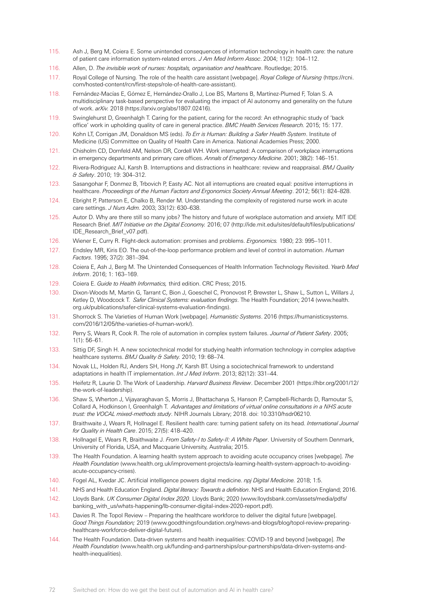- 115. Ash J, Berg M, Coiera E. Some unintended consequences of information technology in health care: the nature of patient care information system-related errors. *J Am Med Inform Assoc*. 2004; 11(2): 104–112.
- 116. Allen, D. *The invisible work of nurses: hospitals, organisation and healthcare*. Routledge; 2015.
- 117. Royal College of Nursing. The role of the health care assistant [webpage]. *Royal College of Nursing* [\(https://rcni.](https://rcni.com/hosted-content/rcn/first-steps/role-of-health-care-assistant) [com/hosted-content/rcn/first-steps/role-of-health-care-assistant\)](https://rcni.com/hosted-content/rcn/first-steps/role-of-health-care-assistant).
- 118. Fernández-Macías E, Gómez E, Hernández-Orallo J, Loe BS, Martens B, Martínez-Plumed F, Tolan S. A multidisciplinary task-based perspective for evaluating the impact of AI autonomy and generality on the future of work. *arXiv.* 2018 [\(https://arxiv.org/abs/1807.02416](https://arxiv.org/abs/1807.02416)).
- 119. Swinglehurst D, Greenhalgh T. Caring for the patient, caring for the record: An ethnographic study of 'back office' work in upholding quality of care in general practice. *BMC Health Services Research.* 2015; 15: 177.
- 120. Kohn LT, Corrigan JM, Donaldson MS (eds). *To Err is Human: Building a Safer Health System*. Institute of Medicine (US) Committee on Quality of Health Care in America. National Academies Press; 2000.
- 121. Chisholm CD, Dornfeld AM, Nelson DR, Cordell WH. Work interrupted: A comparison of workplace interruptions in emergency departments and primary care offices. *Annals of Emergency Medicine*. 2001; 38(2): 146–151.
- 122. Rivera-Rodriguez AJ, Karsh B. Interruptions and distractions in healthcare: review and reappraisal. *BMJ Quality & Safety*. 2010; 19: 304–312.
- 123. Sasangohar F, Donmez B, Trbovich P, Easty AC. Not all interruptions are created equal: positive interruptions in healthcare. *Proceedings of the Human Factors and Ergonomics Society Annual Meeting*. 2012; 56(1): 824–828.
- 124. Ebright P, Patterson E, Chalko B, Render M. Understanding the complexity of registered nurse work in acute care settings. *J Nurs Adm.* 2003; 33(12): 630–638.
- 125. Autor D. Why are there still so many jobs? The history and future of workplace automation and anxiety. MIT IDE Research Brief. *MIT Initiative on the Digital Economy.* 2016; 07 [\(http://ide.mit.edu/sites/default/files/publications/](http://ide.mit.edu/sites/default/files/publications/IDE_Research_Brief_v07.pdf) [IDE\\_Research\\_Brief\\_v07.pdf\)](http://ide.mit.edu/sites/default/files/publications/IDE_Research_Brief_v07.pdf).
- 126. Wiener E, Curry R. Flight-deck automation: promises and problems. *Ergonomics.* 1980; 23: 995–1011.
- 127. Endsley MR, Kiris EO. The out-of-the-loop performance problem and level of control in automation. *Human Factors*. 1995; 37(2): 381–394.
- 128. Coiera E, Ash J, Berg M. The Unintended Consequences of Health Information Technology Revisited. *Yearb Med Inform*. 2016; 1: 163–169.
- 129. Coiera E. *Guide to Health Informatics,* third edition. CRC Press; 2015.
- 130. Dixon-Woods M, Martin G, Tarrant C, Bion J, Goeschel C, Pronovost P, Brewster L, Shaw L, Sutton L, Willars J, Ketley D, Woodcock T. *Safer Clinical Systems: evaluation findings*. The Health Foundation; 2014 [\(www.health.](file:///Volumes/MY%20PASSPORT/health%20foundation/AutomationReport/switchedonautomationreportfortypesetting/www.health.org.uk/publications/safer-clinical-systems-evaluation-findings) [org.uk/publications/safer-clinical-systems-evaluation-findings\)](file:///Volumes/MY%20PASSPORT/health%20foundation/AutomationReport/switchedonautomationreportfortypesetting/www.health.org.uk/publications/safer-clinical-systems-evaluation-findings).
- 131. Shorrock S. The Varieties of Human Work [webpage]. *Humanistic Systems*. 2016 [\(https://humanisticsystems.](https://humanisticsystems.com/2016/12/05/the-varieties-of-human-work/) [com/2016/12/05/the-varieties-of-human-work/](https://humanisticsystems.com/2016/12/05/the-varieties-of-human-work/)).
- 132. Perry S, Wears R, Cook R. The role of automation in complex system failures. *Journal of Patient Safety*. 2005; 1(1): 56–61.
- 133. Sittig DF, Singh H. A new sociotechnical model for studying health information technology in complex adaptive healthcare systems. *BMJ Quality & Safety.* 2010; 19: 68–74.
- 134. Novak LL, Holden RJ, Anders SH, Hong JY, Karsh BT. Using a sociotechnical framework to understand adaptations in health IT implementation. *Int J Med Inform*. 2013; 82(12): 331–44.
- 135. Heifetz R, Laurie D. The Work of Leadership. *Harvard Business Review*. December 2001 [\(https://hbr.org/2001/12/](https://hbr.org/2001/12/the-work-of-leadership) [the-work-of-leadership\)](https://hbr.org/2001/12/the-work-of-leadership).
- 136. Shaw S, Wherton J, Vijayaraghavan S, Morris J, Bhattacharya S, Hanson P, Campbell-Richards D, Ramoutar S, Collard A, Hodkinson I, Greenhalgh T. *Advantages and limitations of virtual online consultations in a NHS acute trust: the VOCAL mixed-methods study*. NIHR Journals Library; 2018. doi: [10.3310/hsdr06210.](https://doi.org/10.3310/hsdr06210)
- 137. Braithwaite J, Wears R, Hollnagel E. Resilient health care: turning patient safety on its head. *International Journal for Quality in Health Care*. 2015; 27(5): 418–420.
- 138. Hollnagel E, Wears R, Braithwaite J. *From Safety-I to Safety-II: A White Paper*. University of Southern Denmark, University of Florida, USA, and Macquarie University, Australia; 2015.
- 139. The Health Foundation. A learning health system approach to avoiding acute occupancy crises [webpage]. *The Health Foundation* [\(www.health.org.uk/improvement-projects/a-learning-health-system-approach-to-avoiding](file:///Volumes/MY%20PASSPORT/health%20foundation/AutomationReport/switchedonautomationreportfortypesetting/www.health.org.uk/improvement-projects/a-learning-health-system-approach-to-avoiding-acute-occupancy-crises)[acute-occupancy-crises](file:///Volumes/MY%20PASSPORT/health%20foundation/AutomationReport/switchedonautomationreportfortypesetting/www.health.org.uk/improvement-projects/a-learning-health-system-approach-to-avoiding-acute-occupancy-crises)).
- 140. Fogel AL, Kvedar JC. Artificial intelligence powers digital medicine. *npj Digital Medicine.* 2018; 1:5.
- 141. NHS and Health Education England. *Digital literacy: Towards a definition*. NHS and Health Education England; 2016.
- 142. Lloyds Bank. *UK Consumer Digital Index 2020*. Lloyds Bank; 2020 [\(www.lloydsbank.com/assets/media/pdfs/](file:///Volumes/MY%20PASSPORT/health%20foundation/AutomationReport/switchedonautomationreportfortypesetting/www.lloydsbank.com/assets/media/pdfs/banking_with_us/whats-happening/lb-consumer-digital-index-2020-report.pdf) [banking\\_with\\_us/whats-happening/lb-consumer-digital-index-2020-report.pdf](file:///Volumes/MY%20PASSPORT/health%20foundation/AutomationReport/switchedonautomationreportfortypesetting/www.lloydsbank.com/assets/media/pdfs/banking_with_us/whats-happening/lb-consumer-digital-index-2020-report.pdf)).
- 143. Davies R. The Topol Review Preparing the healthcare workforce to deliver the digital future [webpage]. *Good Things Foundation;* 2019 ([www.goodthingsfoundation.org/news-and-blogs/blog/topol-review-preparing](file:///Volumes/MY%20PASSPORT/health%20foundation/AutomationReport/switchedonautomationreportfortypesetting/www.goodthingsfoundation.org/news-and-blogs/blog/topol-review-preparing-healthcare-workforce-deliver-digital-future)[healthcare-workforce-deliver-digital-future](file:///Volumes/MY%20PASSPORT/health%20foundation/AutomationReport/switchedonautomationreportfortypesetting/www.goodthingsfoundation.org/news-and-blogs/blog/topol-review-preparing-healthcare-workforce-deliver-digital-future)).
- 144. The Health Foundation. Data-driven systems and health inequalities: COVID-19 and beyond [webpage]. *The Health Foundation* [\(www.health.org.uk/funding-and-partnerships/our-partnerships/data-driven-systems-and](https://www.health.org.uk/funding-and-partnerships/our-partnerships/data-driven-systems-and-health-inequalities)[health-inequalities\)](https://www.health.org.uk/funding-and-partnerships/our-partnerships/data-driven-systems-and-health-inequalities).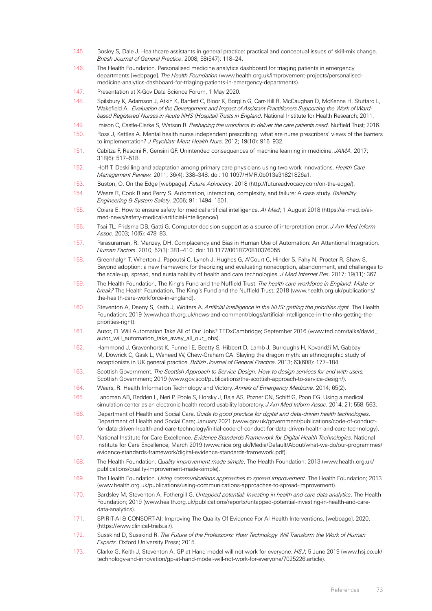- 145. Bosley S, Dale J. Healthcare assistants in general practice: practical and conceptual issues of skill-mix change. *British Journal of General Practice*. 2008; 58(547): 118–24.
- 146. The Health Foundation. Personalised medicine analytics dashboard for triaging patients in emergency departments [webpage]. *The Health Foundation* [\(www.health.org.uk/improvement-projects/personalised](file:///Volumes/MY%20PASSPORT/health%20foundation/AutomationReport/switchedonautomationreportfortypesetting/www.health.org.uk/improvement-projects/personalised-medicine-analytics-dashboard-for-triaging-patients-in-emergency-departments)[medicine-analytics-dashboard-for-triaging-patients-in-emergency-departments](file:///Volumes/MY%20PASSPORT/health%20foundation/AutomationReport/switchedonautomationreportfortypesetting/www.health.org.uk/improvement-projects/personalised-medicine-analytics-dashboard-for-triaging-patients-in-emergency-departments)).
- 147. Presentation at X-Gov Data Science Forum, 1 May 2020.
- 148. Spilsbury K, Adamson J, Atkin K, Bartlett C, Bloor K, Borglin G, Carr-Hill R, McCaughan D, McKenna H, Stuttard L, Wakefield A. *Evaluation of the Development and Impact of Assistant Practitioners Supporting the Work of Wardbased Registered Nurses in Acute NHS (Hospital) Trusts in England*. National Institute for Health Research; 2011.
- 149. Imison C, Castle-Clarke S, Watson R. *Reshaping the workforce to deliver the care patients need*. Nuffield Trust; 2016.
- 150. Ross J, Kettles A. Mental health nurse independent prescribing: what are nurse prescribers' views of the barriers to implementation? *J Psychiatr Ment Health Nurs*. 2012; 19(10): 916–932.
- 151. Cabitza F, Rasoini R, Gensini GF. Unintended consequences of machine learning in medicine. *JAMA.* 2017; 318(6): 517–518.
- 152. Hoff T. Deskilling and adaptation among primary care physicians using two work innovations. *Health Care Management Review.* 2011; 36(4): 338–348. doi: [10.1097/HMR.0b013e31821826a1](https://thehealthfoundation98.sharepoint.com/sites/thf_site/departments/communications/Publications/2020%20publications/I03%20Automation/B_Drafts/10.1097/HMR.0b013e31821826a1.).
- 153. Buston, O. On the Edge [webpage]. *Future Advocacy*; 2018 ([http://futureadvocacy.com/on-the-edge/\)](http://futureadvocacy.com/on-the-edge/).
- 154. Wears R, Cook R and Perry S. Automation, interaction, complexity, and failure: A case study. *Reliability Engineering & System Safety*. 2006; 91: 1494–1501.
- 155. Coiera E. How to ensure safety for medical artificial intelligence. *AI Med*; 1 August 2018 [\(https://ai-med.io/ai](https://ai-med.io/ai-med-news/safety-medical-artificial-intelligence/)[med-news/safety-medical-artificial-intelligence/\)](https://ai-med.io/ai-med-news/safety-medical-artificial-intelligence/).
- 156. Tsai TL, Fridsma DB, Gatti G. Computer decision support as a source of interpretation error. *J Am Med Inform Assoc*. 2003; 10(5): 478–83.
- 157. Parasuraman, R. Manzey, DH. Complacency and Bias in Human Use of Automation: An Attentional Integration. *Human Factors*. 2010; 52(3): 381–410. doi: [10.1177/0018720810376055](https://doi.org/10.1177/0018720810376055).
- 158. Greenhalgh T, Wherton J, Papoutsi C, Lynch J, Hughes G, A'Court C, Hinder S, Fahy N, Procter R, Shaw S. Beyond adoption: a new framework for theorizing and evaluating nonadoption, abandonment, and challenges to the scale-up, spread, and sustainability of health and care technologies. *J Med Internet Res*. 2017; 19(11): 367.
- 159. The Health Foundation, The King's Fund and the Nuffield Trust. *The health care workforce in England: Make or break?* The Health Foundation, The King's Fund and the Nuffield Trust; 2018 [\(www.health.org.uk/publications/](http://www.health.org.uk/publications/the-health-care-workforce-in-england) [the-health-care-workforce-in-england](http://www.health.org.uk/publications/the-health-care-workforce-in-england)).
- 160. Steventon A, Deeny S, Keith J, Wolters A. *Artificial intelligence in the NHS: getting the priorities right.* The Health Foundation; 2019 ([www.health.org.uk/news-and-comment/blogs/artificial-intelligence-in-the-nhs-getting-the](http://www.health.org.uk/news-and-comment/blogs/artificial-intelligence-in-the-nhs-getting-the-priorities-right)[priorities-right\)](http://www.health.org.uk/news-and-comment/blogs/artificial-intelligence-in-the-nhs-getting-the-priorities-right).
- 161. Autor, D. Will Automation Take All of Our Jobs? TEDxCambridge; September 2016 ([www.ted.com/talks/david\\_](https://www.ted.com/talks/david_autor_will_automation_take_away_all_our_jobs) [autor\\_will\\_automation\\_take\\_away\\_all\\_our\\_jobs](https://www.ted.com/talks/david_autor_will_automation_take_away_all_our_jobs)).
- 162. Hammond J, Gravenhorst K, Funnell E, Beatty S, Hibbert D, Lamb J, Burroughs H, Kovandži M, Gabbay M, Dowrick C, Gask L, Waheed W, Chew-Graham CA. Slaying the dragon myth: an ethnographic study of receptionists in UK general practice. *British Journal of General Practice*. 2013; 63(608): 177–184.
- 163. Scottish Government. *The Scottish Approach to Service Design: How to design services for and with users.*  Scottish Government; 2019 [\(www.gov.scot/publications/the-scottish-approach-to-service-design/](https://www.gov.scot/publications/the-scottish-approach-to-service-design/)).
- 164. Wears, R. Health Information Technology and Victory. *Annals of Emergency Medicine*. 2014; 65(2).
- 165. Landman AB, Redden L, Neri P, Poole S, Horsky J, Raja AS, Pozner CN, Schiff G, Poon EG. Using a medical simulation center as an electronic health record usability laboratory. *J Am Med Inform Assoc.* 2014; 21: 558–563.
- 166. Department of Health and Social Care. *Guide to good practice for digital and data-driven health technologies*. Department of Health and Social Care; January 2021 [\(www.gov.uk/government/publications/code-of-conduct](https://www.gov.uk/government/publications/code-of-conduct-for-data-driven-health-and-care-technology/initial-code-of-conduct-for-data-driven-health-and-care-technology)[for-data-driven-health-and-care-technology/initial-code-of-conduct-for-data-driven-health-and-care-technology](https://www.gov.uk/government/publications/code-of-conduct-for-data-driven-health-and-care-technology/initial-code-of-conduct-for-data-driven-health-and-care-technology)).
- 167. National Institute for Care Excellence. *Evidence Standards Framework for Digital Health Technologies*. National Institute for Care Excellence; March 2019 [\(www.nice.org.uk/Media/Default/About/what-we-do/our-programmes/](https://www.nice.org.uk/Media/Default/About/what-we-do/our-programmes/evidence-standards-framework/digital-evidence-standards-framework.pdf) [evidence-standards-framework/digital-evidence-standards-framework.pdf](https://www.nice.org.uk/Media/Default/About/what-we-do/our-programmes/evidence-standards-framework/digital-evidence-standards-framework.pdf)).
- 168. The Health Foundation. *Quality improvement made simple*. The Health Foundation; 2013 [\(www.health.org.uk/](file:///Volumes/MY%20PASSPORT/health%20foundation/AutomationReport/switchedonautomationreportfortypesetting/www.health.org.uk/publications/quality-improvement-made-simple) [publications/quality-improvement-made-simple](file:///Volumes/MY%20PASSPORT/health%20foundation/AutomationReport/switchedonautomationreportfortypesetting/www.health.org.uk/publications/quality-improvement-made-simple)).
- 169. The Health Foundation. *Using communications approaches to spread improvement*. The Health Foundation; 2013 [\(www.health.org.uk/publications/using-communications-approaches-to-spread-improvement](https://www.health.org.uk/publications/using-communications-approaches-to-spread-improvement)).
- 170. Bardsley M, Steventon A, Fothergill G. *Untapped potential: Investing in health and care data analytics*. The Health Foundation; 2019 (www.health.org.uk/publications/reports/untapped-potential-investing-in-health-and-caredata-analytics).
- 171. SPIRIT-AI & CONSORT-AI: Improving The Quality Of Evidence For AI Health Interventions. [webpage]. 2020. (https://www.clinical-trials.ai/).
- 172. Susskind D, Susskind R. *The Future of the Professions: How Technology Will Transform the Work of Human Experts*. Oxford University Press; 2015.
- 173. Clarke G, Keith J, Steventon A. GP at Hand model will not work for everyone. *HSJ*; 5 June 2019 [\(www.hsj.co.uk/](https://www.hsj.co.uk/technology-and-innovation/gp-at-hand-model-will-not-work-for-everyone/7025226.article) [technology-and-innovation/gp-at-hand-model-will-not-work-for-everyone/7025226.article](https://www.hsj.co.uk/technology-and-innovation/gp-at-hand-model-will-not-work-for-everyone/7025226.article)).